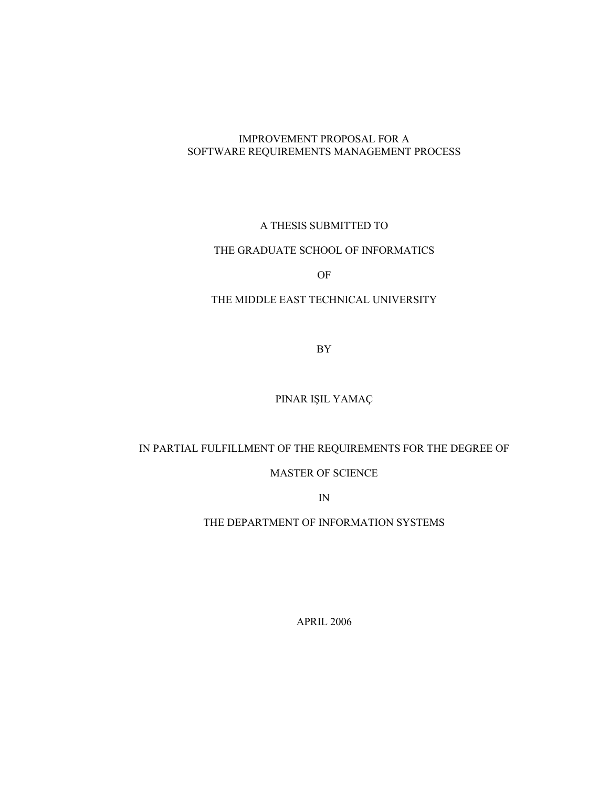## IMPROVEMENT PROPOSAL FOR A SOFTWARE REQUIREMENTS MANAGEMENT PROCESS

## A THESIS SUBMITTED TO

## THE GRADUATE SCHOOL OF INFORMATICS

OF

## THE MIDDLE EAST TECHNICAL UNIVERSITY

BY

### PINAR IŞIL YAMAÇ

## IN PARTIAL FULFILLMENT OF THE REQUIREMENTS FOR THE DEGREE OF

## MASTER OF SCIENCE

IN

## THE DEPARTMENT OF INFORMATION SYSTEMS

APRIL 2006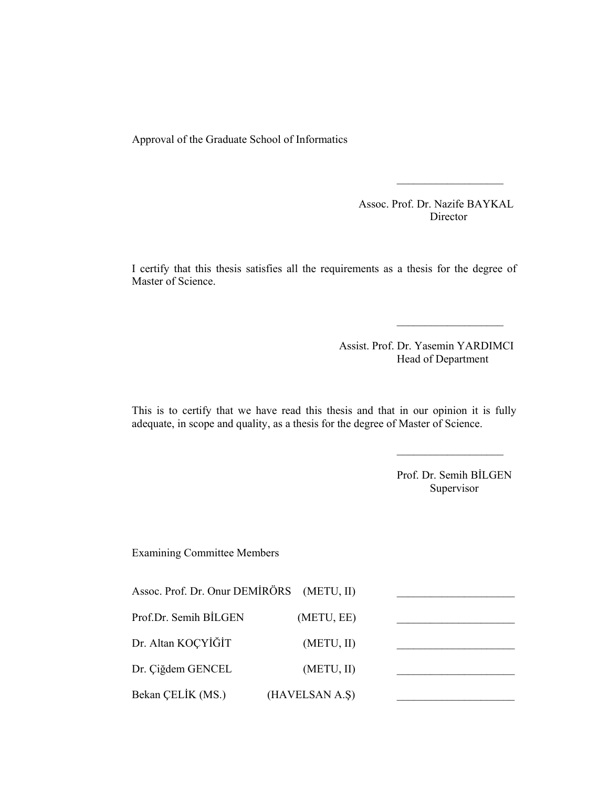Approval of the Graduate School of Informatics

 Assoc. Prof. Dr. Nazife BAYKAL Director

I certify that this thesis satisfies all the requirements as a thesis for the degree of Master of Science.

 $\mathcal{L}_\text{max} = \frac{1}{2} \sum_{i=1}^n \mathcal{L}_\text{max}(\mathcal{L}_\text{max}(\mathcal{L}_\text{max}(\mathcal{L}_\text{max}(\mathcal{L}_\text{max}(\mathcal{L}_\text{max}(\mathcal{L}_\text{max}(\mathcal{L}_\text{max}(\mathcal{L}_\text{max}(\mathcal{L}_\text{max}(\mathcal{L}_\text{max}(\mathcal{L}_\text{max}(\mathcal{L}_\text{max}(\mathcal{L}_\text{max}(\mathcal{L}_\text{max}(\mathcal{L}_\text{max}(\mathcal{L}_\text{max}(\mathcal{L$ 

 $\mathcal{L}_\text{max} = \frac{1}{2} \sum_{i=1}^n \mathcal{L}_\text{max}(\mathcal{L}_\text{max}(\mathcal{L}_\text{max}(\mathcal{L}_\text{max}(\mathcal{L}_\text{max}(\mathcal{L}_\text{max}(\mathcal{L}_\text{max}(\mathcal{L}_\text{max}(\mathcal{L}_\text{max}(\mathcal{L}_\text{max}(\mathcal{L}_\text{max}(\mathcal{L}_\text{max}(\mathcal{L}_\text{max}(\mathcal{L}_\text{max}(\mathcal{L}_\text{max}(\mathcal{L}_\text{max}(\mathcal{L}_\text{max}(\mathcal{L$ 

 Assist. Prof. Dr. Yasemin YARDIMCI Head of Department

This is to certify that we have read this thesis and that in our opinion it is fully adequate, in scope and quality, as a thesis for the degree of Master of Science.

 $\mathcal{L}_\text{max} = \frac{1}{2} \sum_{i=1}^n \mathcal{L}_\text{max}(\mathcal{L}_\text{max}(\mathcal{L}_\text{max}(\mathcal{L}_\text{max}(\mathcal{L}_\text{max}(\mathcal{L}_\text{max}(\mathcal{L}_\text{max}(\mathcal{L}_\text{max}(\mathcal{L}_\text{max}(\mathcal{L}_\text{max}(\mathcal{L}_\text{max}(\mathcal{L}_\text{max}(\mathcal{L}_\text{max}(\mathcal{L}_\text{max}(\mathcal{L}_\text{max}(\mathcal{L}_\text{max}(\mathcal{L}_\text{max}(\mathcal{L$ 

Prof. Dr. Semih BİLGEN Supervisor

Examining Committee Members

| Assoc. Prof. Dr. Onur DEMIRÖRS (METU, II) |                |  |
|-------------------------------------------|----------------|--|
| Prof.Dr. Semih BİLGEN                     | (METU, EE)     |  |
| Dr. Altan KOÇYİĞİT                        | (METU, II)     |  |
| Dr. Çiğdem GENCEL                         | (METU, II)     |  |
| Bekan CELIK (MS.)                         | (HAVELSAN A.S) |  |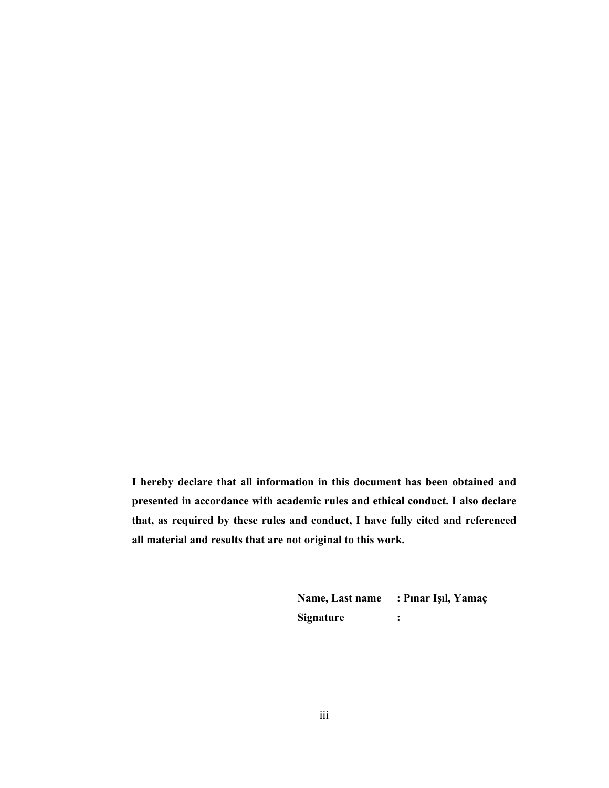**I hereby declare that all information in this document has been obtained and presented in accordance with academic rules and ethical conduct. I also declare that, as required by these rules and conduct, I have fully cited and referenced all material and results that are not original to this work.** 

> **Name, Last name : Pınar Işıl, Yamaç Signature :**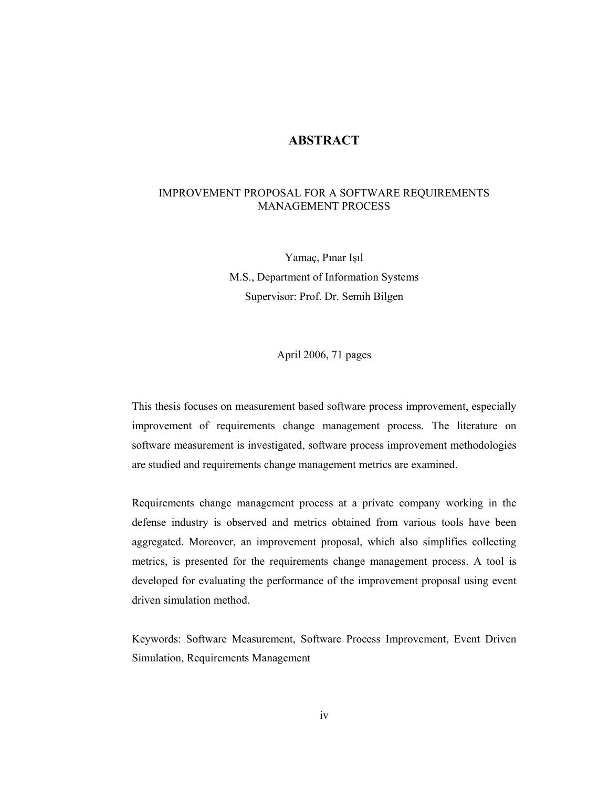## **ABSTRACT**

## IMPROVEMENT PROPOSAL FOR A SOFTWARE REQUIREMENTS MANAGEMENT PROCESS

Yamaç, Pınar Işıl M.S., Department of Information Systems Supervisor: Prof. Dr. Semih Bilgen

April 2006, 71 pages

This thesis focuses on measurement based software process improvement, especially improvement of requirements change management process. The literature on software measurement is investigated, software process improvement methodologies are studied and requirements change management metrics are examined.

Requirements change management process at a private company working in the defense industry is observed and metrics obtained from various tools have been aggregated. Moreover, an improvement proposal, which also simplifies collecting metrics, is presented for the requirements change management process. A tool is developed for evaluating the performance of the improvement proposal using event driven simulation method.

Keywords: Software Measurement, Software Process Improvement, Event Driven Simulation, Requirements Management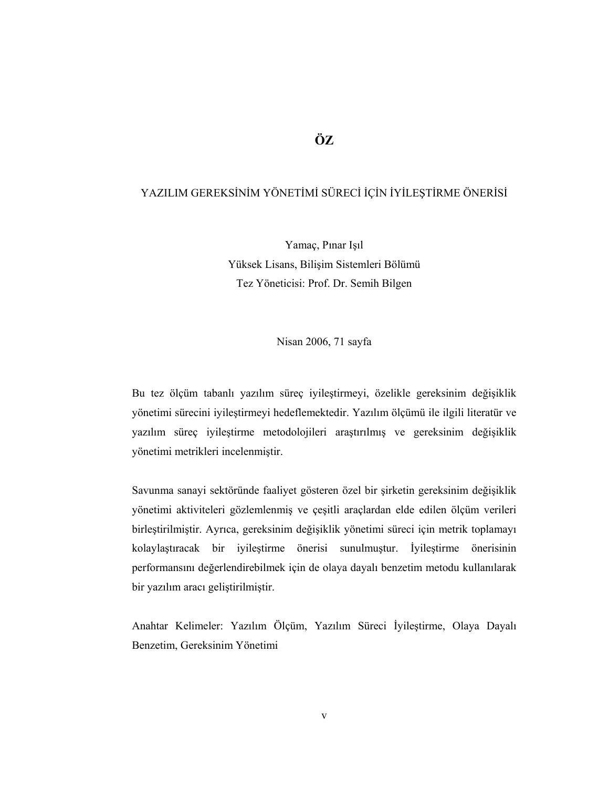# **ÖZ**

## YAZILIM GEREKSİNİM YÖNETİMİ SÜRECİ İÇİN İYİLEŞTİRME ÖNERİSİ

Yamaç, Pınar Işıl Yüksek Lisans, Bilişim Sistemleri Bölümü Tez Yöneticisi: Prof. Dr. Semih Bilgen

Nisan 2006, 71 sayfa

Bu tez ölçüm tabanlı yazılım süreç iyileştirmeyi, özelikle gereksinim değişiklik yönetimi sürecini iyileştirmeyi hedeflemektedir. Yazılım ölçümü ile ilgili literatür ve yazılım süreç iyileştirme metodolojileri araştırılmış ve gereksinim değişiklik yönetimi metrikleri incelenmiştir.

Savunma sanayi sektöründe faaliyet gösteren özel bir şirketin gereksinim değişiklik yönetimi aktiviteleri gözlemlenmiş ve çeşitli araçlardan elde edilen ölçüm verileri birleştirilmiştir. Ayrıca, gereksinim değişiklik yönetimi süreci için metrik toplamayı kolaylaştıracak bir iyileştirme önerisi sunulmuştur. İyileştirme önerisinin performansını değerlendirebilmek için de olaya dayalı benzetim metodu kullanılarak bir yazılım aracı geliştirilmiştir.

Anahtar Kelimeler: Yazılım Ölçüm, Yazılım Süreci İyileştirme, Olaya Dayalı Benzetim, Gereksinim Yönetimi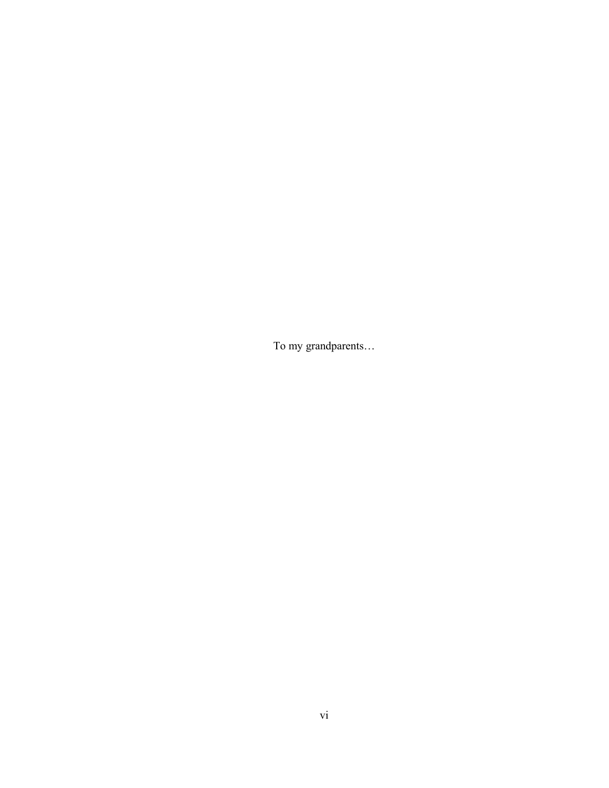To my grandparents…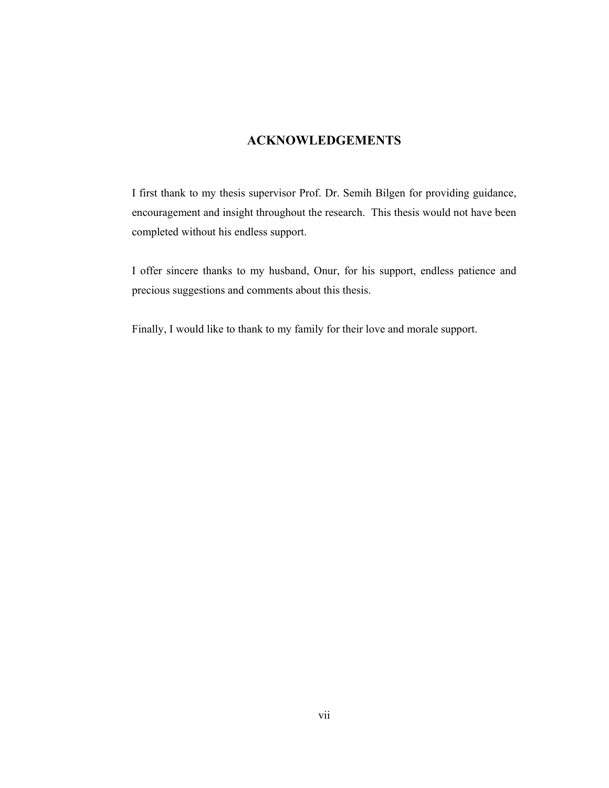## **ACKNOWLEDGEMENTS**

I first thank to my thesis supervisor Prof. Dr. Semih Bilgen for providing guidance, encouragement and insight throughout the research. This thesis would not have been completed without his endless support.

I offer sincere thanks to my husband, Onur, for his support, endless patience and precious suggestions and comments about this thesis.

Finally, I would like to thank to my family for their love and morale support.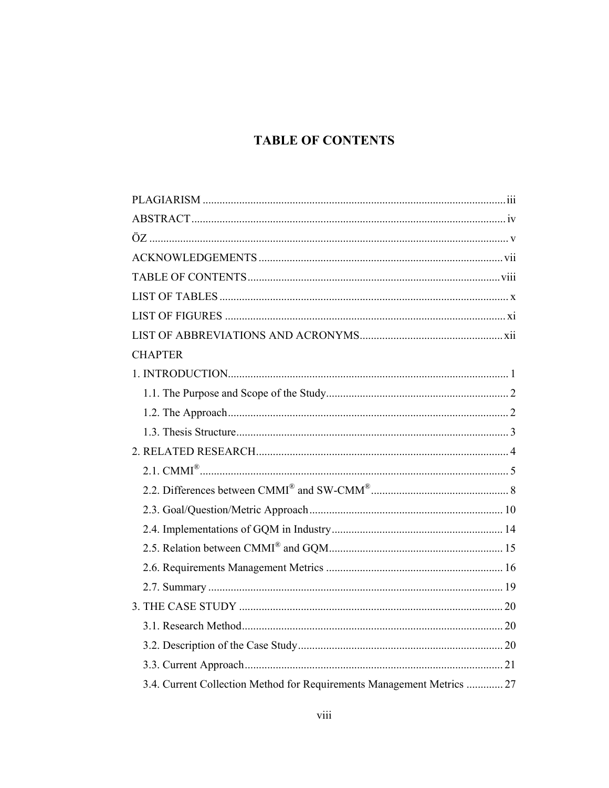# **TABLE OF CONTENTS**

| <b>CHAPTER</b>                                                         |  |
|------------------------------------------------------------------------|--|
|                                                                        |  |
|                                                                        |  |
|                                                                        |  |
|                                                                        |  |
|                                                                        |  |
|                                                                        |  |
|                                                                        |  |
|                                                                        |  |
|                                                                        |  |
|                                                                        |  |
|                                                                        |  |
|                                                                        |  |
|                                                                        |  |
|                                                                        |  |
|                                                                        |  |
|                                                                        |  |
| 3.4. Current Collection Method for Requirements Management Metrics  27 |  |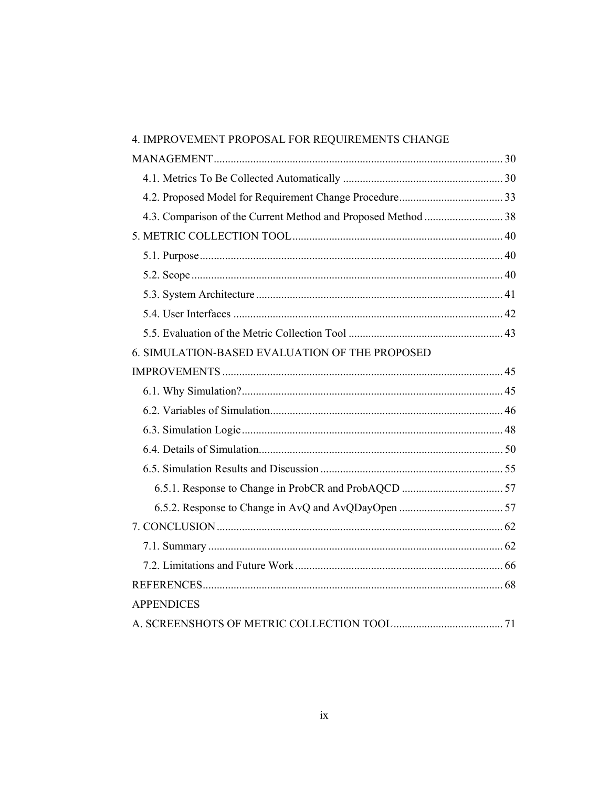| 4. IMPROVEMENT PROPOSAL FOR REQUIREMENTS CHANGE |  |
|-------------------------------------------------|--|
|                                                 |  |
|                                                 |  |
|                                                 |  |
|                                                 |  |
|                                                 |  |
|                                                 |  |
|                                                 |  |
|                                                 |  |
|                                                 |  |
|                                                 |  |
| 6. SIMULATION-BASED EVALUATION OF THE PROPOSED  |  |
|                                                 |  |
|                                                 |  |
|                                                 |  |
|                                                 |  |
|                                                 |  |
|                                                 |  |
|                                                 |  |
|                                                 |  |
|                                                 |  |
|                                                 |  |
|                                                 |  |
|                                                 |  |
| <b>APPENDICES</b>                               |  |
|                                                 |  |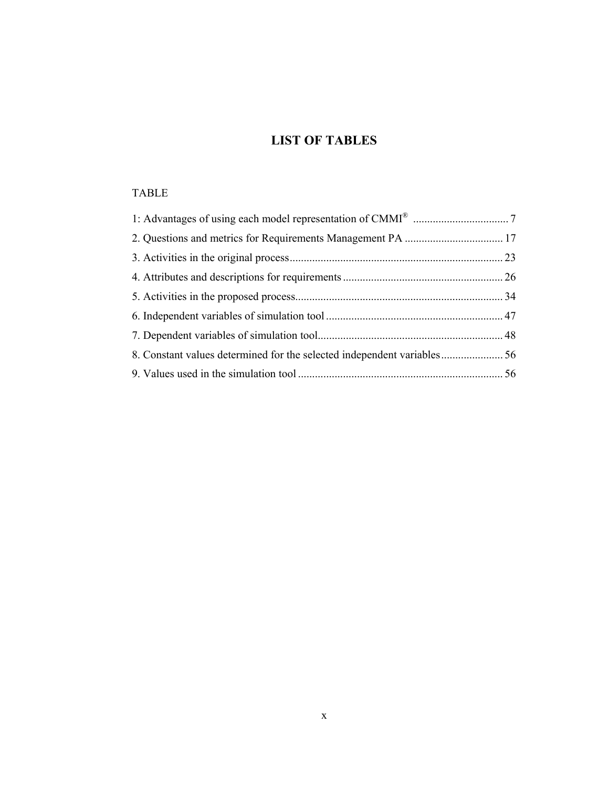# **LIST OF TABLES**

## TABLE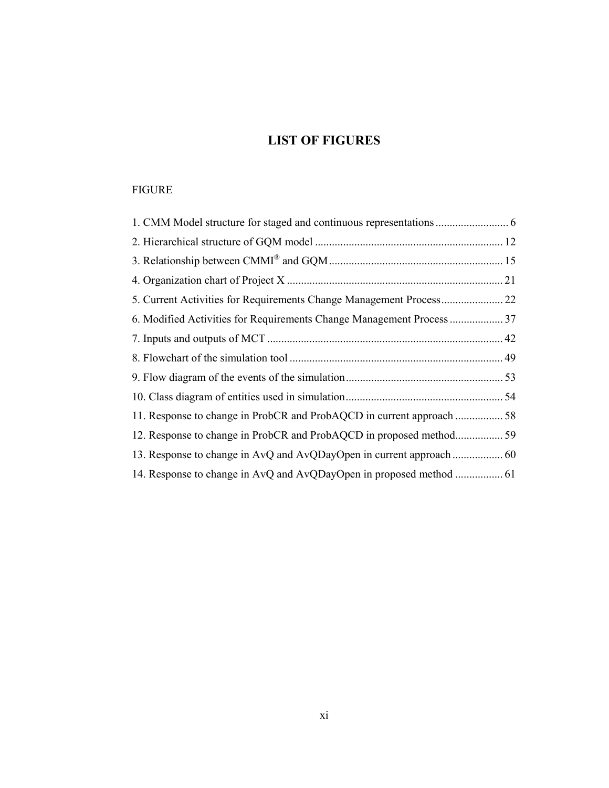# **LIST OF FIGURES**

## FIGURE

| 5. Current Activities for Requirements Change Management Process 22 |  |
|---------------------------------------------------------------------|--|
|                                                                     |  |
|                                                                     |  |
|                                                                     |  |
|                                                                     |  |
|                                                                     |  |
|                                                                     |  |
|                                                                     |  |
|                                                                     |  |
|                                                                     |  |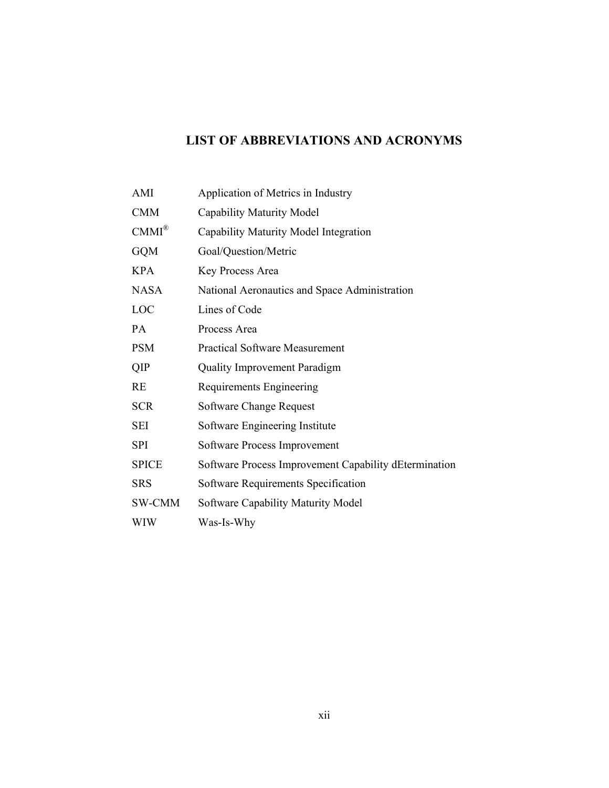# **LIST OF ABBREVIATIONS AND ACRONYMS**

| AMI              | Application of Metrics in Industry                    |
|------------------|-------------------------------------------------------|
| <b>CMM</b>       | Capability Maturity Model                             |
| $CMMI^{\otimes}$ | Capability Maturity Model Integration                 |
| <b>GQM</b>       | Goal/Question/Metric                                  |
| <b>KPA</b>       | Key Process Area                                      |
| <b>NASA</b>      | National Aeronautics and Space Administration         |
| LOC              | Lines of Code                                         |
| <b>PA</b>        | Process Area                                          |
| <b>PSM</b>       | <b>Practical Software Measurement</b>                 |
| QIP              | <b>Quality Improvement Paradigm</b>                   |
| <b>RE</b>        | Requirements Engineering                              |
| <b>SCR</b>       | <b>Software Change Request</b>                        |
| SEI              | Software Engineering Institute                        |
| <b>SPI</b>       | Software Process Improvement                          |
| <b>SPICE</b>     | Software Process Improvement Capability dEtermination |
| <b>SRS</b>       | Software Requirements Specification                   |
| SW-CMM           | <b>Software Capability Maturity Model</b>             |
| WIW              | Was-Is-Why                                            |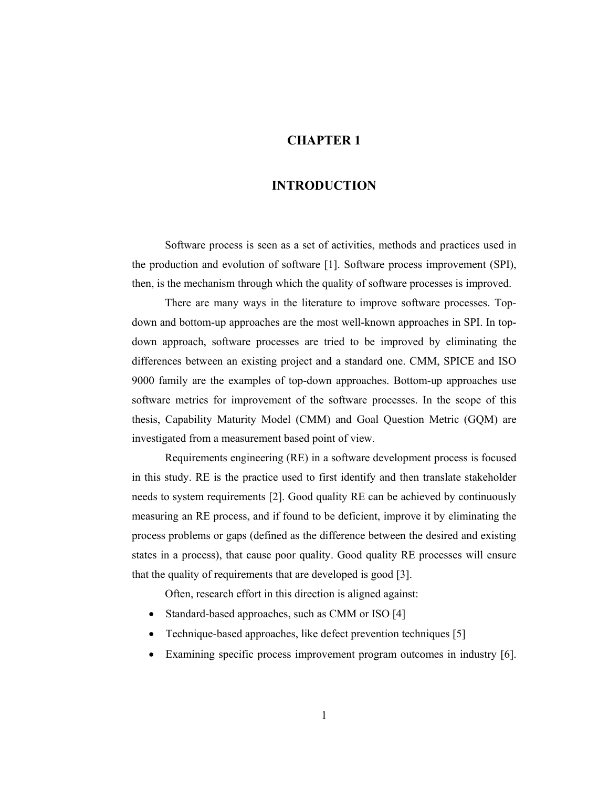## **CHAPTER 1**

## **INTRODUCTION**

Software process is seen as a set of activities, methods and practices used in the production and evolution of software [1]. Software process improvement (SPI), then, is the mechanism through which the quality of software processes is improved.

There are many ways in the literature to improve software processes. Topdown and bottom-up approaches are the most well-known approaches in SPI. In topdown approach, software processes are tried to be improved by eliminating the differences between an existing project and a standard one. CMM, SPICE and ISO 9000 family are the examples of top-down approaches. Bottom-up approaches use software metrics for improvement of the software processes. In the scope of this thesis, Capability Maturity Model (CMM) and Goal Question Metric (GQM) are investigated from a measurement based point of view.

Requirements engineering (RE) in a software development process is focused in this study. RE is the practice used to first identify and then translate stakeholder needs to system requirements [2]. Good quality RE can be achieved by continuously measuring an RE process, and if found to be deficient, improve it by eliminating the process problems or gaps (defined as the difference between the desired and existing states in a process), that cause poor quality. Good quality RE processes will ensure that the quality of requirements that are developed is good [3].

Often, research effort in this direction is aligned against:

- Standard-based approaches, such as CMM or ISO [4]
- Technique-based approaches, like defect prevention techniques [5]
- Examining specific process improvement program outcomes in industry [6].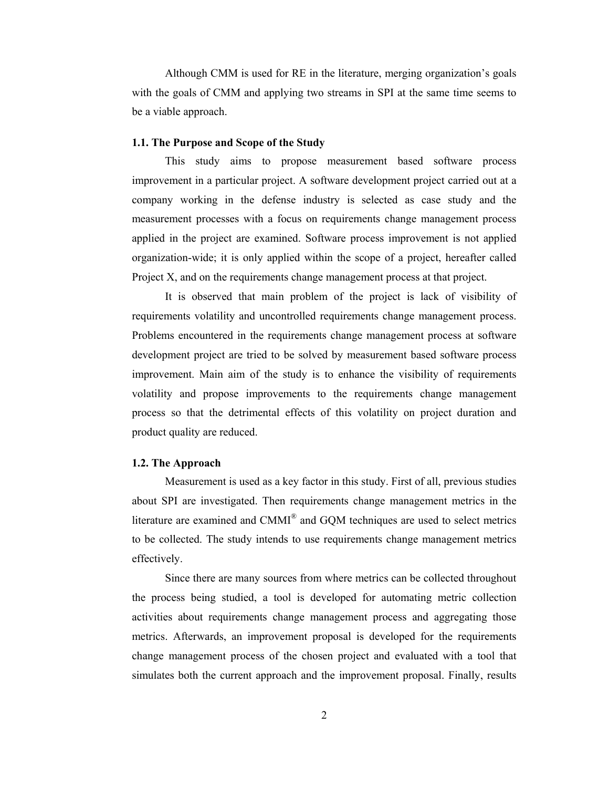Although CMM is used for RE in the literature, merging organization's goals with the goals of CMM and applying two streams in SPI at the same time seems to be a viable approach.

#### **1.1. The Purpose and Scope of the Study**

This study aims to propose measurement based software process improvement in a particular project. A software development project carried out at a company working in the defense industry is selected as case study and the measurement processes with a focus on requirements change management process applied in the project are examined. Software process improvement is not applied organization-wide; it is only applied within the scope of a project, hereafter called Project X, and on the requirements change management process at that project.

It is observed that main problem of the project is lack of visibility of requirements volatility and uncontrolled requirements change management process. Problems encountered in the requirements change management process at software development project are tried to be solved by measurement based software process improvement. Main aim of the study is to enhance the visibility of requirements volatility and propose improvements to the requirements change management process so that the detrimental effects of this volatility on project duration and product quality are reduced.

#### **1.2. The Approach**

Measurement is used as a key factor in this study. First of all, previous studies about SPI are investigated. Then requirements change management metrics in the literature are examined and CMMI® and GQM techniques are used to select metrics to be collected. The study intends to use requirements change management metrics effectively.

Since there are many sources from where metrics can be collected throughout the process being studied, a tool is developed for automating metric collection activities about requirements change management process and aggregating those metrics. Afterwards, an improvement proposal is developed for the requirements change management process of the chosen project and evaluated with a tool that simulates both the current approach and the improvement proposal. Finally, results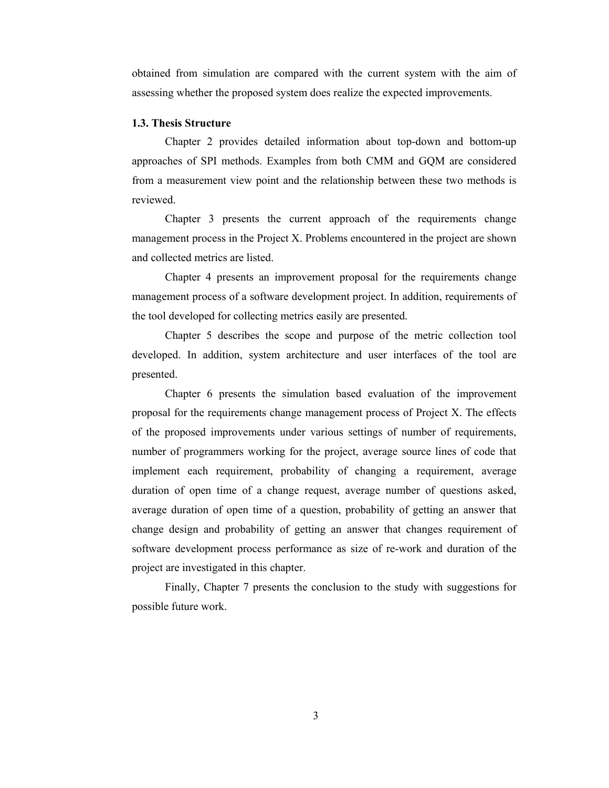obtained from simulation are compared with the current system with the aim of assessing whether the proposed system does realize the expected improvements.

#### **1.3. Thesis Structure**

Chapter 2 provides detailed information about top-down and bottom-up approaches of SPI methods. Examples from both CMM and GQM are considered from a measurement view point and the relationship between these two methods is reviewed.

Chapter 3 presents the current approach of the requirements change management process in the Project X. Problems encountered in the project are shown and collected metrics are listed.

Chapter 4 presents an improvement proposal for the requirements change management process of a software development project. In addition, requirements of the tool developed for collecting metrics easily are presented.

Chapter 5 describes the scope and purpose of the metric collection tool developed. In addition, system architecture and user interfaces of the tool are presented.

Chapter 6 presents the simulation based evaluation of the improvement proposal for the requirements change management process of Project X. The effects of the proposed improvements under various settings of number of requirements, number of programmers working for the project, average source lines of code that implement each requirement, probability of changing a requirement, average duration of open time of a change request, average number of questions asked, average duration of open time of a question, probability of getting an answer that change design and probability of getting an answer that changes requirement of software development process performance as size of re-work and duration of the project are investigated in this chapter.

Finally, Chapter 7 presents the conclusion to the study with suggestions for possible future work.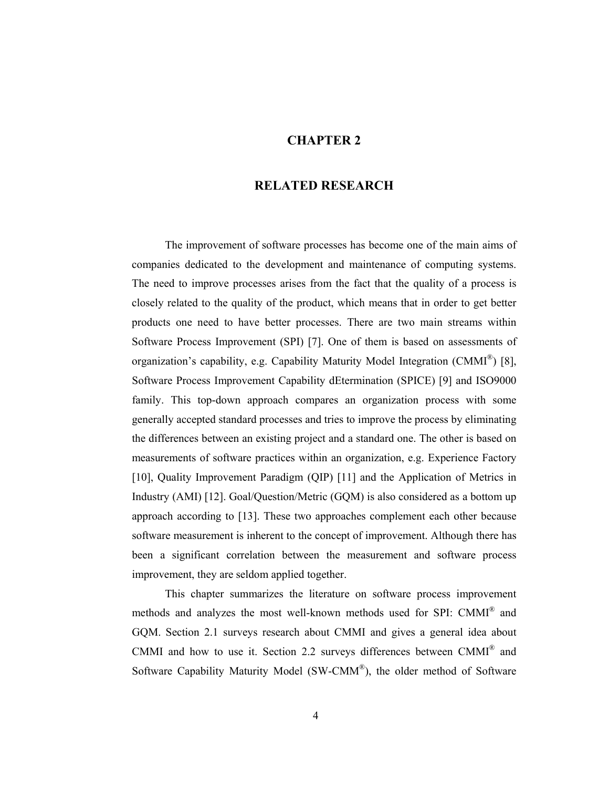### **CHAPTER 2**

## **RELATED RESEARCH**

The improvement of software processes has become one of the main aims of companies dedicated to the development and maintenance of computing systems. The need to improve processes arises from the fact that the quality of a process is closely related to the quality of the product, which means that in order to get better products one need to have better processes. There are two main streams within Software Process Improvement (SPI) [7]. One of them is based on assessments of organization's capability, e.g. Capability Maturity Model Integration (CMMI<sup>®</sup>) [8], Software Process Improvement Capability dEtermination (SPICE) [9] and ISO9000 family. This top-down approach compares an organization process with some generally accepted standard processes and tries to improve the process by eliminating the differences between an existing project and a standard one. The other is based on measurements of software practices within an organization, e.g. Experience Factory [10], Quality Improvement Paradigm (QIP) [11] and the Application of Metrics in Industry (AMI) [12]. Goal/Question/Metric (GQM) is also considered as a bottom up approach according to [13]. These two approaches complement each other because software measurement is inherent to the concept of improvement. Although there has been a significant correlation between the measurement and software process improvement, they are seldom applied together.

This chapter summarizes the literature on software process improvement methods and analyzes the most well-known methods used for SPI: CMMI® and GQM. Section 2.1 surveys research about CMMI and gives a general idea about CMMI and how to use it. Section 2.2 surveys differences between CMMI® and Software Capability Maturity Model (SW-CMM®), the older method of Software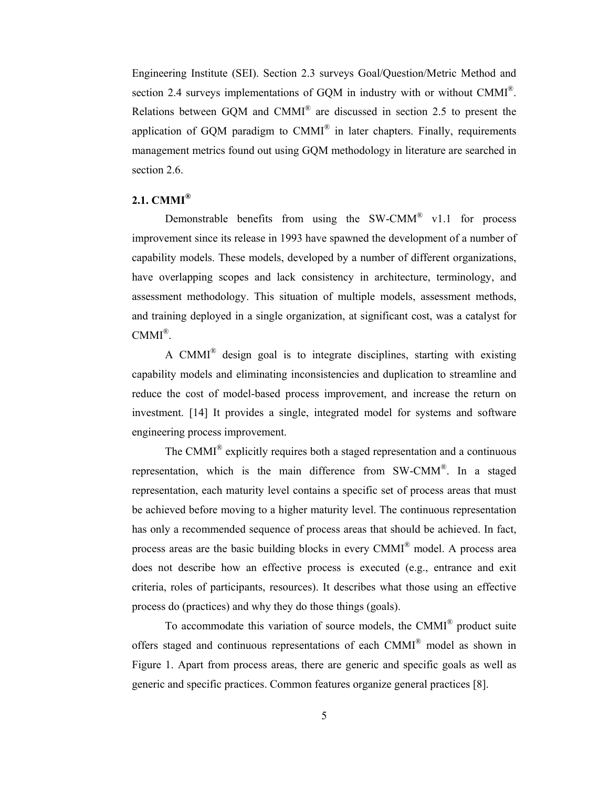Engineering Institute (SEI). Section 2.3 surveys Goal/Question/Metric Method and section 2.4 surveys implementations of GQM in industry with or without CMMI<sup>®</sup>. Relations between GQM and CMMI® are discussed in section 2.5 to present the application of GQM paradigm to  $CMMI^{\otimes}$  in later chapters. Finally, requirements management metrics found out using GQM methodology in literature are searched in section 2.6.

## **2.1. CMMI®**

Demonstrable benefits from using the  $SW\text{-}\text{CMM}^{\textcircled{\tiny{\textregistered$}}}$  v1.1 for process improvement since its release in 1993 have spawned the development of a number of capability models. These models, developed by a number of different organizations, have overlapping scopes and lack consistency in architecture, terminology, and assessment methodology. This situation of multiple models, assessment methods, and training deployed in a single organization, at significant cost, was a catalyst for  $CMMI^{\otimes}$ .

A CMMI® design goal is to integrate disciplines, starting with existing capability models and eliminating inconsistencies and duplication to streamline and reduce the cost of model-based process improvement, and increase the return on investment. [14] It provides a single, integrated model for systems and software engineering process improvement.

The CMMI® explicitly requires both a staged representation and a continuous representation, which is the main difference from  $SW\text{-}\text{CMM}^{\circledast}$ . In a staged representation, each maturity level contains a specific set of process areas that must be achieved before moving to a higher maturity level. The continuous representation has only a recommended sequence of process areas that should be achieved. In fact, process areas are the basic building blocks in every CMMI® model. A process area does not describe how an effective process is executed (e.g., entrance and exit criteria, roles of participants, resources). It describes what those using an effective process do (practices) and why they do those things (goals).

To accommodate this variation of source models, the CMMI® product suite offers staged and continuous representations of each CMMI® model as shown in Figure 1. Apart from process areas, there are generic and specific goals as well as generic and specific practices. Common features organize general practices [8].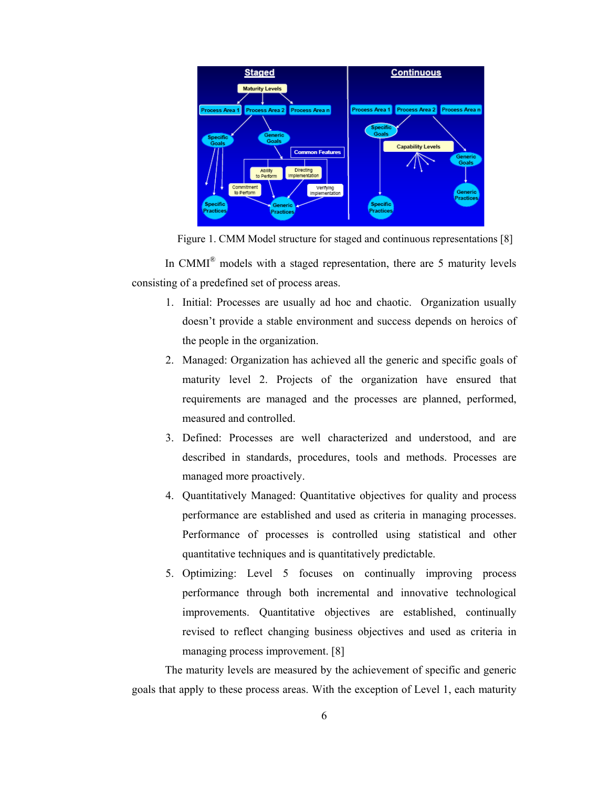

Figure 1. CMM Model structure for staged and continuous representations [8]

In CMMI<sup>®</sup> models with a staged representation, there are 5 maturity levels consisting of a predefined set of process areas.

- 1. Initial: Processes are usually ad hoc and chaotic. Organization usually doesn't provide a stable environment and success depends on heroics of the people in the organization.
- 2. Managed: Organization has achieved all the generic and specific goals of maturity level 2. Projects of the organization have ensured that requirements are managed and the processes are planned, performed, measured and controlled.
- 3. Defined: Processes are well characterized and understood, and are described in standards, procedures, tools and methods. Processes are managed more proactively.
- 4. Quantitatively Managed: Quantitative objectives for quality and process performance are established and used as criteria in managing processes. Performance of processes is controlled using statistical and other quantitative techniques and is quantitatively predictable.
- 5. Optimizing: Level 5 focuses on continually improving process performance through both incremental and innovative technological improvements. Quantitative objectives are established, continually revised to reflect changing business objectives and used as criteria in managing process improvement. [8]

The maturity levels are measured by the achievement of specific and generic goals that apply to these process areas. With the exception of Level 1, each maturity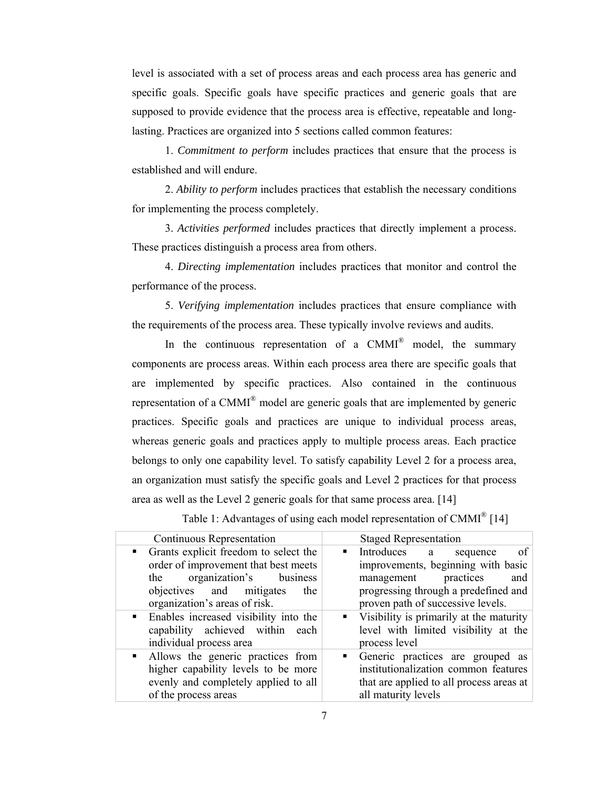level is associated with a set of process areas and each process area has generic and specific goals. Specific goals have specific practices and generic goals that are supposed to provide evidence that the process area is effective, repeatable and longlasting. Practices are organized into 5 sections called common features:

1. *Commitment to perform* includes practices that ensure that the process is established and will endure.

2. *Ability to perform* includes practices that establish the necessary conditions for implementing the process completely.

3. *Activities performed* includes practices that directly implement a process. These practices distinguish a process area from others.

4. *Directing implementation* includes practices that monitor and control the performance of the process.

5. *Verifying implementation* includes practices that ensure compliance with the requirements of the process area. These typically involve reviews and audits.

In the continuous representation of a  $CMMI^{\otimes}$  model, the summary components are process areas. Within each process area there are specific goals that are implemented by specific practices. Also contained in the continuous representation of a CMMI<sup>®</sup> model are generic goals that are implemented by generic practices. Specific goals and practices are unique to individual process areas, whereas generic goals and practices apply to multiple process areas. Each practice belongs to only one capability level. To satisfy capability Level 2 for a process area, an organization must satisfy the specific goals and Level 2 practices for that process area as well as the Level 2 generic goals for that same process area. [14]

| Continuous Representation                                                                                                      | <b>Staged Representation</b>                                                                                |
|--------------------------------------------------------------------------------------------------------------------------------|-------------------------------------------------------------------------------------------------------------|
| Grants explicit freedom to select the<br>$\blacksquare$<br>order of improvement that best meets<br>the organization's business | Introduces a<br><sub>of</sub><br>sequence<br>improvements, beginning with basic<br>management practices and |
| objectives and mitigates the<br>organization's areas of risk.                                                                  | progressing through a predefined and<br>proven path of successive levels.                                   |
| Enables increased visibility into the<br>$\blacksquare$<br>capability achieved within each<br>individual process area          | • Visibility is primarily at the maturity<br>level with limited visibility at the<br>nroaasa laval          |

Table 1: Advantages of using each model representation of CMMI<sup>®</sup> [14]

individual process area process level Allows the generic practices from higher capability levels to be more evenly and completely applied to all of the process areas Generic practices are grouped as institutionalization common features that are applied to all process areas at all maturity levels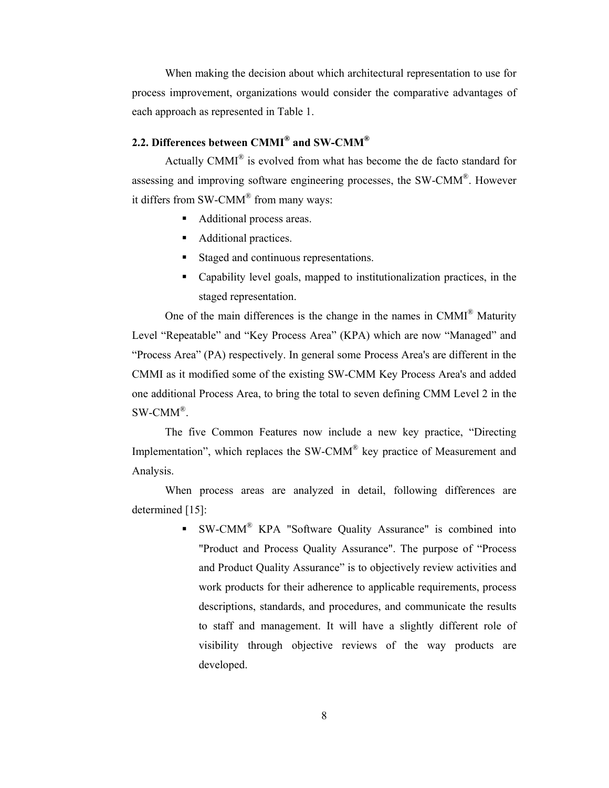When making the decision about which architectural representation to use for process improvement, organizations would consider the comparative advantages of each approach as represented in Table 1.

# **2.2. Differences between CMMI® and SW-CMM®**

Actually CMMI® is evolved from what has become the de facto standard for assessing and improving software engineering processes, the SW-CMM®. However it differs from SW-CMM<sup>®</sup> from many ways:

- Additional process areas.
- Additional practices.
- Staged and continuous representations.
- Capability level goals, mapped to institutionalization practices, in the staged representation.

One of the main differences is the change in the names in CMMI® Maturity Level "Repeatable" and "Key Process Area" (KPA) which are now "Managed" and "Process Area" (PA) respectively. In general some Process Area's are different in the CMMI as it modified some of the existing SW-CMM Key Process Area's and added one additional Process Area, to bring the total to seven defining CMM Level 2 in the SW-CMM®.

The five Common Features now include a new key practice, "Directing Implementation", which replaces the SW-CMM<sup>®</sup> key practice of Measurement and Analysis.

When process areas are analyzed in detail, following differences are determined [15]:

> $\bullet$  SW-CMM<sup>®</sup> KPA "Software Quality Assurance" is combined into "Product and Process Quality Assurance". The purpose of "Process and Product Quality Assurance" is to objectively review activities and work products for their adherence to applicable requirements, process descriptions, standards, and procedures, and communicate the results to staff and management. It will have a slightly different role of visibility through objective reviews of the way products are developed.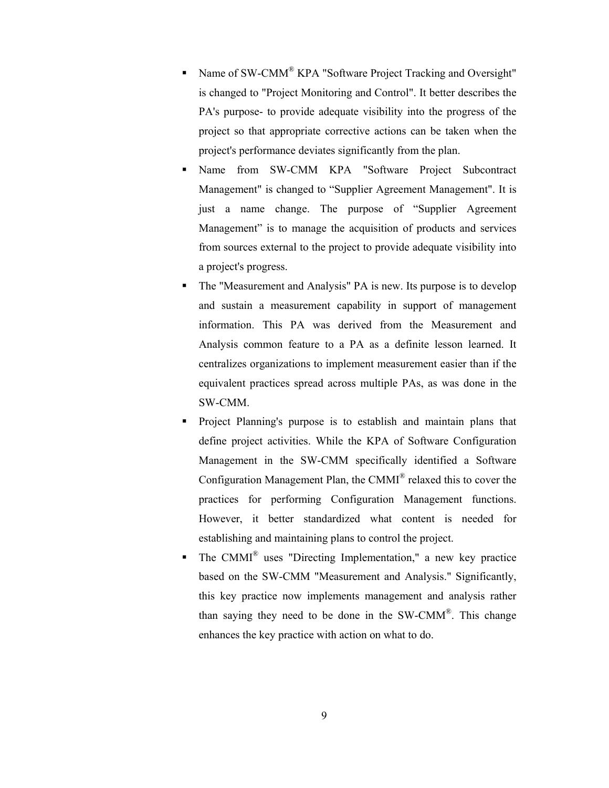- Name of SW-CMM® KPA "Software Project Tracking and Oversight" is changed to "Project Monitoring and Control". It better describes the PA's purpose- to provide adequate visibility into the progress of the project so that appropriate corrective actions can be taken when the project's performance deviates significantly from the plan.
- Name from SW-CMM KPA "Software Project Subcontract Management" is changed to "Supplier Agreement Management". It is just a name change. The purpose of "Supplier Agreement Management" is to manage the acquisition of products and services from sources external to the project to provide adequate visibility into a project's progress.
- The "Measurement and Analysis" PA is new. Its purpose is to develop and sustain a measurement capability in support of management information. This PA was derived from the Measurement and Analysis common feature to a PA as a definite lesson learned. It centralizes organizations to implement measurement easier than if the equivalent practices spread across multiple PAs, as was done in the SW-CMM.
- Project Planning's purpose is to establish and maintain plans that define project activities. While the KPA of Software Configuration Management in the SW-CMM specifically identified a Software Configuration Management Plan, the CMMI® relaxed this to cover the practices for performing Configuration Management functions. However, it better standardized what content is needed for establishing and maintaining plans to control the project.
- The CMMI® uses "Directing Implementation," a new key practice based on the SW-CMM "Measurement and Analysis." Significantly, this key practice now implements management and analysis rather than saying they need to be done in the SW-CMM®. This change enhances the key practice with action on what to do.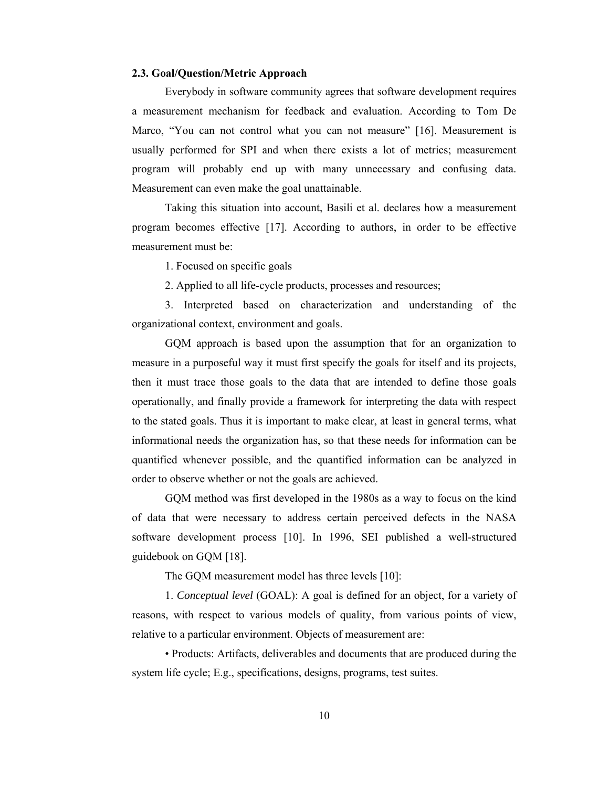#### **2.3. Goal/Question/Metric Approach**

Everybody in software community agrees that software development requires a measurement mechanism for feedback and evaluation. According to Tom De Marco, "You can not control what you can not measure" [16]. Measurement is usually performed for SPI and when there exists a lot of metrics; measurement program will probably end up with many unnecessary and confusing data. Measurement can even make the goal unattainable.

Taking this situation into account, Basili et al. declares how a measurement program becomes effective [17]. According to authors, in order to be effective measurement must be:

1. Focused on specific goals

2. Applied to all life-cycle products, processes and resources;

3. Interpreted based on characterization and understanding of the organizational context, environment and goals.

GQM approach is based upon the assumption that for an organization to measure in a purposeful way it must first specify the goals for itself and its projects, then it must trace those goals to the data that are intended to define those goals operationally, and finally provide a framework for interpreting the data with respect to the stated goals. Thus it is important to make clear, at least in general terms, what informational needs the organization has, so that these needs for information can be quantified whenever possible, and the quantified information can be analyzed in order to observe whether or not the goals are achieved.

GQM method was first developed in the 1980s as a way to focus on the kind of data that were necessary to address certain perceived defects in the NASA software development process [10]. In 1996, SEI published a well-structured guidebook on GQM [18].

The GQM measurement model has three levels [10]:

1. *Conceptual level* (GOAL): A goal is defined for an object, for a variety of reasons, with respect to various models of quality, from various points of view, relative to a particular environment. Objects of measurement are:

• Products: Artifacts, deliverables and documents that are produced during the system life cycle; E.g., specifications, designs, programs, test suites.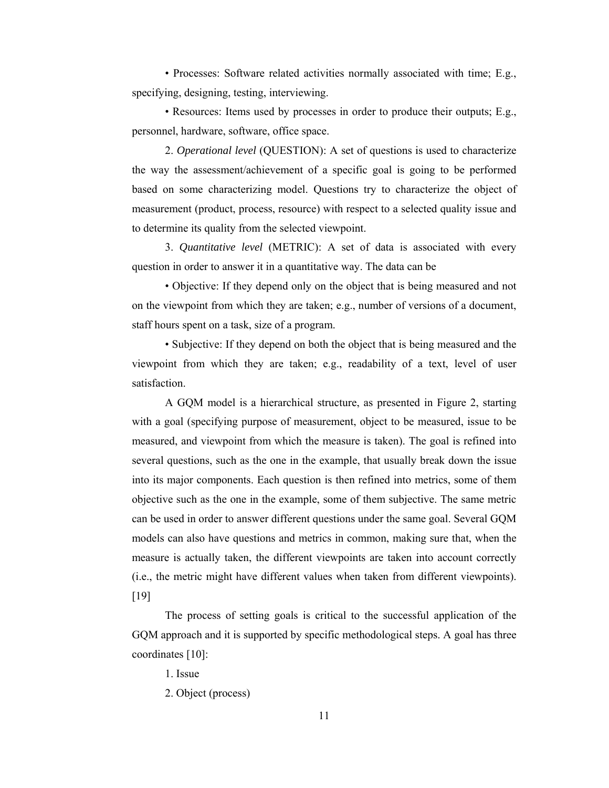• Processes: Software related activities normally associated with time; E.g., specifying, designing, testing, interviewing.

• Resources: Items used by processes in order to produce their outputs; E.g., personnel, hardware, software, office space.

2. *Operational level* (QUESTION): A set of questions is used to characterize the way the assessment/achievement of a specific goal is going to be performed based on some characterizing model. Questions try to characterize the object of measurement (product, process, resource) with respect to a selected quality issue and to determine its quality from the selected viewpoint.

3. *Quantitative level* (METRIC): A set of data is associated with every question in order to answer it in a quantitative way. The data can be

• Objective: If they depend only on the object that is being measured and not on the viewpoint from which they are taken; e.g., number of versions of a document, staff hours spent on a task, size of a program.

• Subjective: If they depend on both the object that is being measured and the viewpoint from which they are taken; e.g., readability of a text, level of user satisfaction.

A GQM model is a hierarchical structure, as presented in Figure 2, starting with a goal (specifying purpose of measurement, object to be measured, issue to be measured, and viewpoint from which the measure is taken). The goal is refined into several questions, such as the one in the example, that usually break down the issue into its major components. Each question is then refined into metrics, some of them objective such as the one in the example, some of them subjective. The same metric can be used in order to answer different questions under the same goal. Several GQM models can also have questions and metrics in common, making sure that, when the measure is actually taken, the different viewpoints are taken into account correctly (i.e., the metric might have different values when taken from different viewpoints). [19]

The process of setting goals is critical to the successful application of the GQM approach and it is supported by specific methodological steps. A goal has three coordinates [10]:

1. Issue

2. Object (process)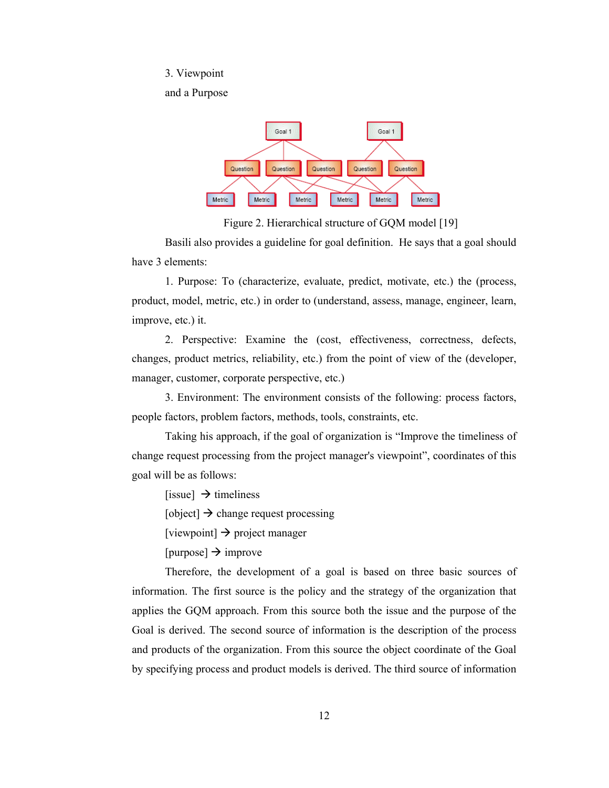#### 3. Viewpoint

and a Purpose



Figure 2. Hierarchical structure of GQM model [19]

Basili also provides a guideline for goal definition. He says that a goal should have 3 elements:

1. Purpose: To (characterize, evaluate, predict, motivate, etc.) the (process, product, model, metric, etc.) in order to (understand, assess, manage, engineer, learn, improve, etc.) it.

2. Perspective: Examine the (cost, effectiveness, correctness, defects, changes, product metrics, reliability, etc.) from the point of view of the (developer, manager, customer, corporate perspective, etc.)

3. Environment: The environment consists of the following: process factors, people factors, problem factors, methods, tools, constraints, etc.

Taking his approach, if the goal of organization is "Improve the timeliness of change request processing from the project manager's viewpoint", coordinates of this goal will be as follows:

[issue]  $\rightarrow$  timeliness

[object]  $\rightarrow$  change request processing

[viewpoint]  $\rightarrow$  project manager

[purpose]  $\rightarrow$  improve

Therefore, the development of a goal is based on three basic sources of information. The first source is the policy and the strategy of the organization that applies the GQM approach. From this source both the issue and the purpose of the Goal is derived. The second source of information is the description of the process and products of the organization. From this source the object coordinate of the Goal by specifying process and product models is derived. The third source of information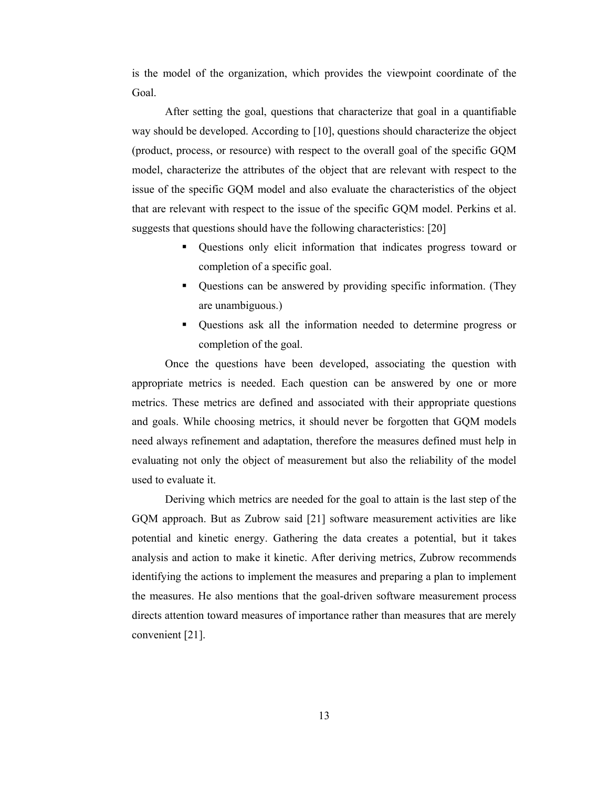is the model of the organization, which provides the viewpoint coordinate of the Goal.

After setting the goal, questions that characterize that goal in a quantifiable way should be developed. According to [10], questions should characterize the object (product, process, or resource) with respect to the overall goal of the specific GQM model, characterize the attributes of the object that are relevant with respect to the issue of the specific GQM model and also evaluate the characteristics of the object that are relevant with respect to the issue of the specific GQM model. Perkins et al. suggests that questions should have the following characteristics: [20]

- Questions only elicit information that indicates progress toward or completion of a specific goal.
- Ouestions can be answered by providing specific information. (They are unambiguous.)
- Questions ask all the information needed to determine progress or completion of the goal.

Once the questions have been developed, associating the question with appropriate metrics is needed. Each question can be answered by one or more metrics. These metrics are defined and associated with their appropriate questions and goals. While choosing metrics, it should never be forgotten that GQM models need always refinement and adaptation, therefore the measures defined must help in evaluating not only the object of measurement but also the reliability of the model used to evaluate it.

Deriving which metrics are needed for the goal to attain is the last step of the GQM approach. But as Zubrow said [21] software measurement activities are like potential and kinetic energy. Gathering the data creates a potential, but it takes analysis and action to make it kinetic. After deriving metrics, Zubrow recommends identifying the actions to implement the measures and preparing a plan to implement the measures. He also mentions that the goal-driven software measurement process directs attention toward measures of importance rather than measures that are merely convenient [21].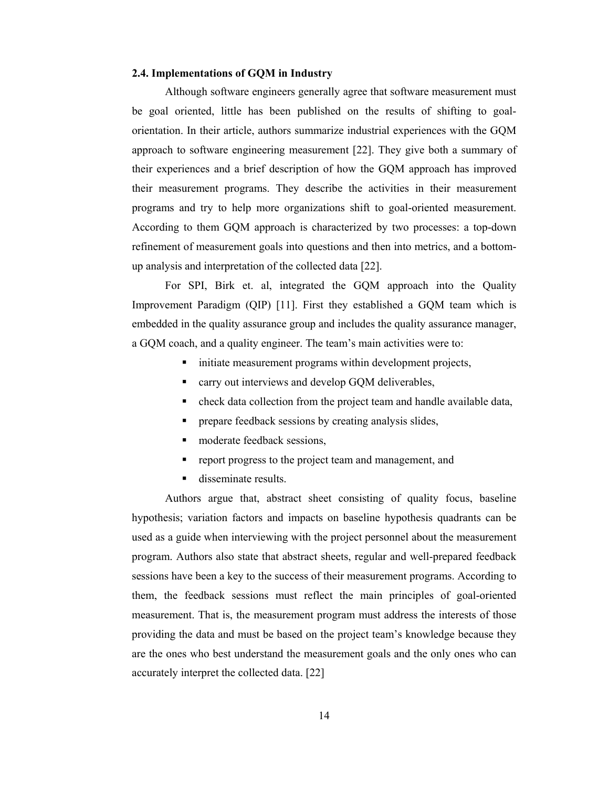#### **2.4. Implementations of GQM in Industry**

Although software engineers generally agree that software measurement must be goal oriented, little has been published on the results of shifting to goalorientation. In their article, authors summarize industrial experiences with the GQM approach to software engineering measurement [22]. They give both a summary of their experiences and a brief description of how the GQM approach has improved their measurement programs. They describe the activities in their measurement programs and try to help more organizations shift to goal-oriented measurement. According to them GQM approach is characterized by two processes: a top-down refinement of measurement goals into questions and then into metrics, and a bottomup analysis and interpretation of the collected data [22].

For SPI, Birk et. al, integrated the GQM approach into the Quality Improvement Paradigm (QIP) [11]. First they established a GQM team which is embedded in the quality assurance group and includes the quality assurance manager, a GQM coach, and a quality engineer. The team's main activities were to:

- $\blacksquare$  initiate measurement programs within development projects,
- **CALCE** carry out interviews and develop GQM deliverables,
- check data collection from the project team and handle available data,
- **PEDR** prepare feedback sessions by creating analysis slides,
- moderate feedback sessions,
- **•** report progress to the project team and management, and
- disseminate results.

Authors argue that, abstract sheet consisting of quality focus, baseline hypothesis; variation factors and impacts on baseline hypothesis quadrants can be used as a guide when interviewing with the project personnel about the measurement program. Authors also state that abstract sheets, regular and well-prepared feedback sessions have been a key to the success of their measurement programs. According to them, the feedback sessions must reflect the main principles of goal-oriented measurement. That is, the measurement program must address the interests of those providing the data and must be based on the project team's knowledge because they are the ones who best understand the measurement goals and the only ones who can accurately interpret the collected data. [22]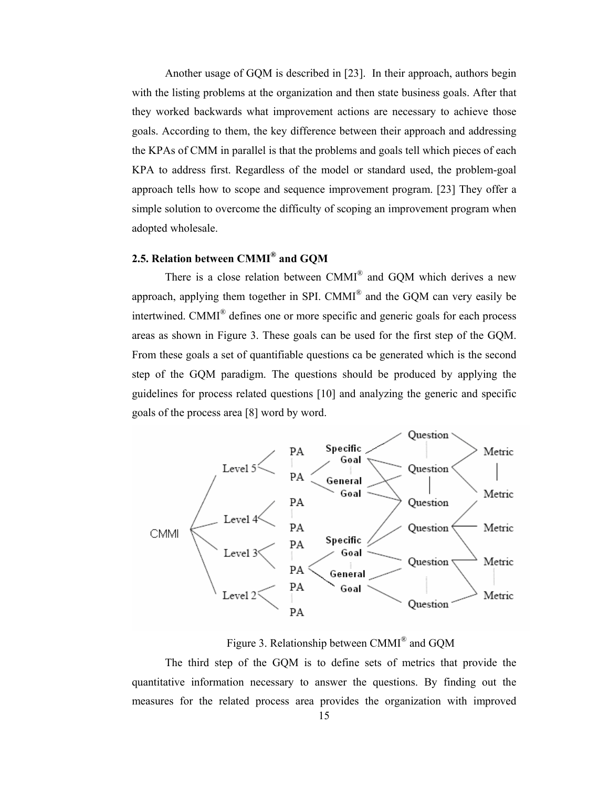Another usage of GQM is described in [23]. In their approach, authors begin with the listing problems at the organization and then state business goals. After that they worked backwards what improvement actions are necessary to achieve those goals. According to them, the key difference between their approach and addressing the KPAs of CMM in parallel is that the problems and goals tell which pieces of each KPA to address first. Regardless of the model or standard used, the problem-goal approach tells how to scope and sequence improvement program. [23] They offer a simple solution to overcome the difficulty of scoping an improvement program when adopted wholesale.

## **2.5. Relation between CMMI® and GQM**

There is a close relation between CMMI® and GQM which derives a new approach, applying them together in SPI. CMMI® and the GQM can very easily be intertwined. CMMI® defines one or more specific and generic goals for each process areas as shown in Figure 3. These goals can be used for the first step of the GQM. From these goals a set of quantifiable questions ca be generated which is the second step of the GQM paradigm. The questions should be produced by applying the guidelines for process related questions [10] and analyzing the generic and specific goals of the process area [8] word by word.



Figure 3. Relationship between CMMI® and GQM

The third step of the GQM is to define sets of metrics that provide the quantitative information necessary to answer the questions. By finding out the measures for the related process area provides the organization with improved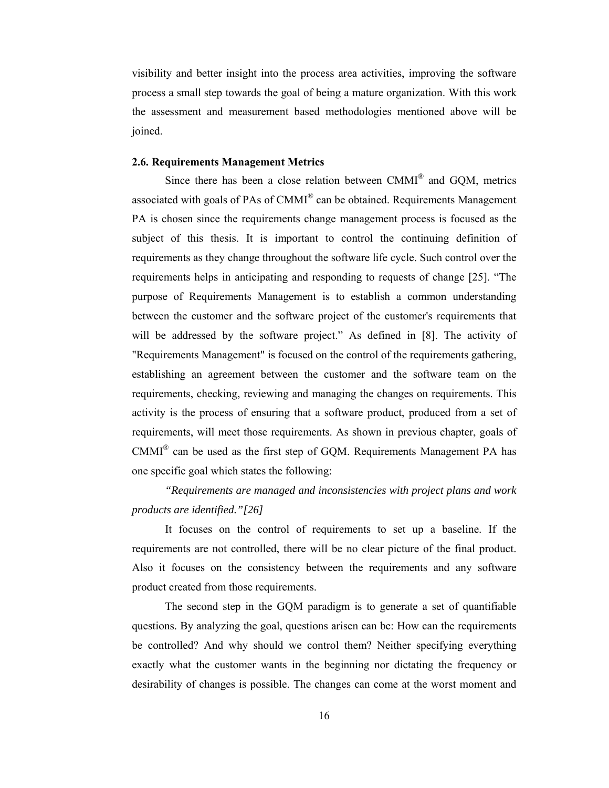visibility and better insight into the process area activities, improving the software process a small step towards the goal of being a mature organization. With this work the assessment and measurement based methodologies mentioned above will be joined.

#### **2.6. Requirements Management Metrics**

Since there has been a close relation between CMMI® and GQM, metrics associated with goals of PAs of  $CMMI^{\otimes}$  can be obtained. Requirements Management PA is chosen since the requirements change management process is focused as the subject of this thesis. It is important to control the continuing definition of requirements as they change throughout the software life cycle. Such control over the requirements helps in anticipating and responding to requests of change [25]. "The purpose of Requirements Management is to establish a common understanding between the customer and the software project of the customer's requirements that will be addressed by the software project." As defined in [8]. The activity of "Requirements Management" is focused on the control of the requirements gathering, establishing an agreement between the customer and the software team on the requirements, checking, reviewing and managing the changes on requirements. This activity is the process of ensuring that a software product, produced from a set of requirements, will meet those requirements. As shown in previous chapter, goals of  $CMMI^{\otimes}$  can be used as the first step of GQM. Requirements Management PA has one specific goal which states the following:

# *"Requirements are managed and inconsistencies with project plans and work products are identified."[26]*

It focuses on the control of requirements to set up a baseline. If the requirements are not controlled, there will be no clear picture of the final product. Also it focuses on the consistency between the requirements and any software product created from those requirements.

The second step in the GQM paradigm is to generate a set of quantifiable questions. By analyzing the goal, questions arisen can be: How can the requirements be controlled? And why should we control them? Neither specifying everything exactly what the customer wants in the beginning nor dictating the frequency or desirability of changes is possible. The changes can come at the worst moment and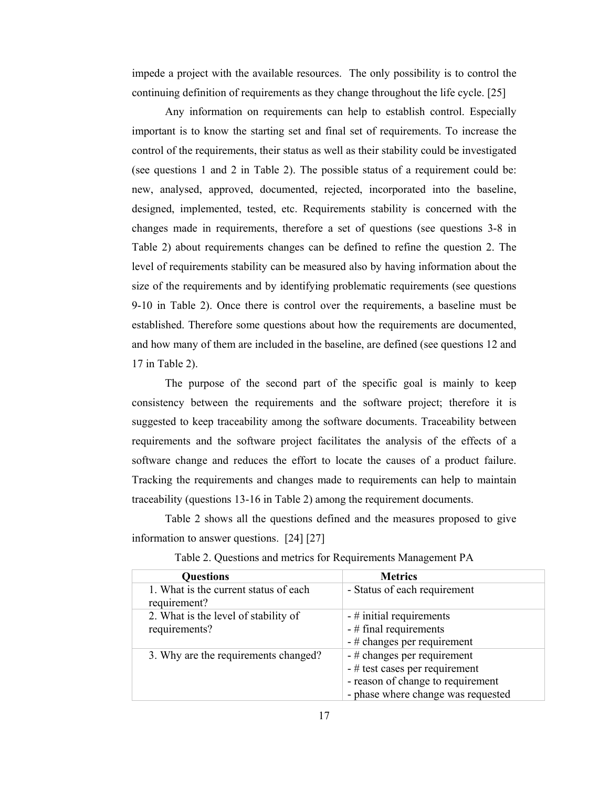impede a project with the available resources. The only possibility is to control the continuing definition of requirements as they change throughout the life cycle. [25]

Any information on requirements can help to establish control. Especially important is to know the starting set and final set of requirements. To increase the control of the requirements, their status as well as their stability could be investigated (see questions 1 and 2 in Table 2). The possible status of a requirement could be: new, analysed, approved, documented, rejected, incorporated into the baseline, designed, implemented, tested, etc. Requirements stability is concerned with the changes made in requirements, therefore a set of questions (see questions 3-8 in Table 2) about requirements changes can be defined to refine the question 2. The level of requirements stability can be measured also by having information about the size of the requirements and by identifying problematic requirements (see questions 9-10 in Table 2). Once there is control over the requirements, a baseline must be established. Therefore some questions about how the requirements are documented, and how many of them are included in the baseline, are defined (see questions 12 and 17 in Table 2).

The purpose of the second part of the specific goal is mainly to keep consistency between the requirements and the software project; therefore it is suggested to keep traceability among the software documents. Traceability between requirements and the software project facilitates the analysis of the effects of a software change and reduces the effort to locate the causes of a product failure. Tracking the requirements and changes made to requirements can help to maintain traceability (questions 13-16 in Table 2) among the requirement documents.

Table 2 shows all the questions defined and the measures proposed to give information to answer questions. [24] [27]

| <b>Questions</b>                                      | <b>Metrics</b>                     |
|-------------------------------------------------------|------------------------------------|
| 1. What is the current status of each<br>requirement? | - Status of each requirement       |
| 2. What is the level of stability of                  | $-$ # initial requirements         |
| requirements?                                         | - # final requirements             |
|                                                       | $-$ # changes per requirement      |
| 3. Why are the requirements changed?                  | $-$ # changes per requirement      |
|                                                       | $-$ # test cases per requirement   |
|                                                       | - reason of change to requirement  |
|                                                       | - phase where change was requested |

Table 2. Questions and metrics for Requirements Management PA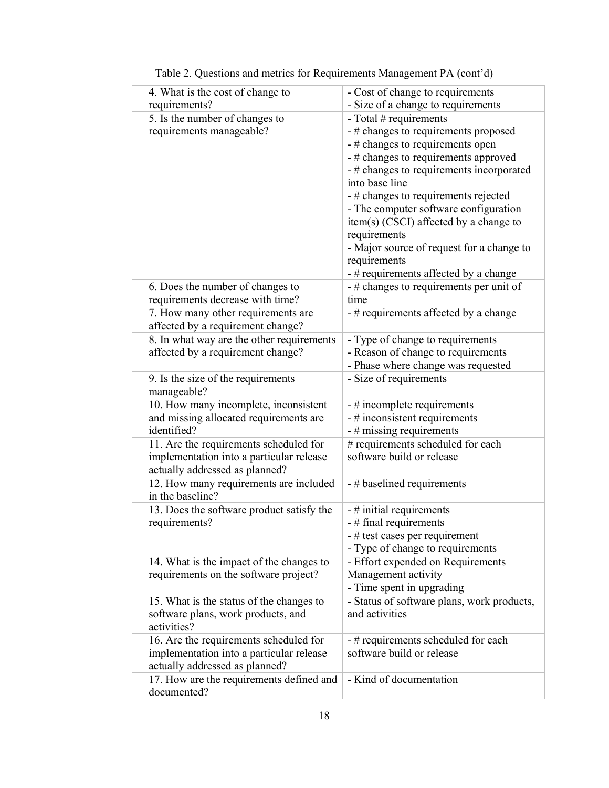| 4. What is the cost of change to<br>requirements?                                                                    | - Cost of change to requirements<br>- Size of a change to requirements                                                                                                                                                                                                                                                                                                                                                                                      |
|----------------------------------------------------------------------------------------------------------------------|-------------------------------------------------------------------------------------------------------------------------------------------------------------------------------------------------------------------------------------------------------------------------------------------------------------------------------------------------------------------------------------------------------------------------------------------------------------|
| 5. Is the number of changes to<br>requirements manageable?                                                           | - Total $#$ requirements<br>- # changes to requirements proposed<br>- # changes to requirements open<br>- # changes to requirements approved<br>- # changes to requirements incorporated<br>into base line<br>- # changes to requirements rejected<br>- The computer software configuration<br>item(s) (CSCI) affected by a change to<br>requirements<br>- Major source of request for a change to<br>requirements<br>- # requirements affected by a change |
| 6. Does the number of changes to<br>requirements decrease with time?                                                 | - # changes to requirements per unit of<br>time                                                                                                                                                                                                                                                                                                                                                                                                             |
| 7. How many other requirements are<br>affected by a requirement change?                                              | - # requirements affected by a change                                                                                                                                                                                                                                                                                                                                                                                                                       |
| 8. In what way are the other requirements<br>affected by a requirement change?                                       | - Type of change to requirements<br>- Reason of change to requirements<br>- Phase where change was requested                                                                                                                                                                                                                                                                                                                                                |
| 9. Is the size of the requirements<br>manageable?                                                                    | - Size of requirements                                                                                                                                                                                                                                                                                                                                                                                                                                      |
| 10. How many incomplete, inconsistent<br>and missing allocated requirements are<br>identified?                       | - # incomplete requirements<br>$-$ # inconsistent requirements<br>$-$ # missing requirements                                                                                                                                                                                                                                                                                                                                                                |
| 11. Are the requirements scheduled for<br>implementation into a particular release<br>actually addressed as planned? | # requirements scheduled for each<br>software build or release                                                                                                                                                                                                                                                                                                                                                                                              |
| 12. How many requirements are included<br>in the baseline?                                                           | - # baselined requirements                                                                                                                                                                                                                                                                                                                                                                                                                                  |
| 13. Does the software product satisfy the<br>requirements?                                                           | $-$ # initial requirements<br>$-$ # final requirements<br>- # test cases per requirement<br>- Type of change to requirements                                                                                                                                                                                                                                                                                                                                |
| 14. What is the impact of the changes to<br>requirements on the software project?                                    | - Effort expended on Requirements<br>Management activity<br>- Time spent in upgrading                                                                                                                                                                                                                                                                                                                                                                       |
| 15. What is the status of the changes to<br>software plans, work products, and<br>activities?                        | - Status of software plans, work products,<br>and activities                                                                                                                                                                                                                                                                                                                                                                                                |
| 16. Are the requirements scheduled for<br>implementation into a particular release<br>actually addressed as planned? | - # requirements scheduled for each<br>software build or release                                                                                                                                                                                                                                                                                                                                                                                            |
| 17. How are the requirements defined and<br>documented?                                                              | - Kind of documentation                                                                                                                                                                                                                                                                                                                                                                                                                                     |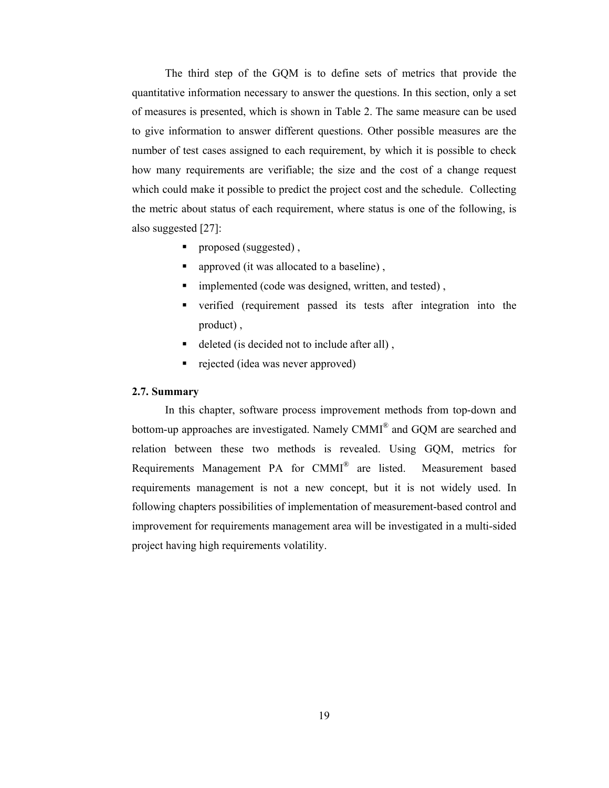The third step of the GQM is to define sets of metrics that provide the quantitative information necessary to answer the questions. In this section, only a set of measures is presented, which is shown in Table 2. The same measure can be used to give information to answer different questions. Other possible measures are the number of test cases assigned to each requirement, by which it is possible to check how many requirements are verifiable; the size and the cost of a change request which could make it possible to predict the project cost and the schedule. Collecting the metric about status of each requirement, where status is one of the following, is also suggested [27]:

- proposed (suggested),
- **approved (it was allocated to a baseline)**,
- $\blacksquare$  implemented (code was designed, written, and tested),
- verified (requirement passed its tests after integration into the product) ,
- deleted (is decided not to include after all) ,
- rejected (idea was never approved)

#### **2.7. Summary**

In this chapter, software process improvement methods from top-down and bottom-up approaches are investigated. Namely CMMI® and GQM are searched and relation between these two methods is revealed. Using GQM, metrics for Requirements Management PA for CMMI® are listed. Measurement based requirements management is not a new concept, but it is not widely used. In following chapters possibilities of implementation of measurement-based control and improvement for requirements management area will be investigated in a multi-sided project having high requirements volatility.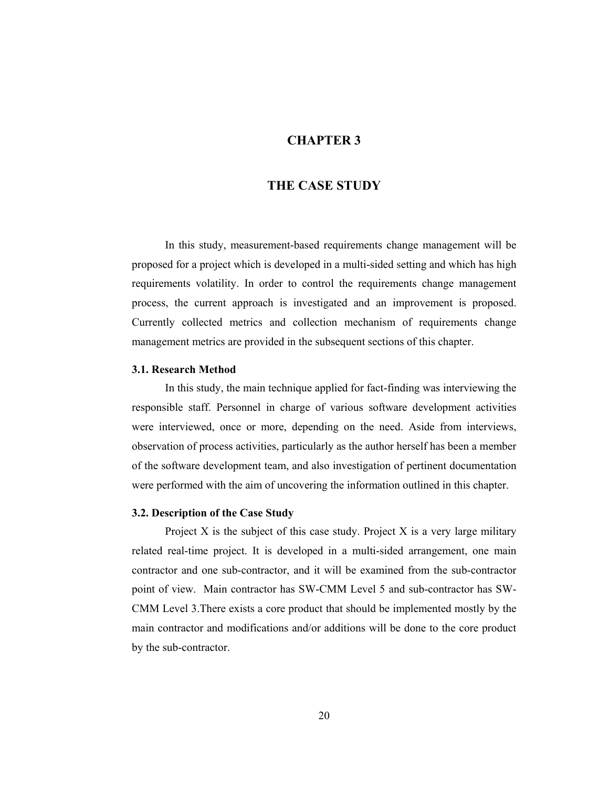## **CHAPTER 3**

## **THE CASE STUDY**

In this study, measurement-based requirements change management will be proposed for a project which is developed in a multi-sided setting and which has high requirements volatility. In order to control the requirements change management process, the current approach is investigated and an improvement is proposed. Currently collected metrics and collection mechanism of requirements change management metrics are provided in the subsequent sections of this chapter.

#### **3.1. Research Method**

In this study, the main technique applied for fact-finding was interviewing the responsible staff. Personnel in charge of various software development activities were interviewed, once or more, depending on the need. Aside from interviews, observation of process activities, particularly as the author herself has been a member of the software development team, and also investigation of pertinent documentation were performed with the aim of uncovering the information outlined in this chapter.

#### **3.2. Description of the Case Study**

Project  $X$  is the subject of this case study. Project  $X$  is a very large military related real-time project. It is developed in a multi-sided arrangement, one main contractor and one sub-contractor, and it will be examined from the sub-contractor point of view. Main contractor has SW-CMM Level 5 and sub-contractor has SW-CMM Level 3.There exists a core product that should be implemented mostly by the main contractor and modifications and/or additions will be done to the core product by the sub-contractor.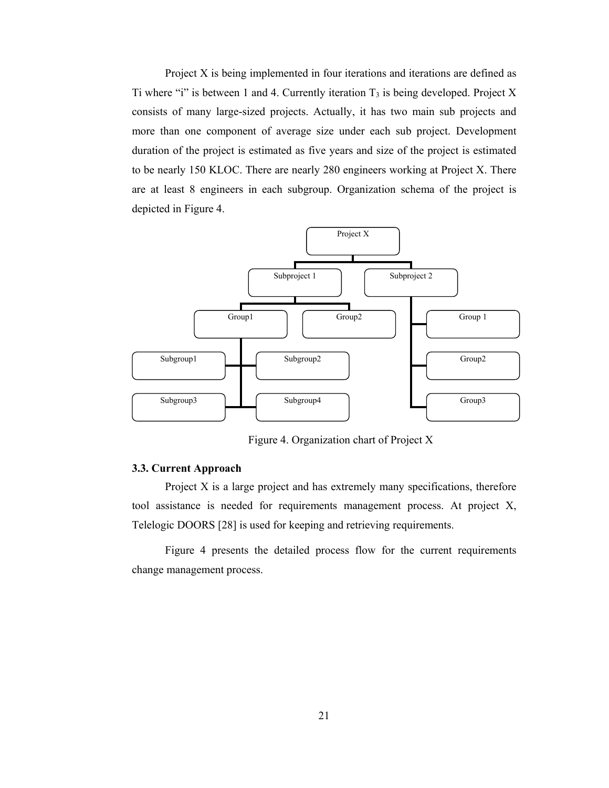Project X is being implemented in four iterations and iterations are defined as Ti where "i" is between 1 and 4. Currently iteration  $T_3$  is being developed. Project X consists of many large-sized projects. Actually, it has two main sub projects and more than one component of average size under each sub project. Development duration of the project is estimated as five years and size of the project is estimated to be nearly 150 KLOC. There are nearly 280 engineers working at Project X. There are at least 8 engineers in each subgroup. Organization schema of the project is depicted in Figure 4.



Figure 4. Organization chart of Project X

#### **3.3. Current Approach**

Project X is a large project and has extremely many specifications, therefore tool assistance is needed for requirements management process. At project X, Telelogic DOORS [28] is used for keeping and retrieving requirements.

Figure 4 presents the detailed process flow for the current requirements change management process.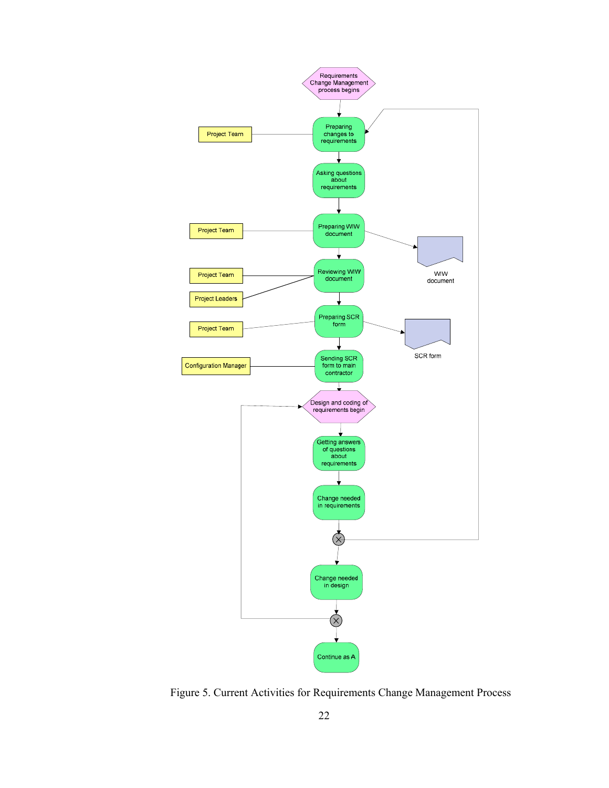

Figure 5. Current Activities for Requirements Change Management Process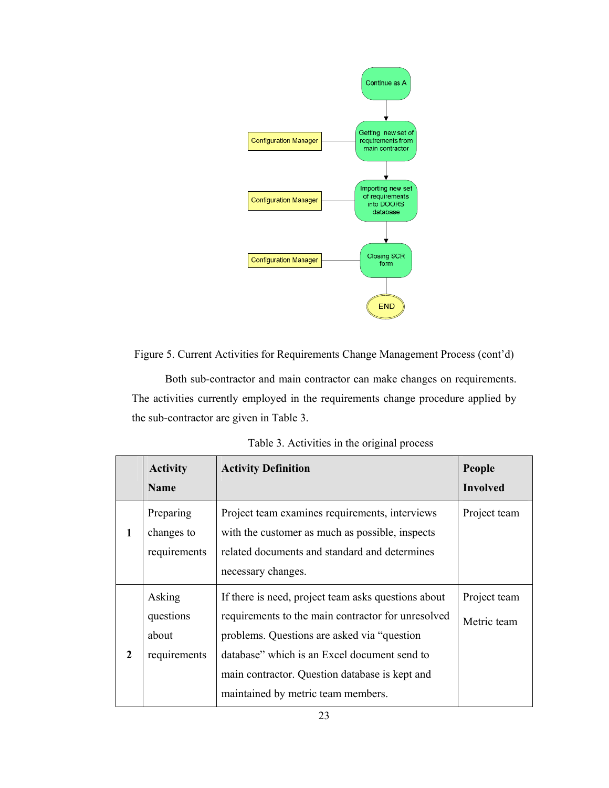

Figure 5. Current Activities for Requirements Change Management Process (cont'd)

Both sub-contractor and main contractor can make changes on requirements. The activities currently employed in the requirements change procedure applied by the sub-contractor are given in Table 3.

|              | <b>Activity</b><br>Name                      | <b>Activity Definition</b>                                                                                                                                                                                                                                                                        | People<br><b>Involved</b>   |
|--------------|----------------------------------------------|---------------------------------------------------------------------------------------------------------------------------------------------------------------------------------------------------------------------------------------------------------------------------------------------------|-----------------------------|
| 1            | Preparing<br>changes to<br>requirements      | Project team examines requirements, interviews<br>with the customer as much as possible, inspects<br>related documents and standard and determines<br>necessary changes.                                                                                                                          | Project team                |
| $\mathbf{2}$ | Asking<br>questions<br>about<br>requirements | If there is need, project team asks questions about<br>requirements to the main contractor for unresolved<br>problems. Questions are asked via "question"<br>database" which is an Excel document send to<br>main contractor. Question database is kept and<br>maintained by metric team members. | Project team<br>Metric team |

Table 3. Activities in the original process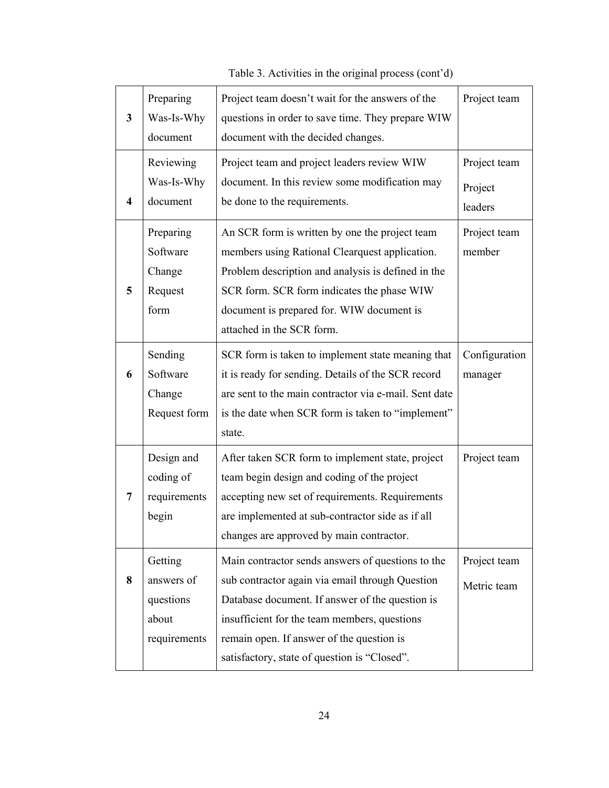| $\mathbf{3}$ | Preparing<br>Was-Is-Why<br>document                         | Project team doesn't wait for the answers of the<br>questions in order to save time. They prepare WIW<br>document with the decided changes.                                                                                                                                                          | Project team                       |
|--------------|-------------------------------------------------------------|------------------------------------------------------------------------------------------------------------------------------------------------------------------------------------------------------------------------------------------------------------------------------------------------------|------------------------------------|
| 4            | Reviewing<br>Was-Is-Why<br>document                         | Project team and project leaders review WIW<br>document. In this review some modification may<br>be done to the requirements.                                                                                                                                                                        | Project team<br>Project<br>leaders |
| 5            | Preparing<br>Software<br>Change<br>Request<br>form          | An SCR form is written by one the project team<br>members using Rational Clearquest application.<br>Problem description and analysis is defined in the<br>SCR form. SCR form indicates the phase WIW<br>document is prepared for. WIW document is<br>attached in the SCR form.                       | Project team<br>member             |
| 6            | Sending<br>Software<br>Change<br>Request form               | SCR form is taken to implement state meaning that<br>it is ready for sending. Details of the SCR record<br>are sent to the main contractor via e-mail. Sent date<br>is the date when SCR form is taken to "implement"<br>state.                                                                      | Configuration<br>manager           |
| 7            | Design and<br>coding of<br>requirements<br>begin            | After taken SCR form to implement state, project<br>team begin design and coding of the project<br>accepting new set of requirements. Requirements<br>are implemented at sub-contractor side as if all<br>changes are approved by main contractor.                                                   | Project team                       |
| 8            | Getting<br>answers of<br>questions<br>about<br>requirements | Main contractor sends answers of questions to the<br>sub contractor again via email through Question<br>Database document. If answer of the question is<br>insufficient for the team members, questions<br>remain open. If answer of the question is<br>satisfactory, state of question is "Closed". | Project team<br>Metric team        |

Table 3. Activities in the original process (cont'd)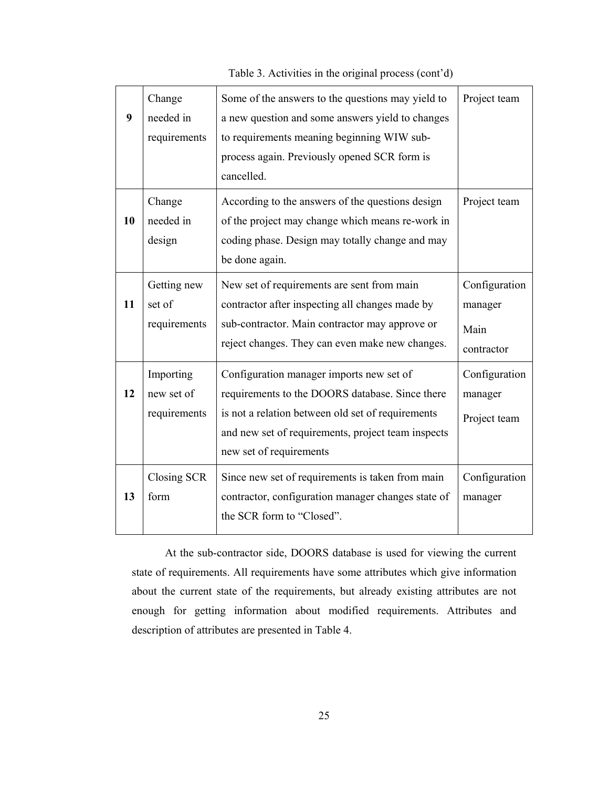**9**  Change needed in requirements Some of the answers to the questions may yield to a new question and some answers yield to changes to requirements meaning beginning WIW subprocess again. Previously opened SCR form is cancelled. Project team **10**  Change needed in design According to the answers of the questions design of the project may change which means re-work in coding phase. Design may totally change and may be done again. Project team **11**  Getting new set of requirements New set of requirements are sent from main contractor after inspecting all changes made by sub-contractor. Main contractor may approve or reject changes. They can even make new changes. Configuration manager Main contractor **12**  Importing new set of requirements Configuration manager imports new set of requirements to the DOORS database. Since there is not a relation between old set of requirements and new set of requirements, project team inspects new set of requirements Configuration manager Project team **13**  Closing SCR form Since new set of requirements is taken from main contractor, configuration manager changes state of the SCR form to "Closed". Configuration manager

Table 3. Activities in the original process (cont'd)

At the sub-contractor side, DOORS database is used for viewing the current state of requirements. All requirements have some attributes which give information about the current state of the requirements, but already existing attributes are not enough for getting information about modified requirements. Attributes and description of attributes are presented in Table 4.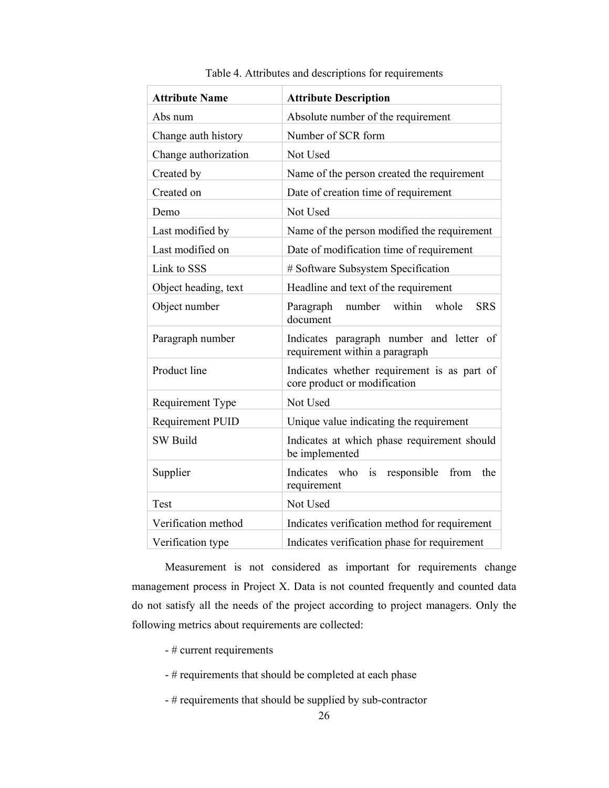| <b>Attribute Name</b>   | <b>Attribute Description</b>                                                |  |
|-------------------------|-----------------------------------------------------------------------------|--|
| Abs num                 | Absolute number of the requirement                                          |  |
| Change auth history     | Number of SCR form                                                          |  |
| Change authorization    | Not Used                                                                    |  |
| Created by              | Name of the person created the requirement                                  |  |
| Created on              | Date of creation time of requirement                                        |  |
| Demo                    | Not Used                                                                    |  |
| Last modified by        | Name of the person modified the requirement                                 |  |
| Last modified on        | Date of modification time of requirement                                    |  |
| Link to SSS             | # Software Subsystem Specification                                          |  |
| Object heading, text    | Headline and text of the requirement                                        |  |
| Object number           | within<br>whole<br><b>SRS</b><br>Paragraph<br>number<br>document            |  |
| Paragraph number        | Indicates paragraph number and letter of<br>requirement within a paragraph  |  |
| Product line            | Indicates whether requirement is as part of<br>core product or modification |  |
| Requirement Type        | Not Used                                                                    |  |
| <b>Requirement PUID</b> | Unique value indicating the requirement                                     |  |
| <b>SW Build</b>         | Indicates at which phase requirement should<br>be implemented               |  |
| Supplier                | from<br>Indicates who<br>responsible<br>the<br>is<br>requirement            |  |
| Test                    | Not Used                                                                    |  |
| Verification method     | Indicates verification method for requirement                               |  |
| Verification type       | Indicates verification phase for requirement                                |  |

Table 4. Attributes and descriptions for requirements

Measurement is not considered as important for requirements change management process in Project X. Data is not counted frequently and counted data do not satisfy all the needs of the project according to project managers. Only the following metrics about requirements are collected:

- # current requirements
- # requirements that should be completed at each phase
- # requirements that should be supplied by sub-contractor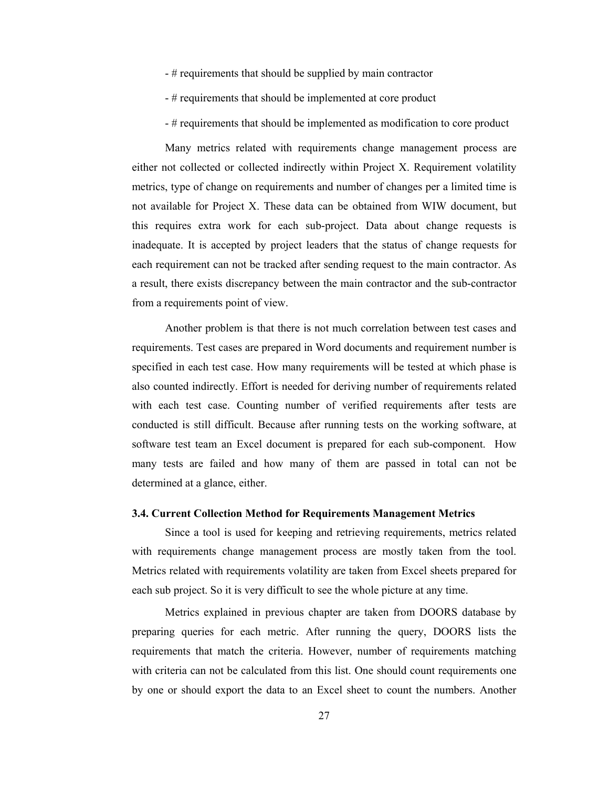- # requirements that should be supplied by main contractor
- # requirements that should be implemented at core product
- # requirements that should be implemented as modification to core product

Many metrics related with requirements change management process are either not collected or collected indirectly within Project X. Requirement volatility metrics, type of change on requirements and number of changes per a limited time is not available for Project X. These data can be obtained from WIW document, but this requires extra work for each sub-project. Data about change requests is inadequate. It is accepted by project leaders that the status of change requests for each requirement can not be tracked after sending request to the main contractor. As a result, there exists discrepancy between the main contractor and the sub-contractor from a requirements point of view.

Another problem is that there is not much correlation between test cases and requirements. Test cases are prepared in Word documents and requirement number is specified in each test case. How many requirements will be tested at which phase is also counted indirectly. Effort is needed for deriving number of requirements related with each test case. Counting number of verified requirements after tests are conducted is still difficult. Because after running tests on the working software, at software test team an Excel document is prepared for each sub-component. How many tests are failed and how many of them are passed in total can not be determined at a glance, either.

#### **3.4. Current Collection Method for Requirements Management Metrics**

Since a tool is used for keeping and retrieving requirements, metrics related with requirements change management process are mostly taken from the tool. Metrics related with requirements volatility are taken from Excel sheets prepared for each sub project. So it is very difficult to see the whole picture at any time.

Metrics explained in previous chapter are taken from DOORS database by preparing queries for each metric. After running the query, DOORS lists the requirements that match the criteria. However, number of requirements matching with criteria can not be calculated from this list. One should count requirements one by one or should export the data to an Excel sheet to count the numbers. Another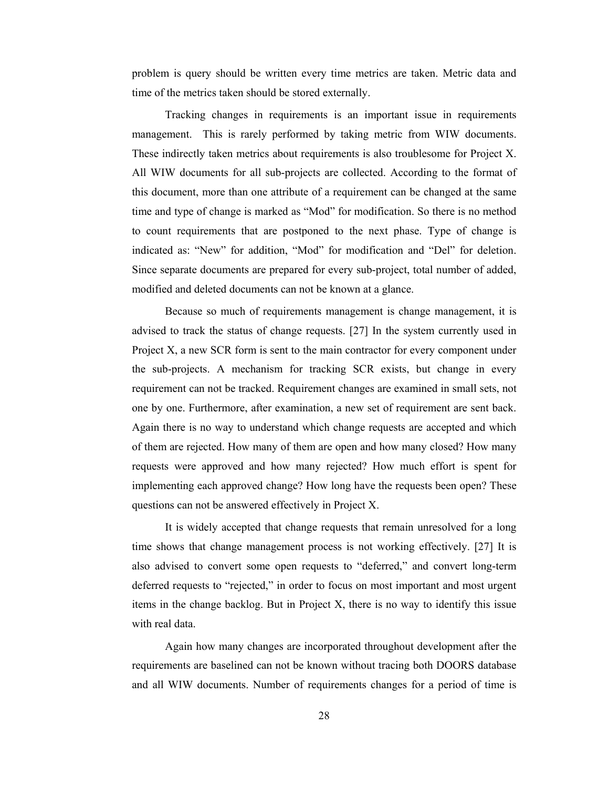problem is query should be written every time metrics are taken. Metric data and time of the metrics taken should be stored externally.

Tracking changes in requirements is an important issue in requirements management. This is rarely performed by taking metric from WIW documents. These indirectly taken metrics about requirements is also troublesome for Project X. All WIW documents for all sub-projects are collected. According to the format of this document, more than one attribute of a requirement can be changed at the same time and type of change is marked as "Mod" for modification. So there is no method to count requirements that are postponed to the next phase. Type of change is indicated as: "New" for addition, "Mod" for modification and "Del" for deletion. Since separate documents are prepared for every sub-project, total number of added, modified and deleted documents can not be known at a glance.

Because so much of requirements management is change management, it is advised to track the status of change requests. [27] In the system currently used in Project X, a new SCR form is sent to the main contractor for every component under the sub-projects. A mechanism for tracking SCR exists, but change in every requirement can not be tracked. Requirement changes are examined in small sets, not one by one. Furthermore, after examination, a new set of requirement are sent back. Again there is no way to understand which change requests are accepted and which of them are rejected. How many of them are open and how many closed? How many requests were approved and how many rejected? How much effort is spent for implementing each approved change? How long have the requests been open? These questions can not be answered effectively in Project X.

It is widely accepted that change requests that remain unresolved for a long time shows that change management process is not working effectively. [27] It is also advised to convert some open requests to "deferred," and convert long-term deferred requests to "rejected," in order to focus on most important and most urgent items in the change backlog. But in Project X, there is no way to identify this issue with real data.

Again how many changes are incorporated throughout development after the requirements are baselined can not be known without tracing both DOORS database and all WIW documents. Number of requirements changes for a period of time is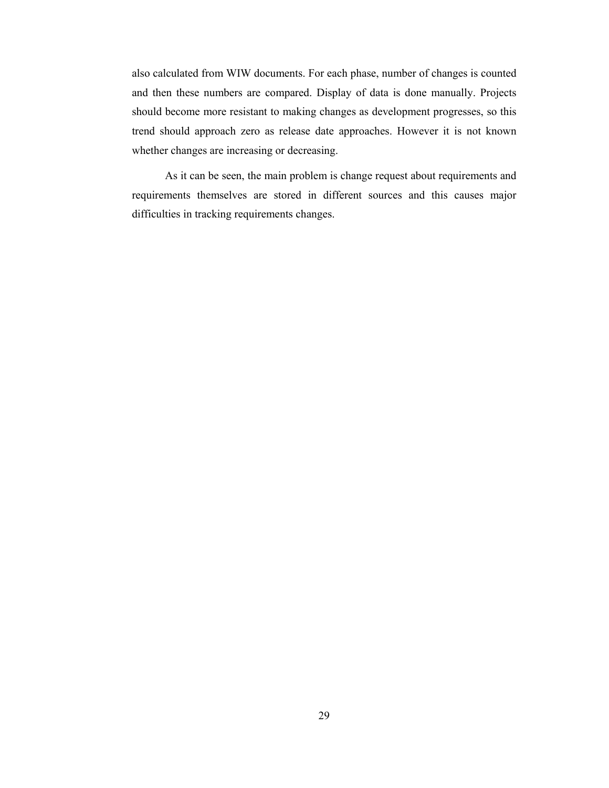also calculated from WIW documents. For each phase, number of changes is counted and then these numbers are compared. Display of data is done manually. Projects should become more resistant to making changes as development progresses, so this trend should approach zero as release date approaches. However it is not known whether changes are increasing or decreasing.

As it can be seen, the main problem is change request about requirements and requirements themselves are stored in different sources and this causes major difficulties in tracking requirements changes.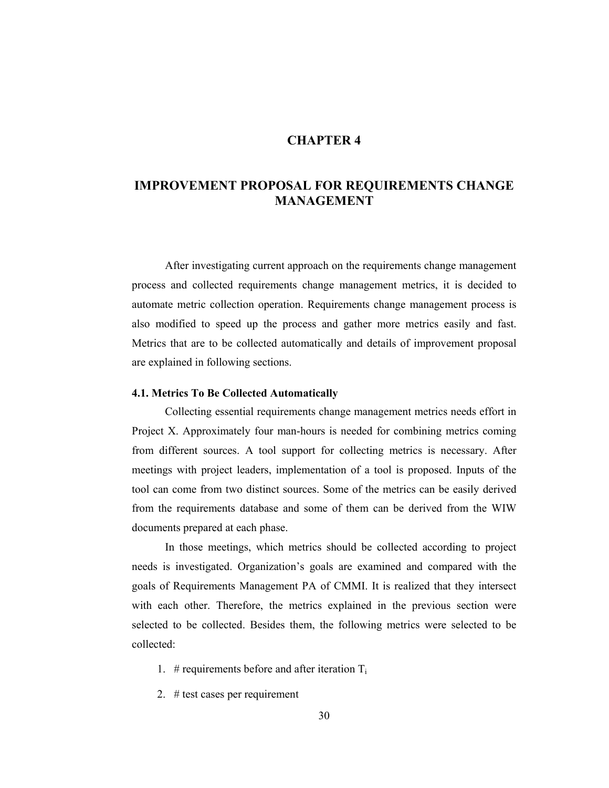## **CHAPTER 4**

# **IMPROVEMENT PROPOSAL FOR REQUIREMENTS CHANGE MANAGEMENT**

After investigating current approach on the requirements change management process and collected requirements change management metrics, it is decided to automate metric collection operation. Requirements change management process is also modified to speed up the process and gather more metrics easily and fast. Metrics that are to be collected automatically and details of improvement proposal are explained in following sections.

## **4.1. Metrics To Be Collected Automatically**

Collecting essential requirements change management metrics needs effort in Project X. Approximately four man-hours is needed for combining metrics coming from different sources. A tool support for collecting metrics is necessary. After meetings with project leaders, implementation of a tool is proposed. Inputs of the tool can come from two distinct sources. Some of the metrics can be easily derived from the requirements database and some of them can be derived from the WIW documents prepared at each phase.

In those meetings, which metrics should be collected according to project needs is investigated. Organization's goals are examined and compared with the goals of Requirements Management PA of CMMI. It is realized that they intersect with each other. Therefore, the metrics explained in the previous section were selected to be collected. Besides them, the following metrics were selected to be collected:

- 1. # requirements before and after iteration  $T_i$
- 2. # test cases per requirement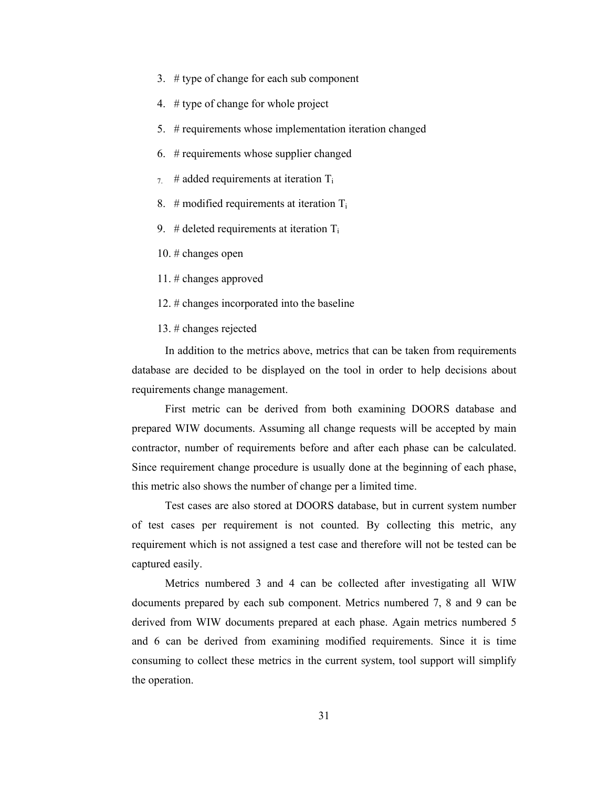- 3. # type of change for each sub component
- 4. # type of change for whole project
- 5. # requirements whose implementation iteration changed
- 6. # requirements whose supplier changed
- $7.$  # added requirements at iteration  $T_i$
- 8. # modified requirements at iteration  $T_i$
- 9. # deleted requirements at iteration  $T_i$
- 10. # changes open
- 11. # changes approved
- 12. # changes incorporated into the baseline
- 13. # changes rejected

In addition to the metrics above, metrics that can be taken from requirements database are decided to be displayed on the tool in order to help decisions about requirements change management.

First metric can be derived from both examining DOORS database and prepared WIW documents. Assuming all change requests will be accepted by main contractor, number of requirements before and after each phase can be calculated. Since requirement change procedure is usually done at the beginning of each phase, this metric also shows the number of change per a limited time.

Test cases are also stored at DOORS database, but in current system number of test cases per requirement is not counted. By collecting this metric, any requirement which is not assigned a test case and therefore will not be tested can be captured easily.

Metrics numbered 3 and 4 can be collected after investigating all WIW documents prepared by each sub component. Metrics numbered 7, 8 and 9 can be derived from WIW documents prepared at each phase. Again metrics numbered 5 and 6 can be derived from examining modified requirements. Since it is time consuming to collect these metrics in the current system, tool support will simplify the operation.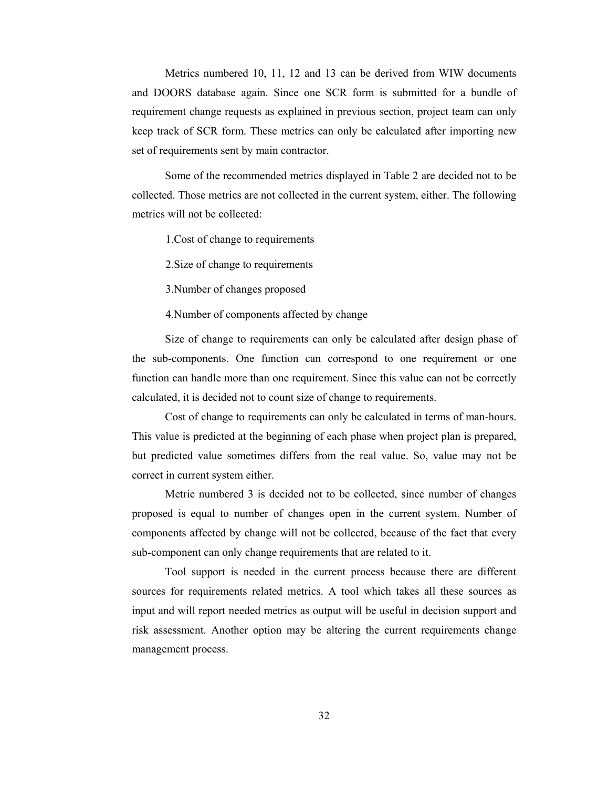Metrics numbered 10, 11, 12 and 13 can be derived from WIW documents and DOORS database again. Since one SCR form is submitted for a bundle of requirement change requests as explained in previous section, project team can only keep track of SCR form. These metrics can only be calculated after importing new set of requirements sent by main contractor.

Some of the recommended metrics displayed in Table 2 are decided not to be collected. Those metrics are not collected in the current system, either. The following metrics will not be collected:

1.Cost of change to requirements

2.Size of change to requirements

3.Number of changes proposed

4.Number of components affected by change

Size of change to requirements can only be calculated after design phase of the sub-components. One function can correspond to one requirement or one function can handle more than one requirement. Since this value can not be correctly calculated, it is decided not to count size of change to requirements.

Cost of change to requirements can only be calculated in terms of man-hours. This value is predicted at the beginning of each phase when project plan is prepared, but predicted value sometimes differs from the real value. So, value may not be correct in current system either.

Metric numbered 3 is decided not to be collected, since number of changes proposed is equal to number of changes open in the current system. Number of components affected by change will not be collected, because of the fact that every sub-component can only change requirements that are related to it.

Tool support is needed in the current process because there are different sources for requirements related metrics. A tool which takes all these sources as input and will report needed metrics as output will be useful in decision support and risk assessment. Another option may be altering the current requirements change management process.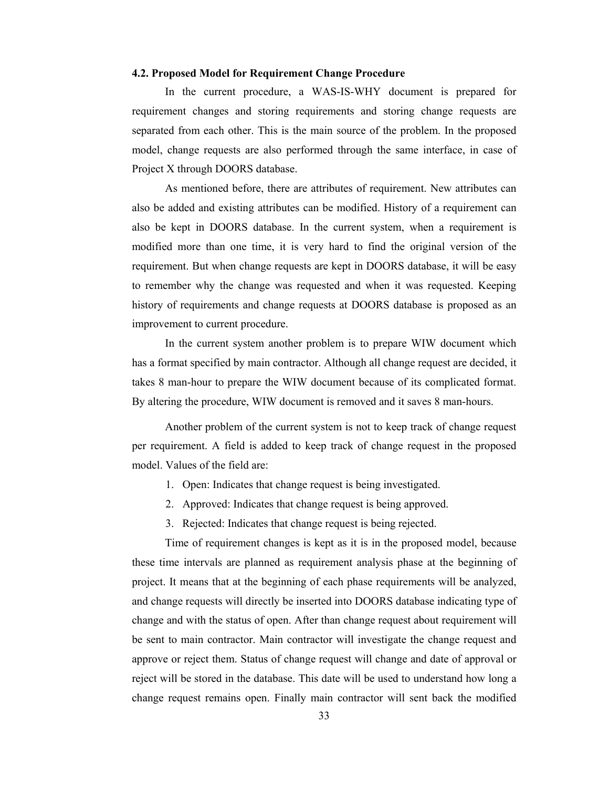### **4.2. Proposed Model for Requirement Change Procedure**

In the current procedure, a WAS-IS-WHY document is prepared for requirement changes and storing requirements and storing change requests are separated from each other. This is the main source of the problem. In the proposed model, change requests are also performed through the same interface, in case of Project X through DOORS database.

As mentioned before, there are attributes of requirement. New attributes can also be added and existing attributes can be modified. History of a requirement can also be kept in DOORS database. In the current system, when a requirement is modified more than one time, it is very hard to find the original version of the requirement. But when change requests are kept in DOORS database, it will be easy to remember why the change was requested and when it was requested. Keeping history of requirements and change requests at DOORS database is proposed as an improvement to current procedure.

In the current system another problem is to prepare WIW document which has a format specified by main contractor. Although all change request are decided, it takes 8 man-hour to prepare the WIW document because of its complicated format. By altering the procedure, WIW document is removed and it saves 8 man-hours.

Another problem of the current system is not to keep track of change request per requirement. A field is added to keep track of change request in the proposed model. Values of the field are:

- 1. Open: Indicates that change request is being investigated.
- 2. Approved: Indicates that change request is being approved.
- 3. Rejected: Indicates that change request is being rejected.

Time of requirement changes is kept as it is in the proposed model, because these time intervals are planned as requirement analysis phase at the beginning of project. It means that at the beginning of each phase requirements will be analyzed, and change requests will directly be inserted into DOORS database indicating type of change and with the status of open. After than change request about requirement will be sent to main contractor. Main contractor will investigate the change request and approve or reject them. Status of change request will change and date of approval or reject will be stored in the database. This date will be used to understand how long a change request remains open. Finally main contractor will sent back the modified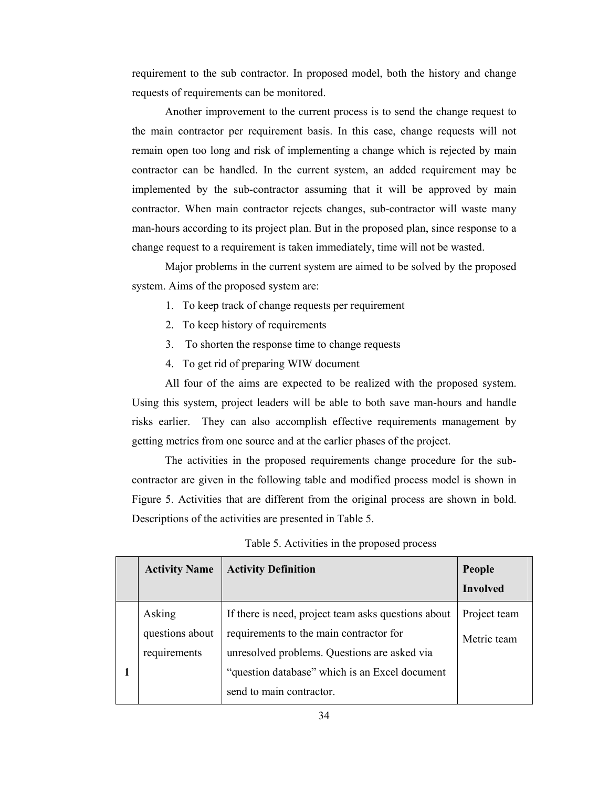requirement to the sub contractor. In proposed model, both the history and change requests of requirements can be monitored.

Another improvement to the current process is to send the change request to the main contractor per requirement basis. In this case, change requests will not remain open too long and risk of implementing a change which is rejected by main contractor can be handled. In the current system, an added requirement may be implemented by the sub-contractor assuming that it will be approved by main contractor. When main contractor rejects changes, sub-contractor will waste many man-hours according to its project plan. But in the proposed plan, since response to a change request to a requirement is taken immediately, time will not be wasted.

Major problems in the current system are aimed to be solved by the proposed system. Aims of the proposed system are:

- 1. To keep track of change requests per requirement
- 2. To keep history of requirements
- 3. To shorten the response time to change requests
- 4. To get rid of preparing WIW document

All four of the aims are expected to be realized with the proposed system. Using this system, project leaders will be able to both save man-hours and handle risks earlier. They can also accomplish effective requirements management by getting metrics from one source and at the earlier phases of the project.

The activities in the proposed requirements change procedure for the subcontractor are given in the following table and modified process model is shown in Figure 5. Activities that are different from the original process are shown in bold. Descriptions of the activities are presented in Table 5.

| <b>Activity Name</b>                      | <b>Activity Definition</b>                                                                                                                                                                                                   | People<br><b>Involved</b>   |
|-------------------------------------------|------------------------------------------------------------------------------------------------------------------------------------------------------------------------------------------------------------------------------|-----------------------------|
| Asking<br>questions about<br>requirements | If there is need, project team asks questions about<br>requirements to the main contractor for<br>unresolved problems. Questions are asked via<br>"question database" which is an Excel document<br>send to main contractor. | Project team<br>Metric team |

| Table 5. Activities in the proposed process |  |  |  |
|---------------------------------------------|--|--|--|
|---------------------------------------------|--|--|--|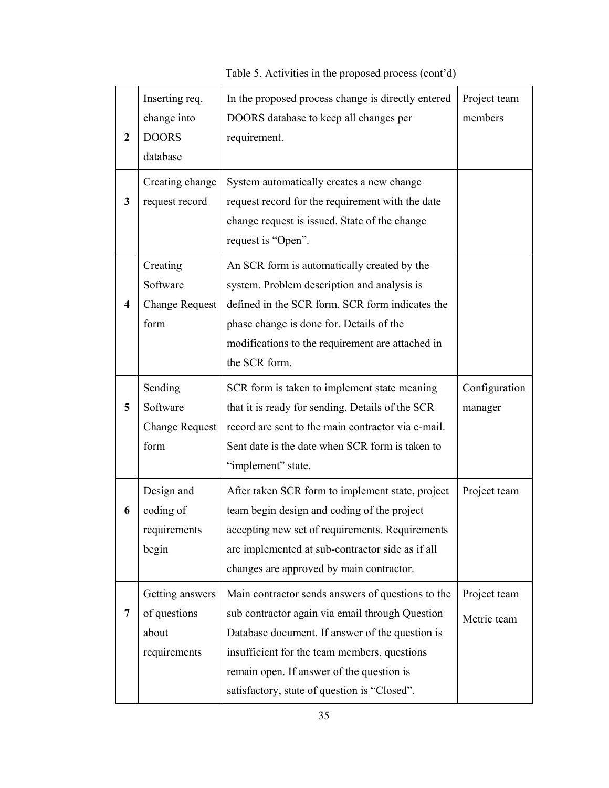#### **2**  Inserting req. change into DOORS database In the proposed process change is directly entered DOORS database to keep all changes per requirement. Project team members **3**  Creating change request record System automatically creates a new change request record for the requirement with the date change request is issued. State of the change request is "Open". **4**  Creating Software Change Request form An SCR form is automatically created by the system. Problem description and analysis is defined in the SCR form. SCR form indicates the phase change is done for. Details of the modifications to the requirement are attached in the SCR form. **5**  Sending Software Change Request form SCR form is taken to implement state meaning that it is ready for sending. Details of the SCR record are sent to the main contractor via e-mail. Sent date is the date when SCR form is taken to "implement" state. Configuration manager **6**  Design and coding of requirements begin After taken SCR form to implement state, project team begin design and coding of the project accepting new set of requirements. Requirements are implemented at sub-contractor side as if all changes are approved by main contractor. Project team **7**  Getting answers of questions about requirements Main contractor sends answers of questions to the sub contractor again via email through Question Database document. If answer of the question is insufficient for the team members, questions remain open. If answer of the question is Project team Metric team

Table 5. Activities in the proposed process (cont'd)

satisfactory, state of question is "Closed".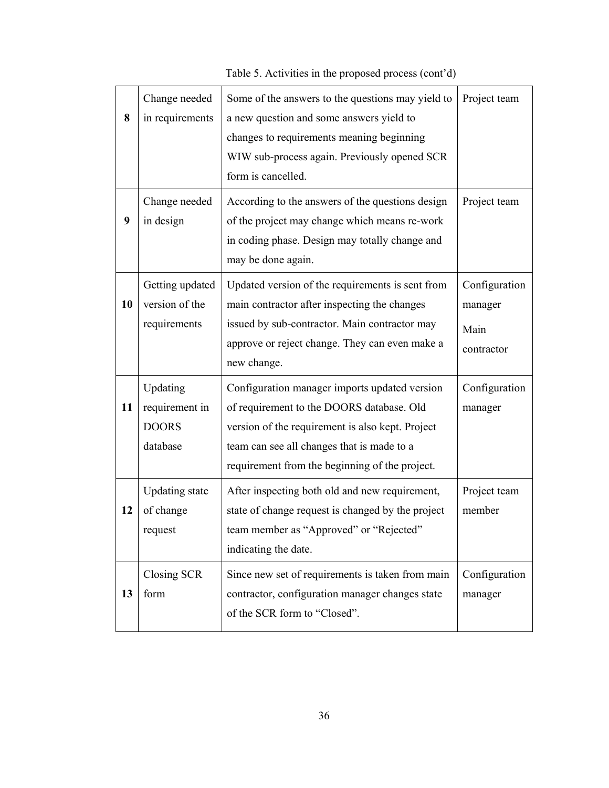**8**  Change needed in requirements Some of the answers to the questions may yield to a new question and some answers yield to changes to requirements meaning beginning WIW sub-process again. Previously opened SCR form is cancelled. Project team **9**  Change needed in design According to the answers of the questions design of the project may change which means re-work in coding phase. Design may totally change and may be done again. Project team **10**  Getting updated version of the requirements Updated version of the requirements is sent from main contractor after inspecting the changes issued by sub-contractor. Main contractor may approve or reject change. They can even make a new change. Configuration manager Main contractor **11**  Updating requirement in DOORS database Configuration manager imports updated version of requirement to the DOORS database. Old version of the requirement is also kept. Project team can see all changes that is made to a requirement from the beginning of the project. Configuration manager **12**  Updating state of change request After inspecting both old and new requirement, state of change request is changed by the project team member as "Approved" or "Rejected" indicating the date. Project team member **13**  Closing SCR form Since new set of requirements is taken from main contractor, configuration manager changes state of the SCR form to "Closed". Configuration manager

Table 5. Activities in the proposed process (cont'd)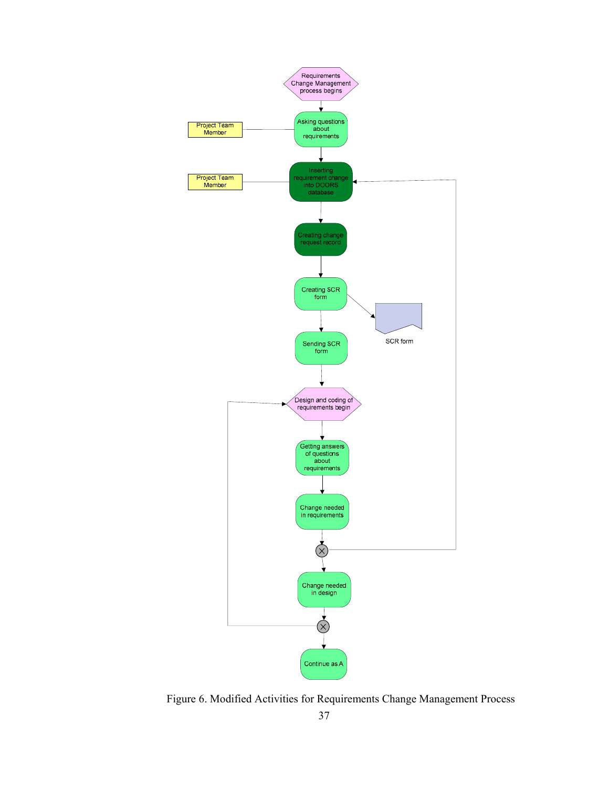

Figure 6. Modified Activities for Requirements Change Management Process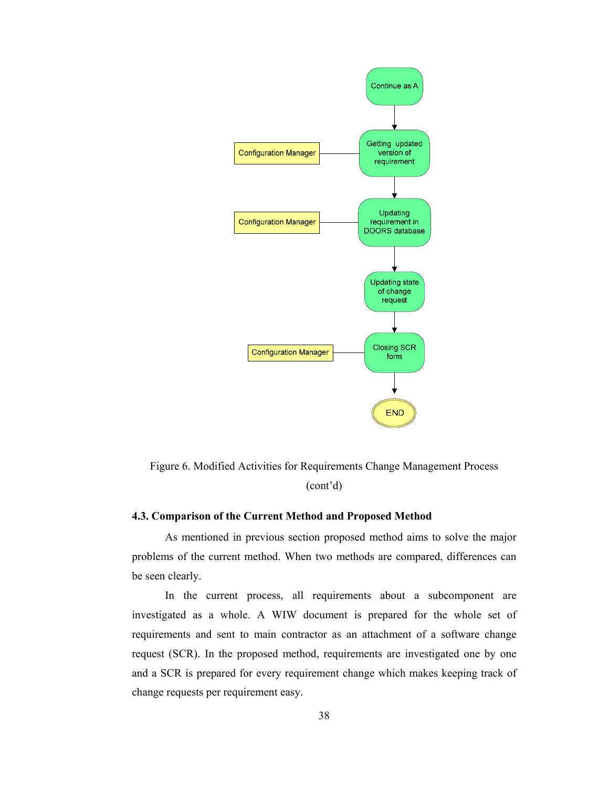

Figure 6. Modified Activities for Requirements Change Management Process (cont'd)

## **4.3. Comparison of the Current Method and Proposed Method**

As mentioned in previous section proposed method aims to solve the major problems of the current method. When two methods are compared, differences can be seen clearly.

In the current process, all requirements about a subcomponent are investigated as a whole. A WIW document is prepared for the whole set of requirements and sent to main contractor as an attachment of a software change request (SCR). In the proposed method, requirements are investigated one by one and a SCR is prepared for every requirement change which makes keeping track of change requests per requirement easy.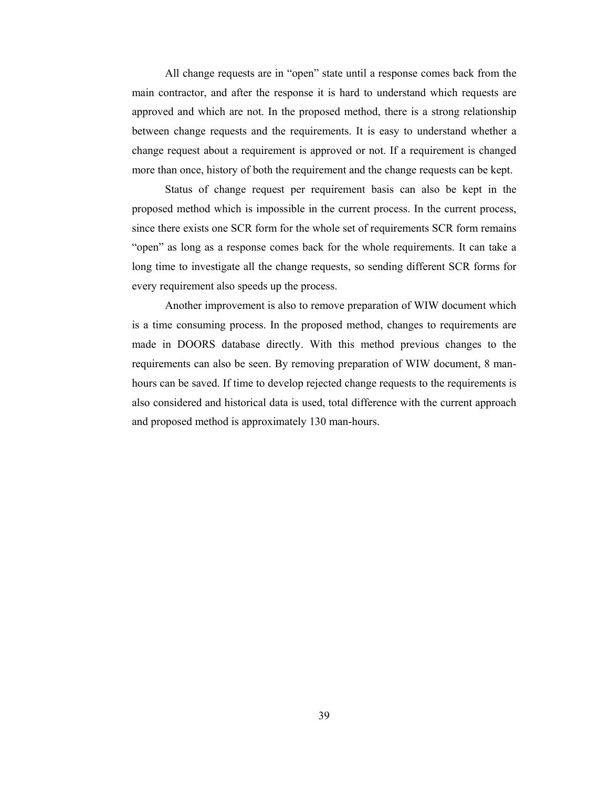All change requests are in "open" state until a response comes back from the main contractor, and after the response it is hard to understand which requests are approved and which are not. In the proposed method, there is a strong relationship between change requests and the requirements. It is easy to understand whether a change request about a requirement is approved or not. If a requirement is changed more than once, history of both the requirement and the change requests can be kept.

Status of change request per requirement basis can also be kept in the proposed method which is impossible in the current process. In the current process, since there exists one SCR form for the whole set of requirements SCR form remains "open" as long as a response comes back for the whole requirements. It can take a long time to investigate all the change requests, so sending different SCR forms for every requirement also speeds up the process.

Another improvement is also to remove preparation of WIW document which is a time consuming process. In the proposed method, changes to requirements are made in DOORS database directly. With this method previous changes to the requirements can also be seen. By removing preparation of WIW document, 8 manhours can be saved. If time to develop rejected change requests to the requirements is also considered and historical data is used, total difference with the current approach and proposed method is approximately 130 man-hours.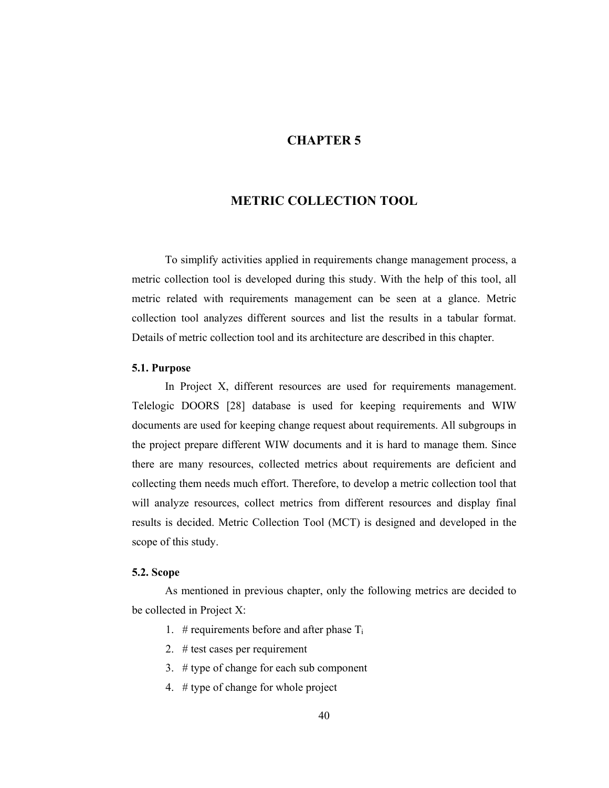## **CHAPTER 5**

## **METRIC COLLECTION TOOL**

To simplify activities applied in requirements change management process, a metric collection tool is developed during this study. With the help of this tool, all metric related with requirements management can be seen at a glance. Metric collection tool analyzes different sources and list the results in a tabular format. Details of metric collection tool and its architecture are described in this chapter.

#### **5.1. Purpose**

In Project X, different resources are used for requirements management. Telelogic DOORS [28] database is used for keeping requirements and WIW documents are used for keeping change request about requirements. All subgroups in the project prepare different WIW documents and it is hard to manage them. Since there are many resources, collected metrics about requirements are deficient and collecting them needs much effort. Therefore, to develop a metric collection tool that will analyze resources, collect metrics from different resources and display final results is decided. Metric Collection Tool (MCT) is designed and developed in the scope of this study.

### **5.2. Scope**

As mentioned in previous chapter, only the following metrics are decided to be collected in Project X:

- 1. # requirements before and after phase  $T_i$
- 2. # test cases per requirement
- 3. # type of change for each sub component
- 4. # type of change for whole project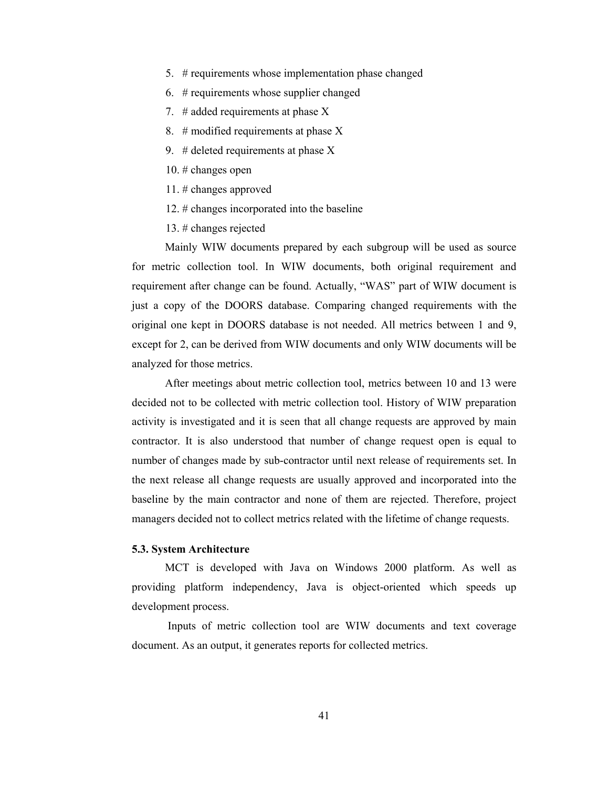- 5. # requirements whose implementation phase changed
- 6. # requirements whose supplier changed
- 7.  $\#$  added requirements at phase X
- 8. # modified requirements at phase X
- 9. # deleted requirements at phase  $X$
- 10. # changes open
- 11. # changes approved
- 12. # changes incorporated into the baseline
- 13. # changes rejected

Mainly WIW documents prepared by each subgroup will be used as source for metric collection tool. In WIW documents, both original requirement and requirement after change can be found. Actually, "WAS" part of WIW document is just a copy of the DOORS database. Comparing changed requirements with the original one kept in DOORS database is not needed. All metrics between 1 and 9, except for 2, can be derived from WIW documents and only WIW documents will be analyzed for those metrics.

After meetings about metric collection tool, metrics between 10 and 13 were decided not to be collected with metric collection tool. History of WIW preparation activity is investigated and it is seen that all change requests are approved by main contractor. It is also understood that number of change request open is equal to number of changes made by sub-contractor until next release of requirements set. In the next release all change requests are usually approved and incorporated into the baseline by the main contractor and none of them are rejected. Therefore, project managers decided not to collect metrics related with the lifetime of change requests.

### **5.3. System Architecture**

MCT is developed with Java on Windows 2000 platform. As well as providing platform independency, Java is object-oriented which speeds up development process.

 Inputs of metric collection tool are WIW documents and text coverage document. As an output, it generates reports for collected metrics.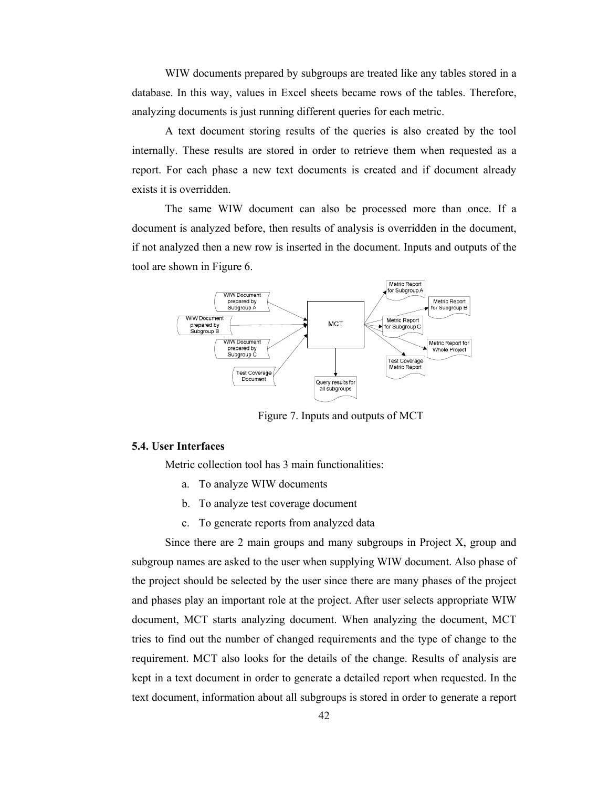WIW documents prepared by subgroups are treated like any tables stored in a database. In this way, values in Excel sheets became rows of the tables. Therefore, analyzing documents is just running different queries for each metric.

A text document storing results of the queries is also created by the tool internally. These results are stored in order to retrieve them when requested as a report. For each phase a new text documents is created and if document already exists it is overridden.

The same WIW document can also be processed more than once. If a document is analyzed before, then results of analysis is overridden in the document, if not analyzed then a new row is inserted in the document. Inputs and outputs of the tool are shown in Figure 6.



Figure 7. Inputs and outputs of MCT

#### **5.4. User Interfaces**

Metric collection tool has 3 main functionalities:

- a. To analyze WIW documents
- b. To analyze test coverage document
- c. To generate reports from analyzed data

Since there are 2 main groups and many subgroups in Project X, group and subgroup names are asked to the user when supplying WIW document. Also phase of the project should be selected by the user since there are many phases of the project and phases play an important role at the project. After user selects appropriate WIW document, MCT starts analyzing document. When analyzing the document, MCT tries to find out the number of changed requirements and the type of change to the requirement. MCT also looks for the details of the change. Results of analysis are kept in a text document in order to generate a detailed report when requested. In the text document, information about all subgroups is stored in order to generate a report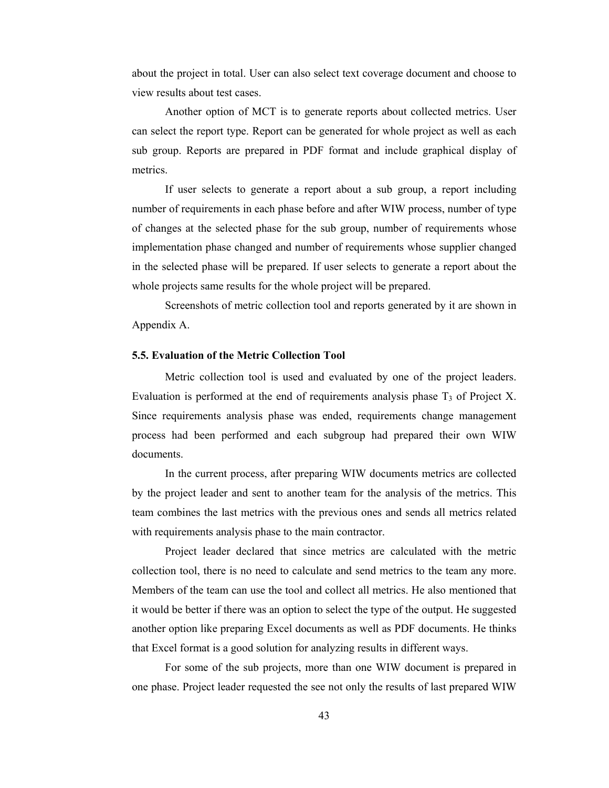about the project in total. User can also select text coverage document and choose to view results about test cases.

Another option of MCT is to generate reports about collected metrics. User can select the report type. Report can be generated for whole project as well as each sub group. Reports are prepared in PDF format and include graphical display of metrics.

If user selects to generate a report about a sub group, a report including number of requirements in each phase before and after WIW process, number of type of changes at the selected phase for the sub group, number of requirements whose implementation phase changed and number of requirements whose supplier changed in the selected phase will be prepared. If user selects to generate a report about the whole projects same results for the whole project will be prepared.

Screenshots of metric collection tool and reports generated by it are shown in Appendix A.

## **5.5. Evaluation of the Metric Collection Tool**

Metric collection tool is used and evaluated by one of the project leaders. Evaluation is performed at the end of requirements analysis phase  $T_3$  of Project X. Since requirements analysis phase was ended, requirements change management process had been performed and each subgroup had prepared their own WIW documents.

In the current process, after preparing WIW documents metrics are collected by the project leader and sent to another team for the analysis of the metrics. This team combines the last metrics with the previous ones and sends all metrics related with requirements analysis phase to the main contractor.

Project leader declared that since metrics are calculated with the metric collection tool, there is no need to calculate and send metrics to the team any more. Members of the team can use the tool and collect all metrics. He also mentioned that it would be better if there was an option to select the type of the output. He suggested another option like preparing Excel documents as well as PDF documents. He thinks that Excel format is a good solution for analyzing results in different ways.

For some of the sub projects, more than one WIW document is prepared in one phase. Project leader requested the see not only the results of last prepared WIW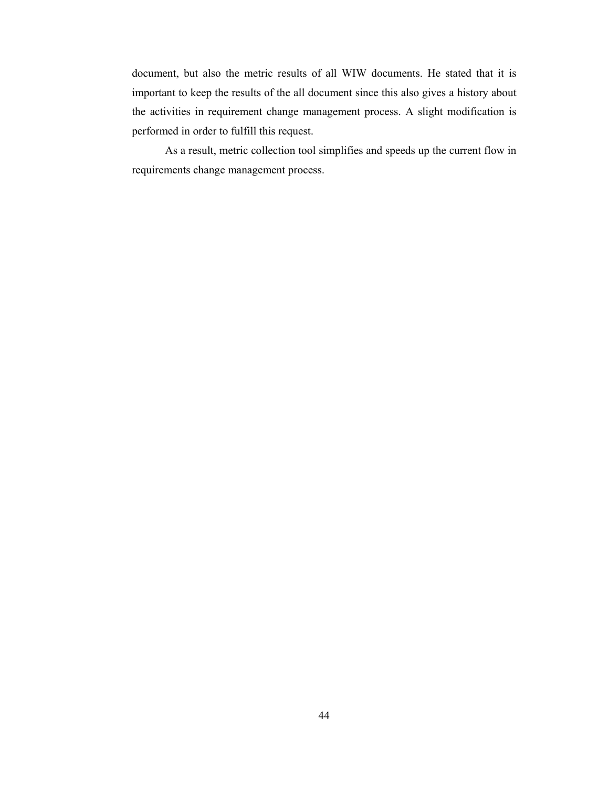document, but also the metric results of all WIW documents. He stated that it is important to keep the results of the all document since this also gives a history about the activities in requirement change management process. A slight modification is performed in order to fulfill this request.

As a result, metric collection tool simplifies and speeds up the current flow in requirements change management process.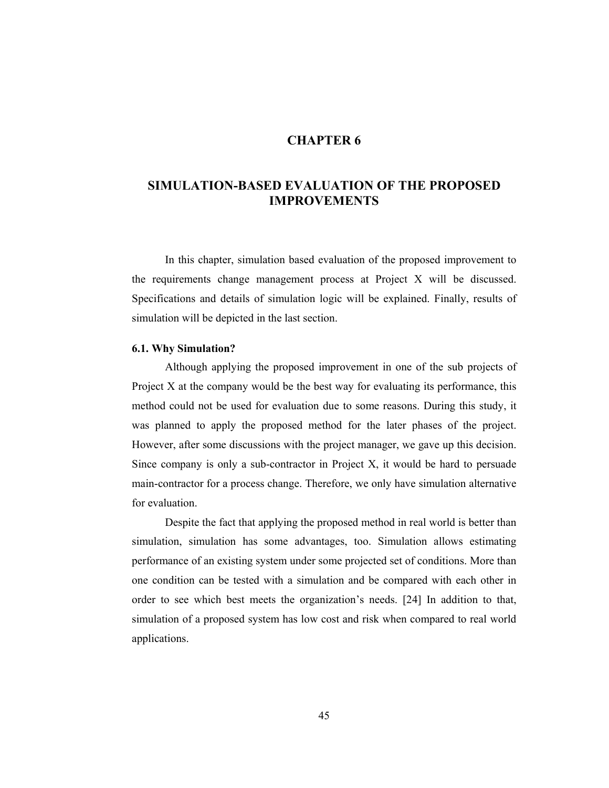## **CHAPTER 6**

## **SIMULATION-BASED EVALUATION OF THE PROPOSED IMPROVEMENTS**

In this chapter, simulation based evaluation of the proposed improvement to the requirements change management process at Project X will be discussed. Specifications and details of simulation logic will be explained. Finally, results of simulation will be depicted in the last section.

## **6.1. Why Simulation?**

Although applying the proposed improvement in one of the sub projects of Project X at the company would be the best way for evaluating its performance, this method could not be used for evaluation due to some reasons. During this study, it was planned to apply the proposed method for the later phases of the project. However, after some discussions with the project manager, we gave up this decision. Since company is only a sub-contractor in Project X, it would be hard to persuade main-contractor for a process change. Therefore, we only have simulation alternative for evaluation.

Despite the fact that applying the proposed method in real world is better than simulation, simulation has some advantages, too. Simulation allows estimating performance of an existing system under some projected set of conditions. More than one condition can be tested with a simulation and be compared with each other in order to see which best meets the organization's needs. [24] In addition to that, simulation of a proposed system has low cost and risk when compared to real world applications.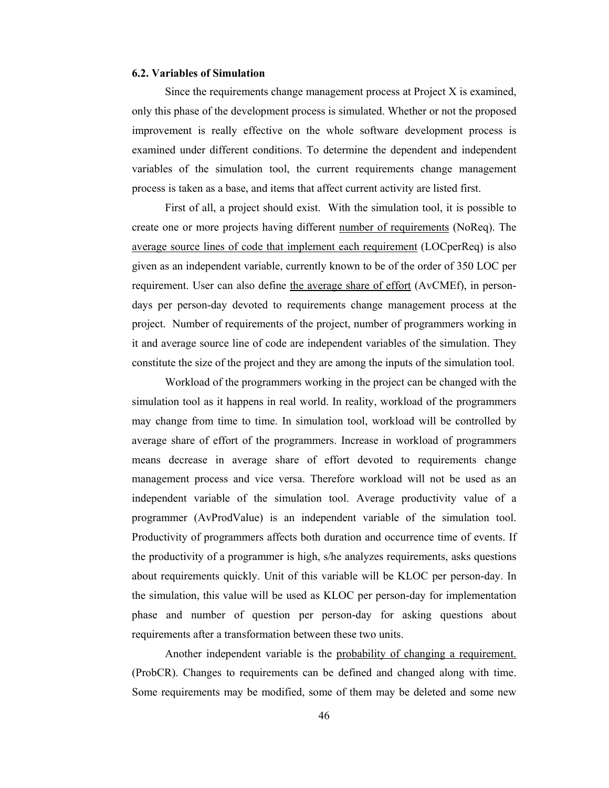### **6.2. Variables of Simulation**

Since the requirements change management process at Project X is examined, only this phase of the development process is simulated. Whether or not the proposed improvement is really effective on the whole software development process is examined under different conditions. To determine the dependent and independent variables of the simulation tool, the current requirements change management process is taken as a base, and items that affect current activity are listed first.

First of all, a project should exist. With the simulation tool, it is possible to create one or more projects having different number of requirements (NoReq). The average source lines of code that implement each requirement (LOCperReq) is also given as an independent variable, currently known to be of the order of 350 LOC per requirement. User can also define the average share of effort (AvCMEf), in persondays per person-day devoted to requirements change management process at the project. Number of requirements of the project, number of programmers working in it and average source line of code are independent variables of the simulation. They constitute the size of the project and they are among the inputs of the simulation tool.

Workload of the programmers working in the project can be changed with the simulation tool as it happens in real world. In reality, workload of the programmers may change from time to time. In simulation tool, workload will be controlled by average share of effort of the programmers. Increase in workload of programmers means decrease in average share of effort devoted to requirements change management process and vice versa. Therefore workload will not be used as an independent variable of the simulation tool. Average productivity value of a programmer (AvProdValue) is an independent variable of the simulation tool. Productivity of programmers affects both duration and occurrence time of events. If the productivity of a programmer is high, s/he analyzes requirements, asks questions about requirements quickly. Unit of this variable will be KLOC per person-day. In the simulation, this value will be used as KLOC per person-day for implementation phase and number of question per person-day for asking questions about requirements after a transformation between these two units.

Another independent variable is the probability of changing a requirement. (ProbCR). Changes to requirements can be defined and changed along with time. Some requirements may be modified, some of them may be deleted and some new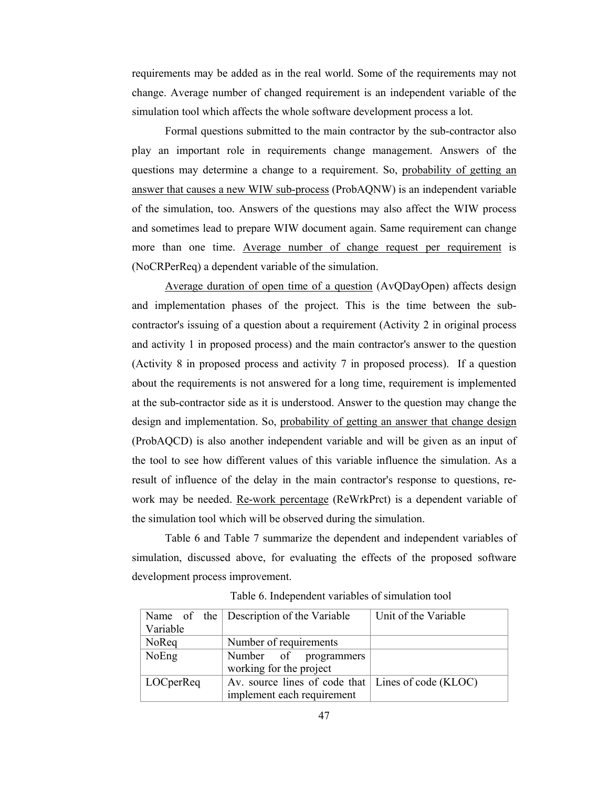requirements may be added as in the real world. Some of the requirements may not change. Average number of changed requirement is an independent variable of the simulation tool which affects the whole software development process a lot.

Formal questions submitted to the main contractor by the sub-contractor also play an important role in requirements change management. Answers of the questions may determine a change to a requirement. So, probability of getting an answer that causes a new WIW sub-process (ProbAQNW) is an independent variable of the simulation, too. Answers of the questions may also affect the WIW process and sometimes lead to prepare WIW document again. Same requirement can change more than one time. Average number of change request per requirement is (NoCRPerReq) a dependent variable of the simulation.

Average duration of open time of a question (AvQDayOpen) affects design and implementation phases of the project. This is the time between the subcontractor's issuing of a question about a requirement (Activity 2 in original process and activity 1 in proposed process) and the main contractor's answer to the question (Activity 8 in proposed process and activity 7 in proposed process). If a question about the requirements is not answered for a long time, requirement is implemented at the sub-contractor side as it is understood. Answer to the question may change the design and implementation. So, probability of getting an answer that change design (ProbAQCD) is also another independent variable and will be given as an input of the tool to see how different values of this variable influence the simulation. As a result of influence of the delay in the main contractor's response to questions, rework may be needed. <u>Re-work percentage</u> (ReWrkPrct) is a dependent variable of the simulation tool which will be observed during the simulation.

Table 6 and Table 7 summarize the dependent and independent variables of simulation, discussed above, for evaluating the effects of the proposed software development process improvement.

|                   | Name of the Description of the Variable              | Unit of the Variable |
|-------------------|------------------------------------------------------|----------------------|
| Variable          |                                                      |                      |
| NoReq             | Number of requirements                               |                      |
| NoEng             | Number of programmers                                |                      |
|                   | working for the project                              |                      |
| $\vert$ LOCperReq | Av. source lines of code that   Lines of code (KLOC) |                      |
|                   | implement each requirement                           |                      |

Table 6. Independent variables of simulation tool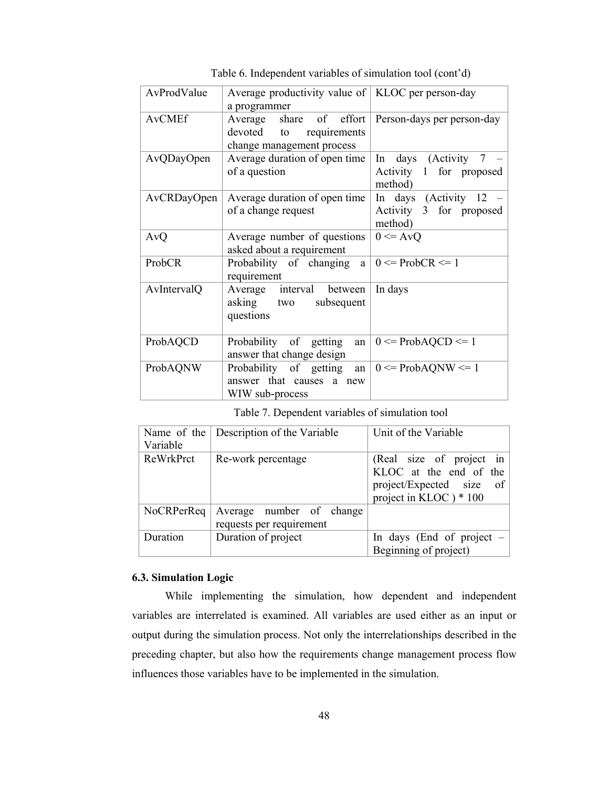| AvProdValue   | Average productivity value of   KLOC per person-day                         |                                                                |  |
|---------------|-----------------------------------------------------------------------------|----------------------------------------------------------------|--|
|               | a programmer                                                                |                                                                |  |
| <b>AvCMEf</b> | share of effort<br>Average                                                  | Person-days per person-day                                     |  |
|               | devoted<br>requirements<br>to                                               |                                                                |  |
|               | change management process                                                   |                                                                |  |
| AvQDayOpen    | Average duration of open time                                               | In days (Activity 7                                            |  |
|               | of a question                                                               | Activity 1 for proposed<br>method)                             |  |
| AvCRDayOpen   | Average duration of open time<br>of a change request                        | In days (Activity $12$ –<br>Activity 3 for proposed<br>method) |  |
| AvQ           | Average number of questions<br>asked about a requirement                    | $0 \leq A \vee Q$                                              |  |
| <b>ProbCR</b> | Probability of changing<br>a<br>requirement                                 | $0 \leq$ ProbCR $\leq 1$                                       |  |
| AvIntervalQ   | Average interval between<br>asking two<br>subsequent<br>questions           | In days                                                        |  |
| ProbAQCD      | Probability of getting<br>an<br>answer that change design                   | $0 \leq$ ProbAQCD $\leq$ 1                                     |  |
| ProbAQNW      | Probability of getting<br>an<br>answer that causes a new<br>WIW sub-process | $0 \leq$ ProbAQNW $\leq$ 1                                     |  |

Table 6. Independent variables of simulation tool (cont'd)

Table 7. Dependent variables of simulation tool

| Variable   | Name of the $\vert$ Description of the Variable      | Unit of the Variable                                                                                        |
|------------|------------------------------------------------------|-------------------------------------------------------------------------------------------------------------|
| ReWrkPrct  | Re-work percentage                                   | (Real size of project in<br>KLOC at the end of the<br>project/Expected size<br>of<br>project in KLOC) * 100 |
| NoCRPerReq | Average number of change<br>requests per requirement |                                                                                                             |
| Duration   | Duration of project                                  | In days (End of project $-$<br>Beginning of project)                                                        |

## **6.3. Simulation Logic**

While implementing the simulation, how dependent and independent variables are interrelated is examined. All variables are used either as an input or output during the simulation process. Not only the interrelationships described in the preceding chapter, but also how the requirements change management process flow influences those variables have to be implemented in the simulation.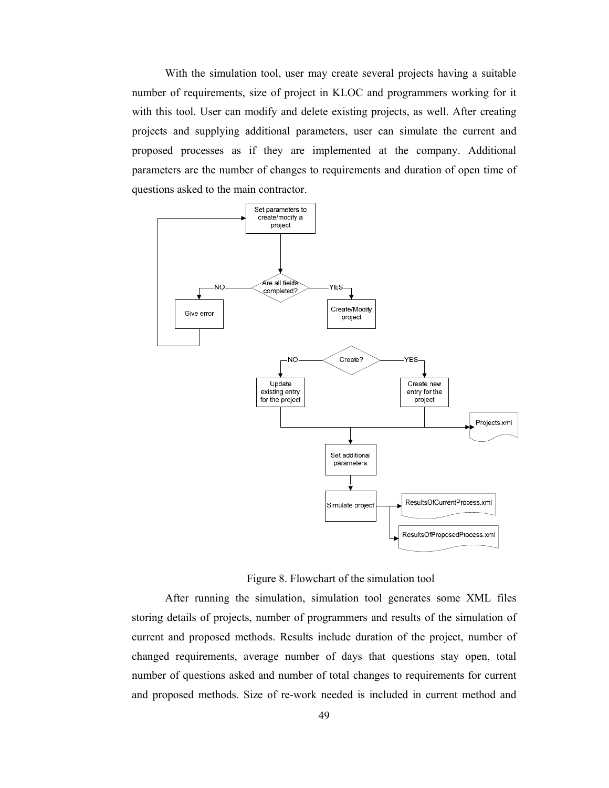With the simulation tool, user may create several projects having a suitable number of requirements, size of project in KLOC and programmers working for it with this tool. User can modify and delete existing projects, as well. After creating projects and supplying additional parameters, user can simulate the current and proposed processes as if they are implemented at the company. Additional parameters are the number of changes to requirements and duration of open time of questions asked to the main contractor.



Figure 8. Flowchart of the simulation tool

After running the simulation, simulation tool generates some XML files storing details of projects, number of programmers and results of the simulation of current and proposed methods. Results include duration of the project, number of changed requirements, average number of days that questions stay open, total number of questions asked and number of total changes to requirements for current and proposed methods. Size of re-work needed is included in current method and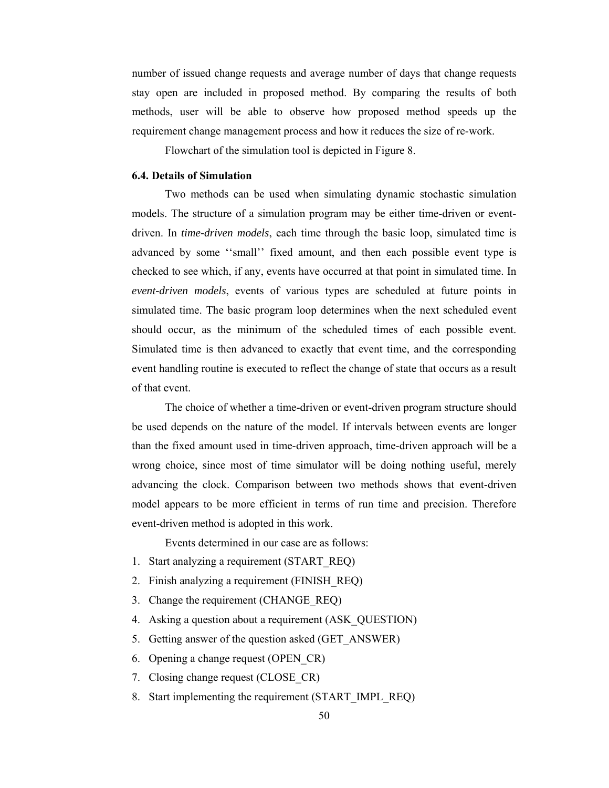number of issued change requests and average number of days that change requests stay open are included in proposed method. By comparing the results of both methods, user will be able to observe how proposed method speeds up the requirement change management process and how it reduces the size of re-work.

Flowchart of the simulation tool is depicted in Figure 8.

### **6.4. Details of Simulation**

Two methods can be used when simulating dynamic stochastic simulation models. The structure of a simulation program may be either time-driven or eventdriven. In *time-driven models*, each time through the basic loop, simulated time is advanced by some ''small'' fixed amount, and then each possible event type is checked to see which, if any, events have occurred at that point in simulated time. In *event-driven models*, events of various types are scheduled at future points in simulated time. The basic program loop determines when the next scheduled event should occur, as the minimum of the scheduled times of each possible event. Simulated time is then advanced to exactly that event time, and the corresponding event handling routine is executed to reflect the change of state that occurs as a result of that event.

The choice of whether a time-driven or event-driven program structure should be used depends on the nature of the model. If intervals between events are longer than the fixed amount used in time-driven approach, time-driven approach will be a wrong choice, since most of time simulator will be doing nothing useful, merely advancing the clock. Comparison between two methods shows that event-driven model appears to be more efficient in terms of run time and precision. Therefore event-driven method is adopted in this work.

Events determined in our case are as follows:

- 1. Start analyzing a requirement (START\_REQ)
- 2. Finish analyzing a requirement (FINISH\_REQ)
- 3. Change the requirement (CHANGE REQ)
- 4. Asking a question about a requirement (ASK\_QUESTION)
- 5. Getting answer of the question asked (GET\_ANSWER)
- 6. Opening a change request (OPEN\_CR)
- 7. Closing change request (CLOSE\_CR)
- 8. Start implementing the requirement (START\_IMPL\_REQ)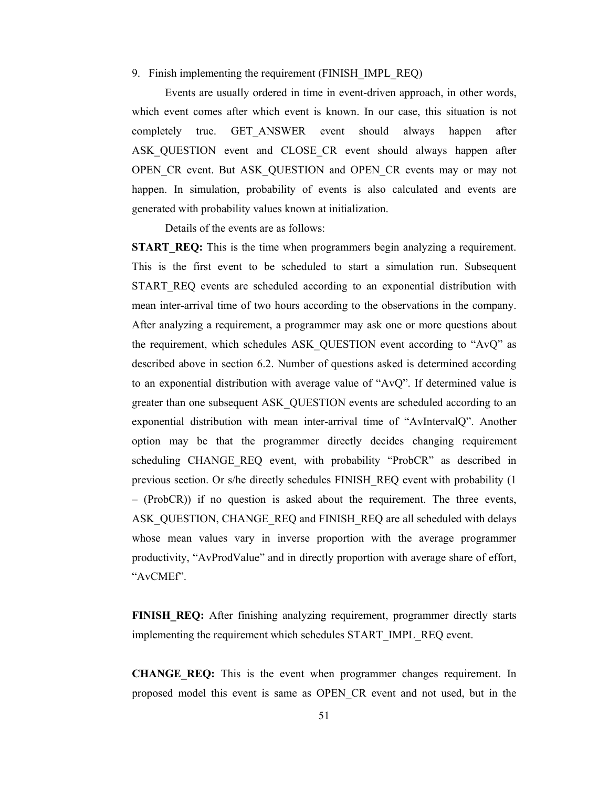### 9. Finish implementing the requirement (FINISH\_IMPL\_REQ)

Events are usually ordered in time in event-driven approach, in other words, which event comes after which event is known. In our case, this situation is not completely true. GET\_ANSWER event should always happen after ASK QUESTION event and CLOSE CR event should always happen after OPEN\_CR event. But ASK\_QUESTION and OPEN\_CR events may or may not happen. In simulation, probability of events is also calculated and events are generated with probability values known at initialization.

Details of the events are as follows:

**START REQ:** This is the time when programmers begin analyzing a requirement. This is the first event to be scheduled to start a simulation run. Subsequent START REO events are scheduled according to an exponential distribution with mean inter-arrival time of two hours according to the observations in the company. After analyzing a requirement, a programmer may ask one or more questions about the requirement, which schedules ASK\_QUESTION event according to "AvQ" as described above in section 6.2. Number of questions asked is determined according to an exponential distribution with average value of "AvQ". If determined value is greater than one subsequent ASK\_QUESTION events are scheduled according to an exponential distribution with mean inter-arrival time of "AvIntervalQ". Another option may be that the programmer directly decides changing requirement scheduling CHANGE REQ event, with probability "ProbCR" as described in previous section. Or s/he directly schedules FINISH\_REQ event with probability (1 – (ProbCR)) if no question is asked about the requirement. The three events, ASK\_QUESTION, CHANGE\_REQ and FINISH\_REQ are all scheduled with delays whose mean values vary in inverse proportion with the average programmer productivity, "AvProdValue" and in directly proportion with average share of effort, "AvCMEf".

FINISH REQ: After finishing analyzing requirement, programmer directly starts implementing the requirement which schedules START\_IMPL\_REQ event.

**CHANGE\_REQ:** This is the event when programmer changes requirement. In proposed model this event is same as OPEN\_CR event and not used, but in the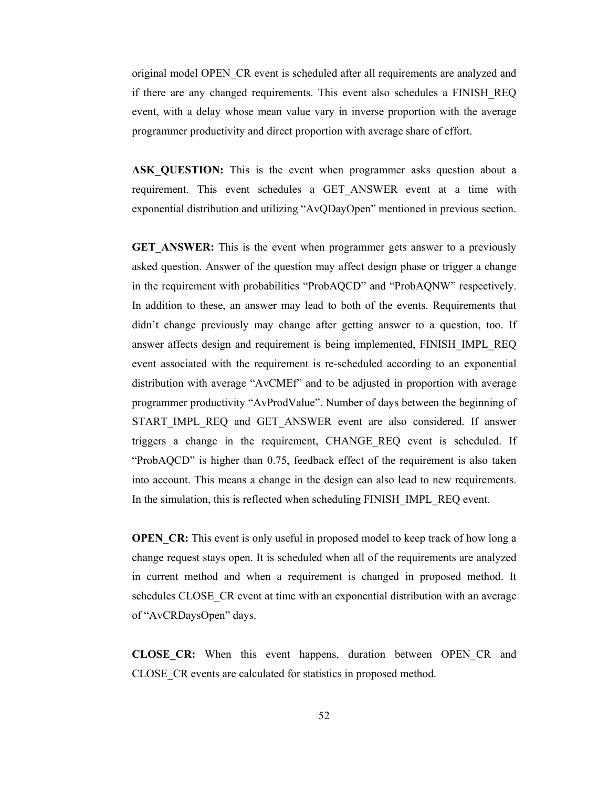original model OPEN\_CR event is scheduled after all requirements are analyzed and if there are any changed requirements. This event also schedules a FINISH\_REQ event, with a delay whose mean value vary in inverse proportion with the average programmer productivity and direct proportion with average share of effort.

**ASK QUESTION:** This is the event when programmer asks question about a requirement. This event schedules a GET\_ANSWER event at a time with exponential distribution and utilizing "AvQDayOpen" mentioned in previous section.

**GET ANSWER:** This is the event when programmer gets answer to a previously asked question. Answer of the question may affect design phase or trigger a change in the requirement with probabilities "ProbAQCD" and "ProbAQNW" respectively. In addition to these, an answer may lead to both of the events. Requirements that didn't change previously may change after getting answer to a question, too. If answer affects design and requirement is being implemented, FINISH\_IMPL\_REQ event associated with the requirement is re-scheduled according to an exponential distribution with average "AvCMEf" and to be adjusted in proportion with average programmer productivity "AvProdValue". Number of days between the beginning of START IMPL REQ and GET ANSWER event are also considered. If answer triggers a change in the requirement, CHANGE\_REQ event is scheduled. If "ProbAQCD" is higher than 0.75, feedback effect of the requirement is also taken into account. This means a change in the design can also lead to new requirements. In the simulation, this is reflected when scheduling FINISH\_IMPL\_REQ event.

**OPEN** CR: This event is only useful in proposed model to keep track of how long a change request stays open. It is scheduled when all of the requirements are analyzed in current method and when a requirement is changed in proposed method. It schedules CLOSE CR event at time with an exponential distribution with an average of "AvCRDaysOpen" days.

**CLOSE\_CR:** When this event happens, duration between OPEN\_CR and CLOSE\_CR events are calculated for statistics in proposed method.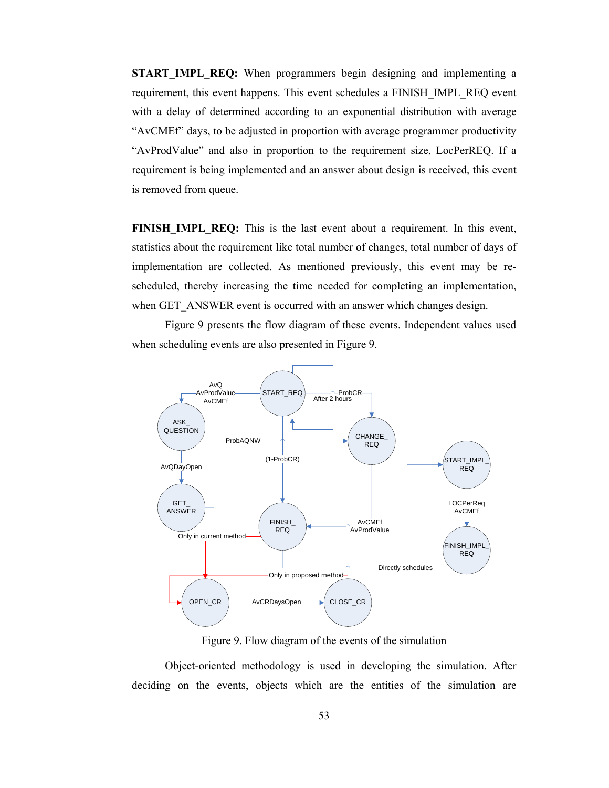**START IMPL REQ:** When programmers begin designing and implementing a requirement, this event happens. This event schedules a FINISH\_IMPL\_REQ event with a delay of determined according to an exponential distribution with average "AvCMEf" days, to be adjusted in proportion with average programmer productivity "AvProdValue" and also in proportion to the requirement size, LocPerREQ. If a requirement is being implemented and an answer about design is received, this event is removed from queue.

**FINISH IMPL REQ:** This is the last event about a requirement. In this event, statistics about the requirement like total number of changes, total number of days of implementation are collected. As mentioned previously, this event may be rescheduled, thereby increasing the time needed for completing an implementation, when GET\_ANSWER event is occurred with an answer which changes design.

Figure 9 presents the flow diagram of these events. Independent values used when scheduling events are also presented in Figure 9.



Figure 9. Flow diagram of the events of the simulation

 Object-oriented methodology is used in developing the simulation. After deciding on the events, objects which are the entities of the simulation are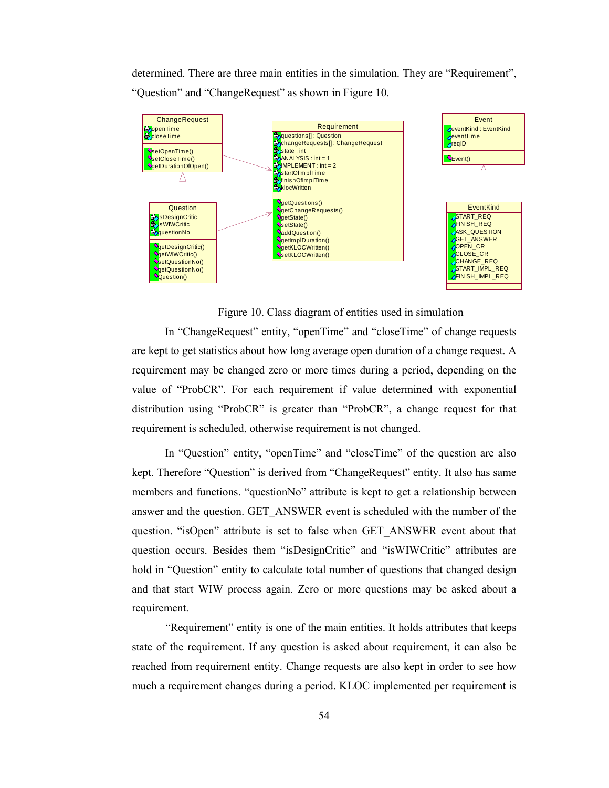determined. There are three main entities in the simulation. They are "Requirement", "Question" and "ChangeRequest" as shown in Figure 10.



Figure 10. Class diagram of entities used in simulation

In "ChangeRequest" entity, "openTime" and "closeTime" of change requests are kept to get statistics about how long average open duration of a change request. A requirement may be changed zero or more times during a period, depending on the value of "ProbCR". For each requirement if value determined with exponential distribution using "ProbCR" is greater than "ProbCR", a change request for that requirement is scheduled, otherwise requirement is not changed.

In "Question" entity, "openTime" and "closeTime" of the question are also kept. Therefore "Question" is derived from "ChangeRequest" entity. It also has same members and functions. "questionNo" attribute is kept to get a relationship between answer and the question. GET\_ANSWER event is scheduled with the number of the question. "isOpen" attribute is set to false when GET\_ANSWER event about that question occurs. Besides them "isDesignCritic" and "isWIWCritic" attributes are hold in "Question" entity to calculate total number of questions that changed design and that start WIW process again. Zero or more questions may be asked about a requirement.

"Requirement" entity is one of the main entities. It holds attributes that keeps state of the requirement. If any question is asked about requirement, it can also be reached from requirement entity. Change requests are also kept in order to see how much a requirement changes during a period. KLOC implemented per requirement is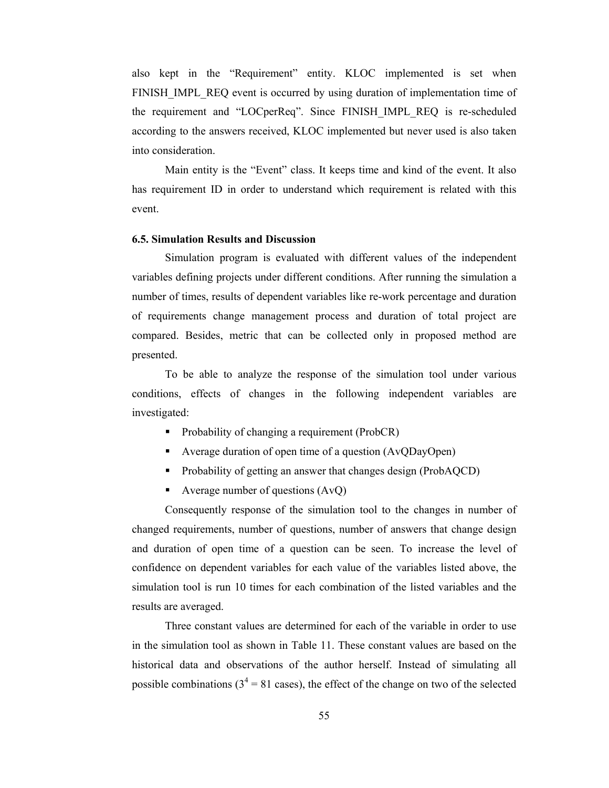also kept in the "Requirement" entity. KLOC implemented is set when FINISH\_IMPL\_REQ event is occurred by using duration of implementation time of the requirement and "LOCperReq". Since FINISH\_IMPL\_REQ is re-scheduled according to the answers received, KLOC implemented but never used is also taken into consideration.

 Main entity is the "Event" class. It keeps time and kind of the event. It also has requirement ID in order to understand which requirement is related with this event.

### **6.5. Simulation Results and Discussion**

Simulation program is evaluated with different values of the independent variables defining projects under different conditions. After running the simulation a number of times, results of dependent variables like re-work percentage and duration of requirements change management process and duration of total project are compared. Besides, metric that can be collected only in proposed method are presented.

To be able to analyze the response of the simulation tool under various conditions, effects of changes in the following independent variables are investigated:

- Probability of changing a requirement (ProbCR)
- Average duration of open time of a question (AvQDayOpen)
- Probability of getting an answer that changes design (ProbAQCD)
- Average number of questions  $(AvQ)$

Consequently response of the simulation tool to the changes in number of changed requirements, number of questions, number of answers that change design and duration of open time of a question can be seen. To increase the level of confidence on dependent variables for each value of the variables listed above, the simulation tool is run 10 times for each combination of the listed variables and the results are averaged.

Three constant values are determined for each of the variable in order to use in the simulation tool as shown in Table 11. These constant values are based on the historical data and observations of the author herself. Instead of simulating all possible combinations ( $3<sup>4</sup> = 81$  cases), the effect of the change on two of the selected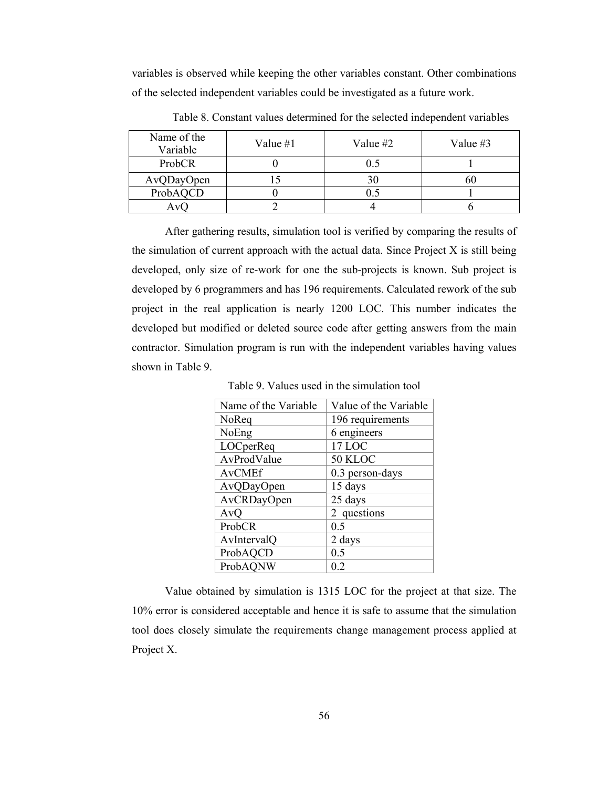variables is observed while keeping the other variables constant. Other combinations of the selected independent variables could be investigated as a future work.

| Name of the<br>Variable | Value #1 | Value #2 | Value $#3$ |
|-------------------------|----------|----------|------------|
| ProbCR                  |          |          |            |
| AvQDayOpen              |          | 30       | 6U         |
| ProbAQCD                |          |          |            |
| Av(                     |          |          |            |

Table 8. Constant values determined for the selected independent variables

After gathering results, simulation tool is verified by comparing the results of the simulation of current approach with the actual data. Since Project X is still being developed, only size of re-work for one the sub-projects is known. Sub project is developed by 6 programmers and has 196 requirements. Calculated rework of the sub project in the real application is nearly 1200 LOC. This number indicates the developed but modified or deleted source code after getting answers from the main contractor. Simulation program is run with the independent variables having values shown in Table 9.

Table 9. Values used in the simulation tool

| Name of the Variable | Value of the Variable |
|----------------------|-----------------------|
| NoReq                | 196 requirements      |
| NoEng                | 6 engineers           |
| LOCperReq            | 17 LOC                |
| AvProdValue          | 50 KLOC               |
| <b>AvCMEf</b>        | 0.3 person-days       |
| AvQDayOpen           | 15 days               |
| AvCRDayOpen          | 25 days               |
| AvQ                  | 2 questions           |
| ProbCR               | 0.5                   |
| AvIntervalQ          | 2 days                |
| ProbAQCD             | 0.5                   |
| ProbAQNW             | 0.2                   |
|                      |                       |

Value obtained by simulation is 1315 LOC for the project at that size. The 10% error is considered acceptable and hence it is safe to assume that the simulation tool does closely simulate the requirements change management process applied at Project X.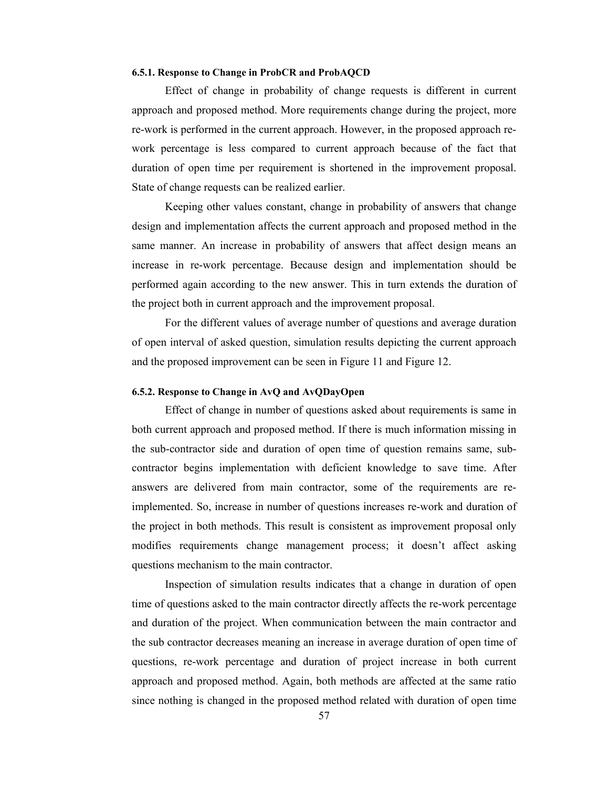#### **6.5.1. Response to Change in ProbCR and ProbAQCD**

Effect of change in probability of change requests is different in current approach and proposed method. More requirements change during the project, more re-work is performed in the current approach. However, in the proposed approach rework percentage is less compared to current approach because of the fact that duration of open time per requirement is shortened in the improvement proposal. State of change requests can be realized earlier.

Keeping other values constant, change in probability of answers that change design and implementation affects the current approach and proposed method in the same manner. An increase in probability of answers that affect design means an increase in re-work percentage. Because design and implementation should be performed again according to the new answer. This in turn extends the duration of the project both in current approach and the improvement proposal.

For the different values of average number of questions and average duration of open interval of asked question, simulation results depicting the current approach and the proposed improvement can be seen in Figure 11 and Figure 12.

### **6.5.2. Response to Change in AvQ and AvQDayOpen**

Effect of change in number of questions asked about requirements is same in both current approach and proposed method. If there is much information missing in the sub-contractor side and duration of open time of question remains same, subcontractor begins implementation with deficient knowledge to save time. After answers are delivered from main contractor, some of the requirements are reimplemented. So, increase in number of questions increases re-work and duration of the project in both methods. This result is consistent as improvement proposal only modifies requirements change management process; it doesn't affect asking questions mechanism to the main contractor.

Inspection of simulation results indicates that a change in duration of open time of questions asked to the main contractor directly affects the re-work percentage and duration of the project. When communication between the main contractor and the sub contractor decreases meaning an increase in average duration of open time of questions, re-work percentage and duration of project increase in both current approach and proposed method. Again, both methods are affected at the same ratio since nothing is changed in the proposed method related with duration of open time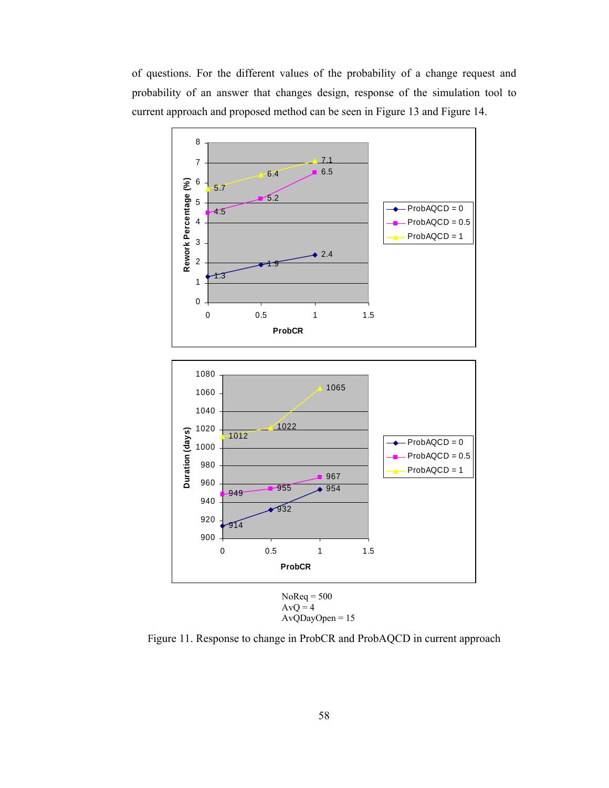of questions. For the different values of the probability of a change request and probability of an answer that changes design, response of the simulation tool to current approach and proposed method can be seen in Figure 13 and Figure 14.



AvQDayOpen = 15

Figure 11. Response to change in ProbCR and ProbAQCD in current approach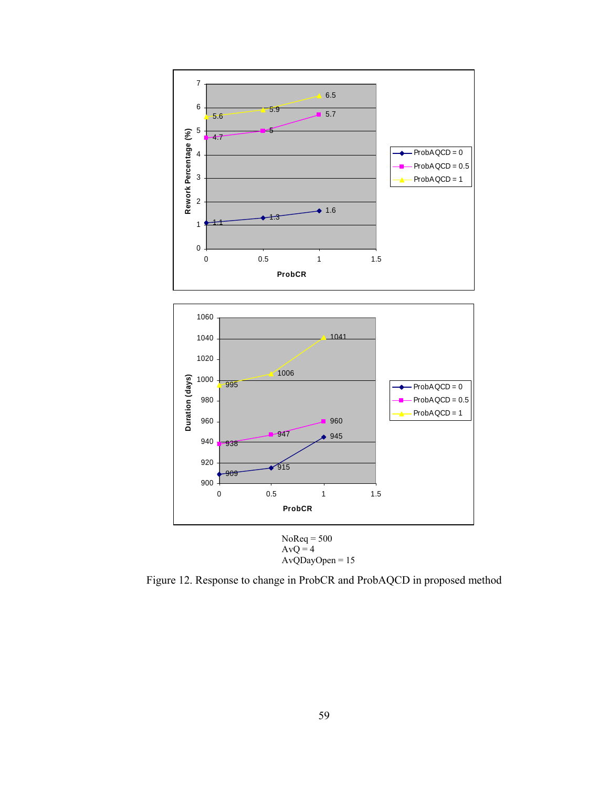

Figure 12. Response to change in ProbCR and ProbAQCD in proposed method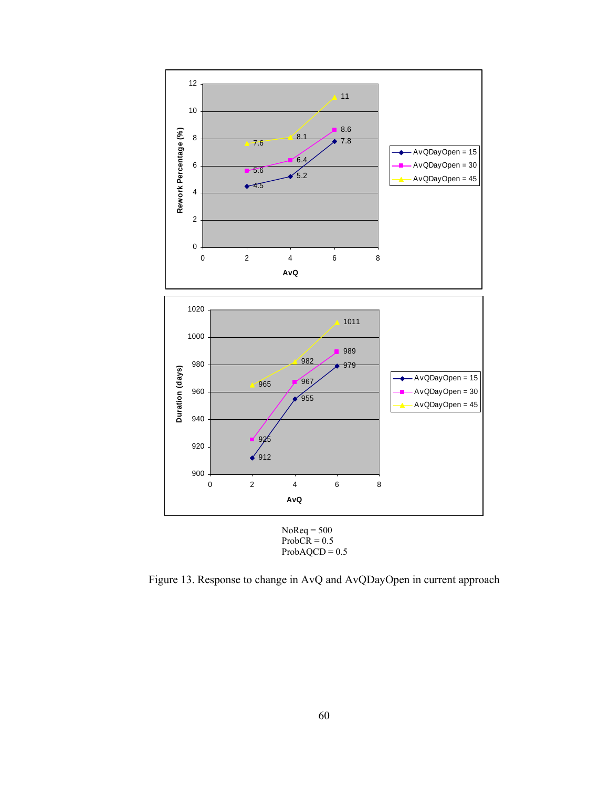



Figure 13. Response to change in AvQ and AvQDayOpen in current approach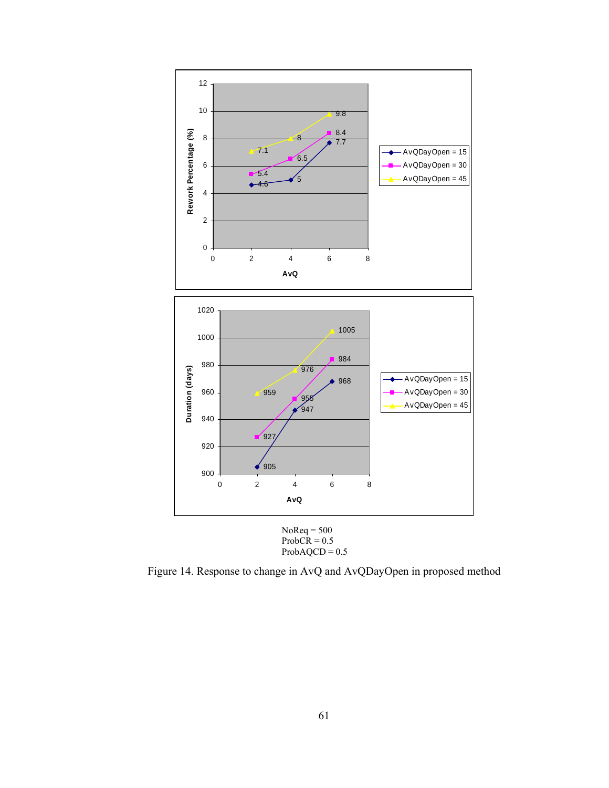



Figure 14. Response to change in AvQ and AvQDayOpen in proposed method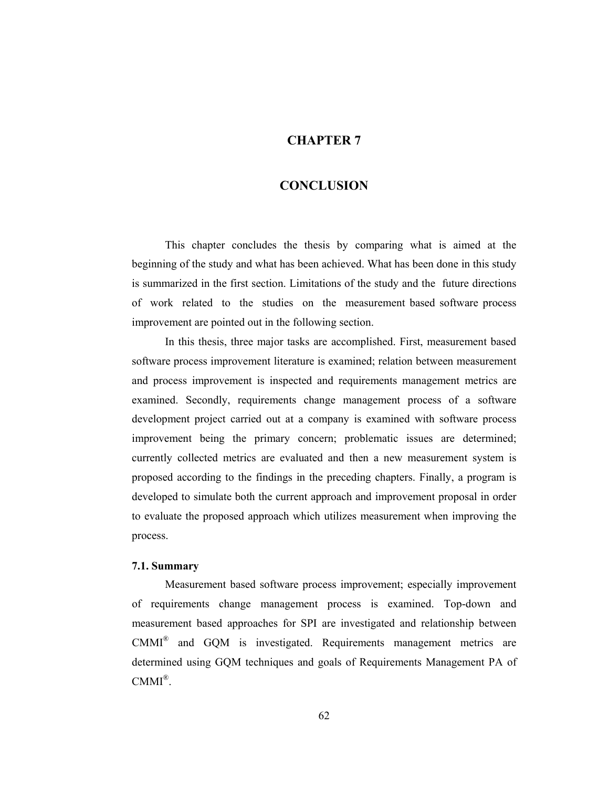### **CHAPTER 7**

### **CONCLUSION**

This chapter concludes the thesis by comparing what is aimed at the beginning of the study and what has been achieved. What has been done in this study is summarized in the first section. Limitations of the study and the future directions of work related to the studies on the measurement based software process improvement are pointed out in the following section.

In this thesis, three major tasks are accomplished. First, measurement based software process improvement literature is examined; relation between measurement and process improvement is inspected and requirements management metrics are examined. Secondly, requirements change management process of a software development project carried out at a company is examined with software process improvement being the primary concern; problematic issues are determined; currently collected metrics are evaluated and then a new measurement system is proposed according to the findings in the preceding chapters. Finally, a program is developed to simulate both the current approach and improvement proposal in order to evaluate the proposed approach which utilizes measurement when improving the process.

#### **7.1. Summary**

Measurement based software process improvement; especially improvement of requirements change management process is examined. Top-down and measurement based approaches for SPI are investigated and relationship between CMMI® and GQM is investigated. Requirements management metrics are determined using GQM techniques and goals of Requirements Management PA of  $CMMI^{\circledR}$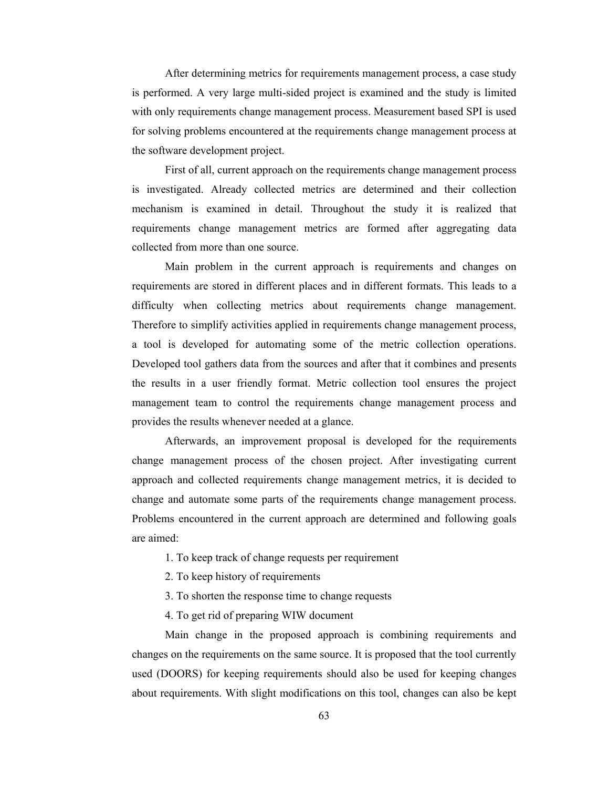After determining metrics for requirements management process, a case study is performed. A very large multi-sided project is examined and the study is limited with only requirements change management process. Measurement based SPI is used for solving problems encountered at the requirements change management process at the software development project.

First of all, current approach on the requirements change management process is investigated. Already collected metrics are determined and their collection mechanism is examined in detail. Throughout the study it is realized that requirements change management metrics are formed after aggregating data collected from more than one source.

Main problem in the current approach is requirements and changes on requirements are stored in different places and in different formats. This leads to a difficulty when collecting metrics about requirements change management. Therefore to simplify activities applied in requirements change management process, a tool is developed for automating some of the metric collection operations. Developed tool gathers data from the sources and after that it combines and presents the results in a user friendly format. Metric collection tool ensures the project management team to control the requirements change management process and provides the results whenever needed at a glance.

Afterwards, an improvement proposal is developed for the requirements change management process of the chosen project. After investigating current approach and collected requirements change management metrics, it is decided to change and automate some parts of the requirements change management process. Problems encountered in the current approach are determined and following goals are aimed:

- 1. To keep track of change requests per requirement
- 2. To keep history of requirements
- 3. To shorten the response time to change requests
- 4. To get rid of preparing WIW document

Main change in the proposed approach is combining requirements and changes on the requirements on the same source. It is proposed that the tool currently used (DOORS) for keeping requirements should also be used for keeping changes about requirements. With slight modifications on this tool, changes can also be kept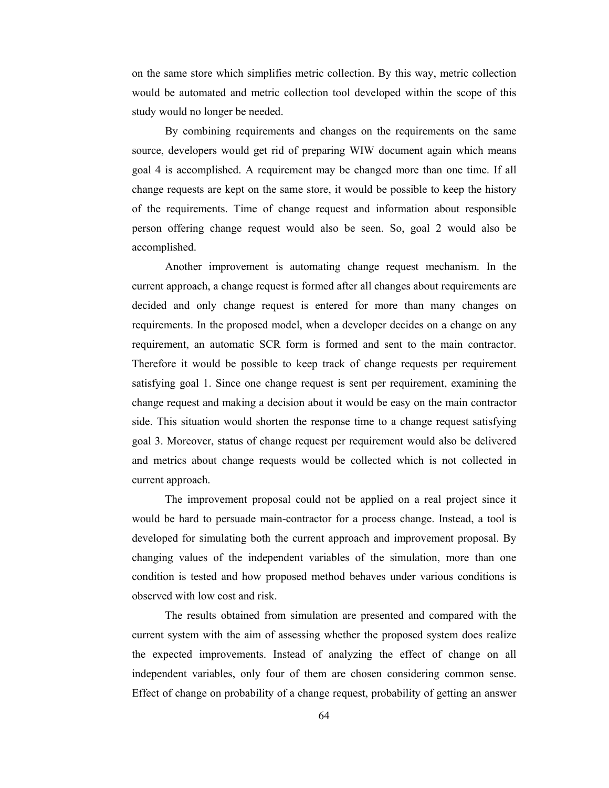on the same store which simplifies metric collection. By this way, metric collection would be automated and metric collection tool developed within the scope of this study would no longer be needed.

By combining requirements and changes on the requirements on the same source, developers would get rid of preparing WIW document again which means goal 4 is accomplished. A requirement may be changed more than one time. If all change requests are kept on the same store, it would be possible to keep the history of the requirements. Time of change request and information about responsible person offering change request would also be seen. So, goal 2 would also be accomplished.

Another improvement is automating change request mechanism. In the current approach, a change request is formed after all changes about requirements are decided and only change request is entered for more than many changes on requirements. In the proposed model, when a developer decides on a change on any requirement, an automatic SCR form is formed and sent to the main contractor. Therefore it would be possible to keep track of change requests per requirement satisfying goal 1. Since one change request is sent per requirement, examining the change request and making a decision about it would be easy on the main contractor side. This situation would shorten the response time to a change request satisfying goal 3. Moreover, status of change request per requirement would also be delivered and metrics about change requests would be collected which is not collected in current approach.

The improvement proposal could not be applied on a real project since it would be hard to persuade main-contractor for a process change. Instead, a tool is developed for simulating both the current approach and improvement proposal. By changing values of the independent variables of the simulation, more than one condition is tested and how proposed method behaves under various conditions is observed with low cost and risk.

The results obtained from simulation are presented and compared with the current system with the aim of assessing whether the proposed system does realize the expected improvements. Instead of analyzing the effect of change on all independent variables, only four of them are chosen considering common sense. Effect of change on probability of a change request, probability of getting an answer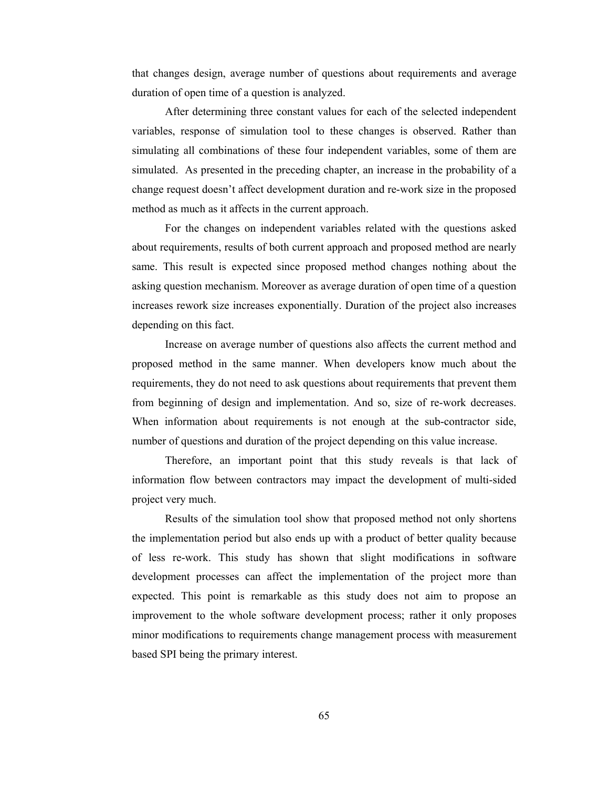that changes design, average number of questions about requirements and average duration of open time of a question is analyzed.

After determining three constant values for each of the selected independent variables, response of simulation tool to these changes is observed. Rather than simulating all combinations of these four independent variables, some of them are simulated. As presented in the preceding chapter, an increase in the probability of a change request doesn't affect development duration and re-work size in the proposed method as much as it affects in the current approach.

For the changes on independent variables related with the questions asked about requirements, results of both current approach and proposed method are nearly same. This result is expected since proposed method changes nothing about the asking question mechanism. Moreover as average duration of open time of a question increases rework size increases exponentially. Duration of the project also increases depending on this fact.

Increase on average number of questions also affects the current method and proposed method in the same manner. When developers know much about the requirements, they do not need to ask questions about requirements that prevent them from beginning of design and implementation. And so, size of re-work decreases. When information about requirements is not enough at the sub-contractor side, number of questions and duration of the project depending on this value increase.

Therefore, an important point that this study reveals is that lack of information flow between contractors may impact the development of multi-sided project very much.

Results of the simulation tool show that proposed method not only shortens the implementation period but also ends up with a product of better quality because of less re-work. This study has shown that slight modifications in software development processes can affect the implementation of the project more than expected. This point is remarkable as this study does not aim to propose an improvement to the whole software development process; rather it only proposes minor modifications to requirements change management process with measurement based SPI being the primary interest.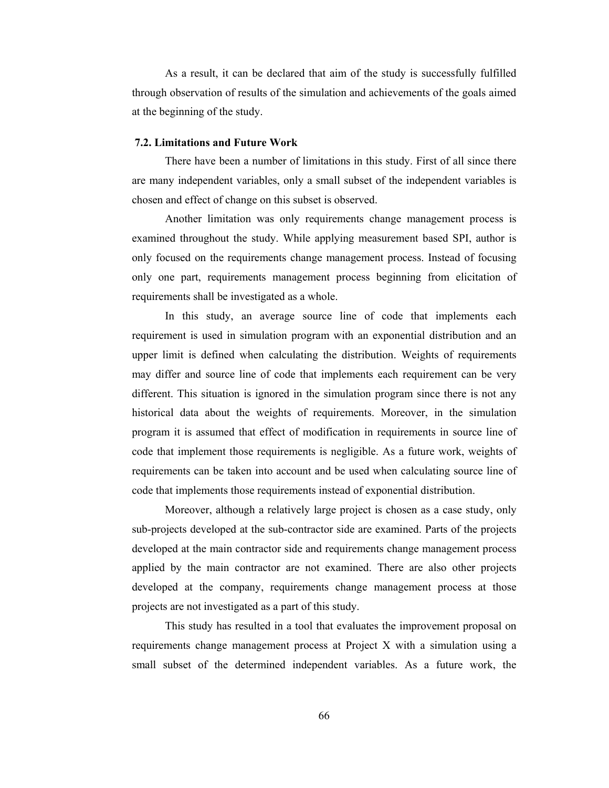As a result, it can be declared that aim of the study is successfully fulfilled through observation of results of the simulation and achievements of the goals aimed at the beginning of the study.

#### **7.2. Limitations and Future Work**

There have been a number of limitations in this study. First of all since there are many independent variables, only a small subset of the independent variables is chosen and effect of change on this subset is observed.

Another limitation was only requirements change management process is examined throughout the study. While applying measurement based SPI, author is only focused on the requirements change management process. Instead of focusing only one part, requirements management process beginning from elicitation of requirements shall be investigated as a whole.

In this study, an average source line of code that implements each requirement is used in simulation program with an exponential distribution and an upper limit is defined when calculating the distribution. Weights of requirements may differ and source line of code that implements each requirement can be very different. This situation is ignored in the simulation program since there is not any historical data about the weights of requirements. Moreover, in the simulation program it is assumed that effect of modification in requirements in source line of code that implement those requirements is negligible. As a future work, weights of requirements can be taken into account and be used when calculating source line of code that implements those requirements instead of exponential distribution.

Moreover, although a relatively large project is chosen as a case study, only sub-projects developed at the sub-contractor side are examined. Parts of the projects developed at the main contractor side and requirements change management process applied by the main contractor are not examined. There are also other projects developed at the company, requirements change management process at those projects are not investigated as a part of this study.

This study has resulted in a tool that evaluates the improvement proposal on requirements change management process at Project X with a simulation using a small subset of the determined independent variables. As a future work, the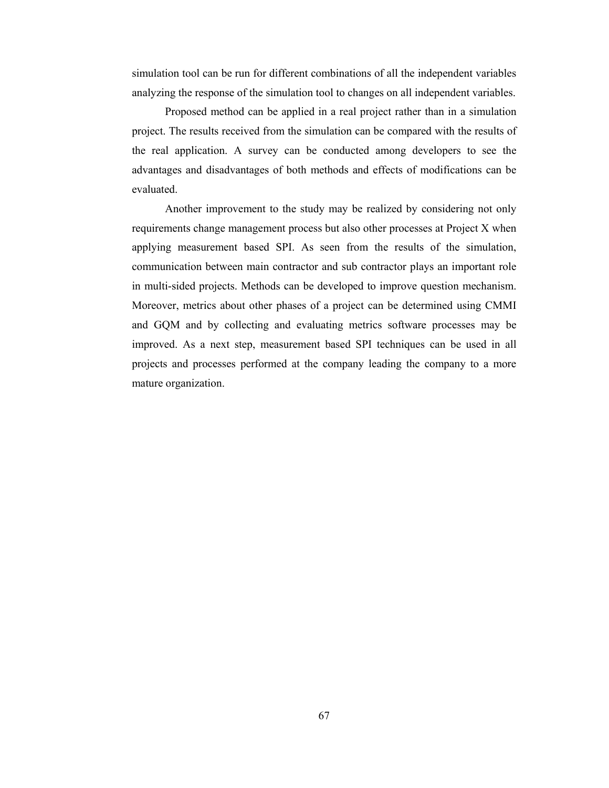simulation tool can be run for different combinations of all the independent variables analyzing the response of the simulation tool to changes on all independent variables.

Proposed method can be applied in a real project rather than in a simulation project. The results received from the simulation can be compared with the results of the real application. A survey can be conducted among developers to see the advantages and disadvantages of both methods and effects of modifications can be evaluated.

Another improvement to the study may be realized by considering not only requirements change management process but also other processes at Project X when applying measurement based SPI. As seen from the results of the simulation, communication between main contractor and sub contractor plays an important role in multi-sided projects. Methods can be developed to improve question mechanism. Moreover, metrics about other phases of a project can be determined using CMMI and GQM and by collecting and evaluating metrics software processes may be improved. As a next step, measurement based SPI techniques can be used in all projects and processes performed at the company leading the company to a more mature organization.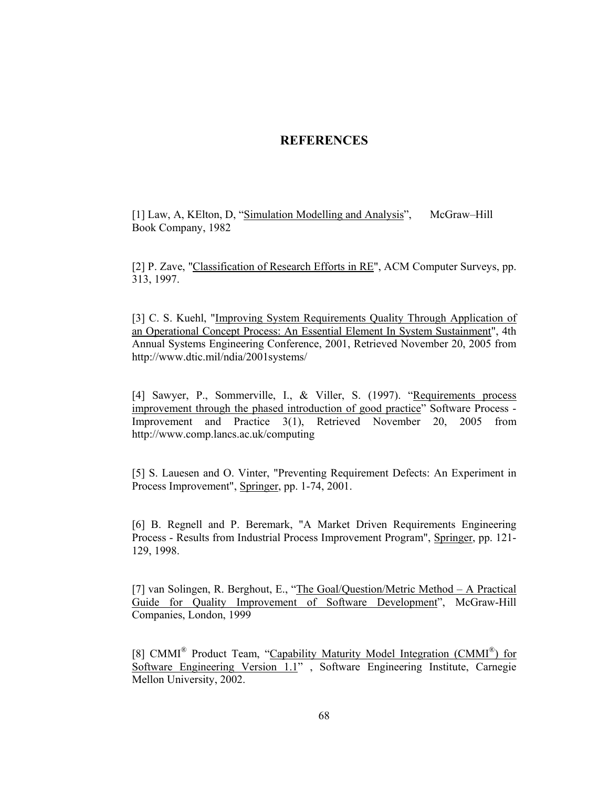### **REFERENCES**

[1] Law, A, KElton, D, "Simulation Modelling and Analysis", McGraw-Hill Book Company, 1982

[2] P. Zave, "Classification of Research Efforts in RE", ACM Computer Surveys, pp. 313, 1997.

[3] C. S. Kuehl, "Improving System Requirements Quality Through Application of an Operational Concept Process: An Essential Element In System Sustainment", 4th Annual Systems Engineering Conference, 2001, Retrieved November 20, 2005 from http://www.dtic.mil/ndia/2001systems/

[4] Sawyer, P., Sommerville, I., & Viller, S. (1997). "Requirements process improvement through the phased introduction of good practice" Software Process - Improvement and Practice 3(1), Retrieved November 20, 2005 from http://www.comp.lancs.ac.uk/computing

[5] S. Lauesen and O. Vinter, "Preventing Requirement Defects: An Experiment in Process Improvement", Springer, pp. 1-74, 2001.

[6] B. Regnell and P. Beremark, "A Market Driven Requirements Engineering Process - Results from Industrial Process Improvement Program", Springer, pp. 121- 129, 1998.

[7] van Solingen, R. Berghout, E., "The Goal/Question/Metric Method – A Practical Guide for Quality Improvement of Software Development", McGraw-Hill Companies, London, 1999

[8] CMMI<sup>®</sup> Product Team, "Capability Maturity Model Integration (CMMI<sup>®</sup>) for Software Engineering Version 1.1" , Software Engineering Institute, Carnegie Mellon University, 2002.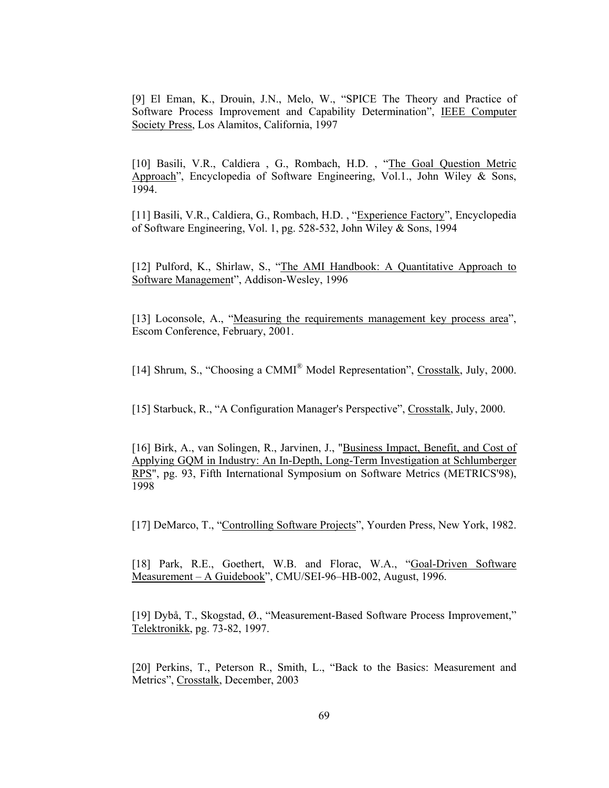[9] El Eman, K., Drouin, J.N., Melo, W., "SPICE The Theory and Practice of Software Process Improvement and Capability Determination", IEEE Computer Society Press, Los Alamitos, California, 1997

[10] Basili, V.R., Caldiera, G., Rombach, H.D., "The Goal Question Metric Approach", Encyclopedia of Software Engineering, Vol.1., John Wiley & Sons, 1994.

[11] Basili, V.R., Caldiera, G., Rombach, H.D. , "Experience Factory", Encyclopedia of Software Engineering, Vol. 1, pg. 528-532, John Wiley & Sons, 1994

[12] Pulford, K., Shirlaw, S., "The AMI Handbook: A Quantitative Approach to Software Management", Addison-Wesley, 1996

[13] Loconsole, A., "Measuring the requirements management key process area", Escom Conference, February, 2001.

[14] Shrum, S., "Choosing a CMMI® Model Representation", Crosstalk, July, 2000.

[15] Starbuck, R., "A Configuration Manager's Perspective", Crosstalk, July, 2000.

[16] Birk, A., van Solingen, R., Jarvinen, J., "Business Impact, Benefit, and Cost of Applying GQM in Industry: An In-Depth, Long-Term Investigation at Schlumberger RPS", pg. 93, Fifth International Symposium on Software Metrics (METRICS'98), 1998

[17] DeMarco, T., "Controlling Software Projects", Yourden Press, New York, 1982.

[18] Park, R.E., Goethert, W.B. and Florac, W.A., "Goal-Driven Software Measurement – A Guidebook", CMU/SEI-96–HB-002, August, 1996.

[19] Dybå, T., Skogstad, Ø., "Measurement-Based Software Process Improvement," Telektronikk, pg. 73-82, 1997.

[20] Perkins, T., Peterson R., Smith, L., "Back to the Basics: Measurement and Metrics", Crosstalk, December, 2003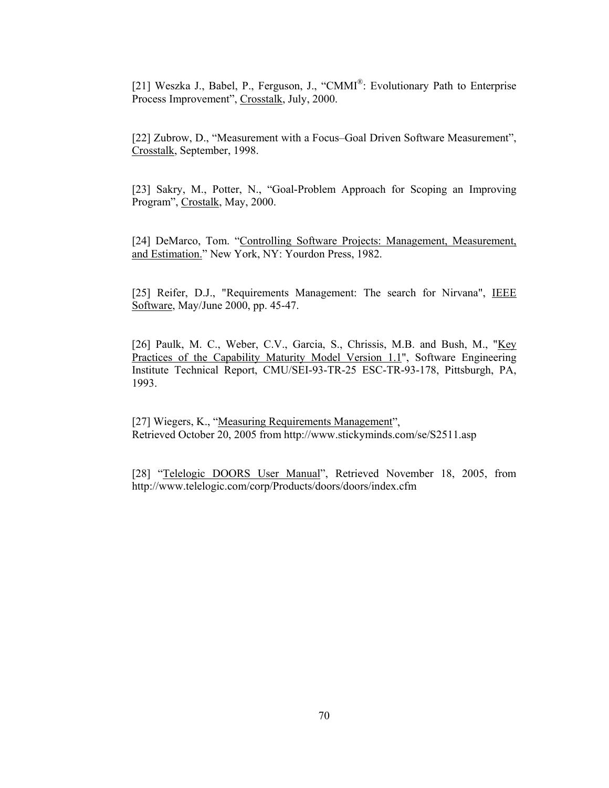[21] Weszka J., Babel, P., Ferguson, J., "CMMI®: Evolutionary Path to Enterprise Process Improvement", Crosstalk, July, 2000.

[22] Zubrow, D., "Measurement with a Focus–Goal Driven Software Measurement", Crosstalk, September, 1998.

[23] Sakry, M., Potter, N., "Goal-Problem Approach for Scoping an Improving Program", Crostalk, May, 2000.

[24] DeMarco, Tom. "Controlling Software Projects: Management, Measurement, and Estimation." New York, NY: Yourdon Press, 1982.

[25] Reifer, D.J., "Requirements Management: The search for Nirvana", IEEE Software, May/June 2000, pp. 45-47.

[26] Paulk, M. C., Weber, C.V., Garcia, S., Chrissis, M.B. and Bush, M., "Key Practices of the Capability Maturity Model Version 1.1", Software Engineering Institute Technical Report, CMU/SEI-93-TR-25 ESC-TR-93-178, Pittsburgh, PA, 1993.

[27] Wiegers, K., "Measuring Requirements Management", Retrieved October 20, 2005 from http://www.stickyminds.com/se/S2511.asp

[28] "Telelogic DOORS User Manual", Retrieved November 18, 2005, from http://www.telelogic.com/corp/Products/doors/doors/index.cfm